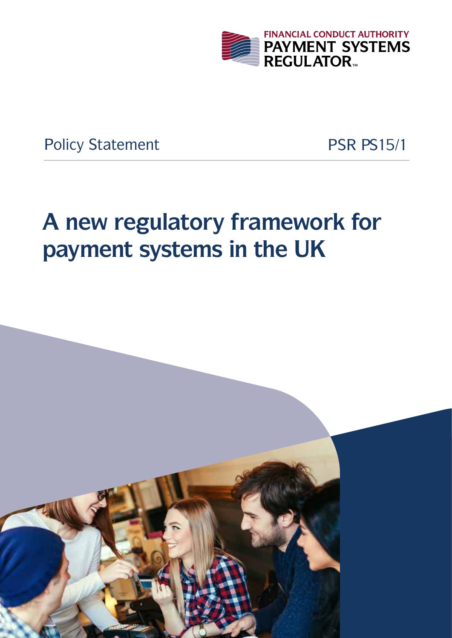

Policy Statement PSR PS15/1

# **A new regulatory framework for payment systems in the UK**

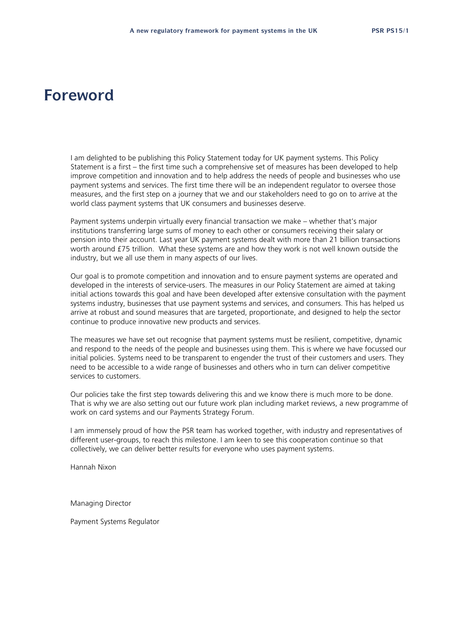## **Foreword**

I am delighted to be publishing this Policy Statement today for UK payment systems. This Policy Statement is a first – the first time such a comprehensive set of measures has been developed to help improve competition and innovation and to help address the needs of people and businesses who use payment systems and services. The first time there will be an independent regulator to oversee those measures, and the first step on a journey that we and our stakeholders need to go on to arrive at the world class payment systems that UK consumers and businesses deserve.

Payment systems underpin virtually every financial transaction we make – whether that's major institutions transferring large sums of money to each other or consumers receiving their salary or pension into their account. Last year UK payment systems dealt with more than 21 billion transactions worth around £75 trillion. What these systems are and how they work is not well known outside the industry, but we all use them in many aspects of our lives.

Our goal is to promote competition and innovation and to ensure payment systems are operated and developed in the interests of service-users. The measures in our Policy Statement are aimed at taking initial actions towards this goal and have been developed after extensive consultation with the payment systems industry, businesses that use payment systems and services, and consumers. This has helped us arrive at robust and sound measures that are targeted, proportionate, and designed to help the sector continue to produce innovative new products and services.

The measures we have set out recognise that payment systems must be resilient, competitive, dynamic and respond to the needs of the people and businesses using them. This is where we have focussed our initial policies. Systems need to be transparent to engender the trust of their customers and users. They need to be accessible to a wide range of businesses and others who in turn can deliver competitive services to customers.

Our policies take the first step towards delivering this and we know there is much more to be done. That is why we are also setting out our future work plan including market reviews, a new programme of work on card systems and our Payments Strategy Forum.

I am immensely proud of how the PSR team has worked together, with industry and representatives of different user-groups, to reach this milestone. I am keen to see this cooperation continue so that collectively, we can deliver better results for everyone who uses payment systems.

Hannah Nixon

Managing Director

Payment Systems Regulator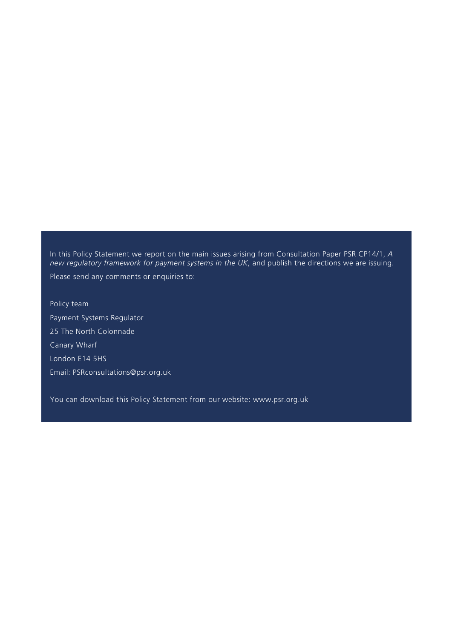In this Policy Statement we report on the main issues arising from Consultation Paper PSR CP14/1, *A new regulatory framework for payment systems in the UK*, and publish the directions we are issuing. Please send any comments or enquiries to:

Policy team Payment Systems Regulator 25 The North Colonnade Canary Wharf London E14 5HS Email: PSRconsultations@psr.org.uk

You can download this Policy Statement from our website: www.psr.org.uk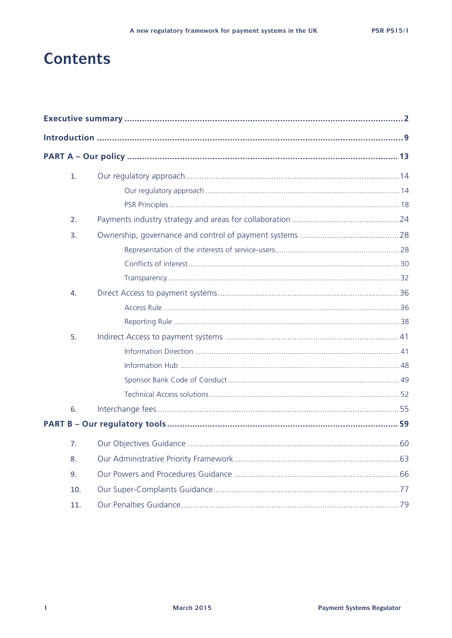# **Contents**

| 1.  |  |  |
|-----|--|--|
|     |  |  |
|     |  |  |
| 2.  |  |  |
| 3.  |  |  |
|     |  |  |
|     |  |  |
|     |  |  |
| 4.  |  |  |
|     |  |  |
|     |  |  |
| 5.  |  |  |
|     |  |  |
|     |  |  |
|     |  |  |
|     |  |  |
| 6.  |  |  |
|     |  |  |
| 7.  |  |  |
| 8.  |  |  |
| 9.  |  |  |
| 10. |  |  |
| 11. |  |  |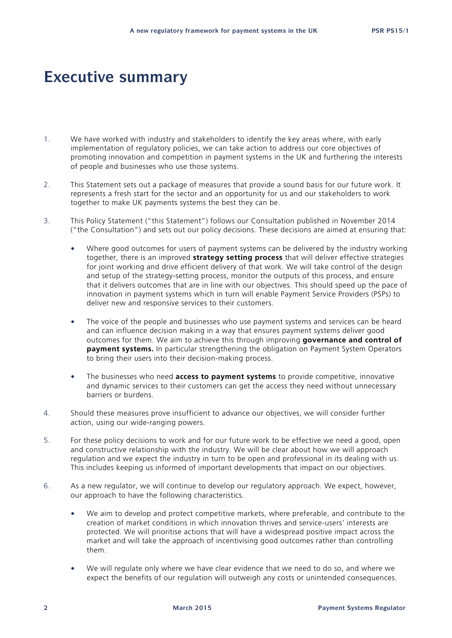# **Executive summary**

- 1. We have worked with industry and stakeholders to identify the key areas where, with early implementation of regulatory policies, we can take action to address our core objectives of promoting innovation and competition in payment systems in the UK and furthering the interests of people and businesses who use those systems.
- 2. This Statement sets out a package of measures that provide a sound basis for our future work. It represents a fresh start for the sector and an opportunity for us and our stakeholders to work together to make UK payments systems the best they can be.
- 3. This Policy Statement ("this Statement") follows our Consultation published in November 2014 ("the Consultation") and sets out our policy decisions. These decisions are aimed at ensuring that:
	- Where good outcomes for users of payment systems can be delivered by the industry working together, there is an improved **strategy setting process** that will deliver effective strategies for joint working and drive efficient delivery of that work. We will take control of the design and setup of the strategy-setting process, monitor the outputs of this process, and ensure that it delivers outcomes that are in line with our objectives. This should speed up the pace of innovation in payment systems which in turn will enable Payment Service Providers (PSPs) to deliver new and responsive services to their customers.
	- The voice of the people and businesses who use payment systems and services can be heard and can influence decision making in a way that ensures payment systems deliver good outcomes for them. We aim to achieve this through improving **governance and control of payment systems.** In particular strengthening the obligation on Payment System Operators to bring their users into their decision-making process.
	- The businesses who need **access to payment systems** to provide competitive, innovative and dynamic services to their customers can get the access they need without unnecessary barriers or burdens.
- 4. Should these measures prove insufficient to advance our objectives, we will consider further action, using our wide-ranging powers.
- 5. For these policy decisions to work and for our future work to be effective we need a good, open and constructive relationship with the industry. We will be clear about how we will approach regulation and we expect the industry in turn to be open and professional in its dealing with us. This includes keeping us informed of important developments that impact on our objectives.
- 6. As a new regulator, we will continue to develop our regulatory approach. We expect, however, our approach to have the following characteristics.
	- We aim to develop and protect competitive markets, where preferable, and contribute to the creation of market conditions in which innovation thrives and service-users' interests are protected. We will prioritise actions that will have a widespread positive impact across the market and will take the approach of incentivising good outcomes rather than controlling them.
	- We will regulate only where we have clear evidence that we need to do so, and where we expect the benefits of our regulation will outweigh any costs or unintended consequences.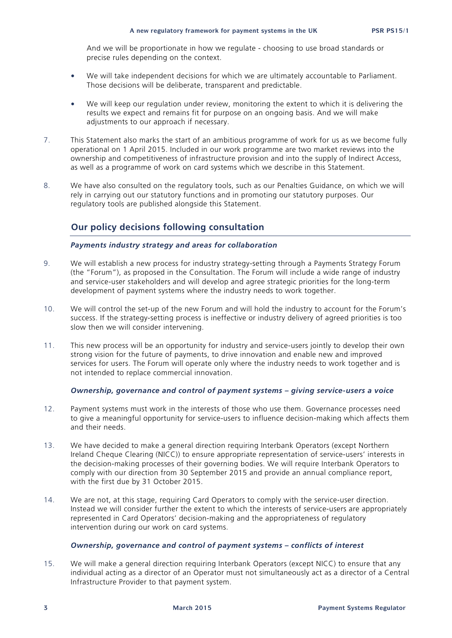And we will be proportionate in how we regulate - choosing to use broad standards or precise rules depending on the context.

- We will take independent decisions for which we are ultimately accountable to Parliament. Those decisions will be deliberate, transparent and predictable.
- We will keep our regulation under review, monitoring the extent to which it is delivering the results we expect and remains fit for purpose on an ongoing basis. And we will make adjustments to our approach if necessary.
- 7. This Statement also marks the start of an ambitious programme of work for us as we become fully operational on 1 April 2015. Included in our work programme are two market reviews into the ownership and competitiveness of infrastructure provision and into the supply of Indirect Access, as well as a programme of work on card systems which we describe in this Statement.
- 8. We have also consulted on the regulatory tools, such as our Penalties Guidance, on which we will rely in carrying out our statutory functions and in promoting our statutory purposes. Our regulatory tools are published alongside this Statement.

### **Our policy decisions following consultation**

### *Payments industry strategy and areas for collaboration*

- 9. We will establish a new process for industry strategy-setting through a Payments Strategy Forum (the "Forum"), as proposed in the Consultation. The Forum will include a wide range of industry and service-user stakeholders and will develop and agree strategic priorities for the long-term development of payment systems where the industry needs to work together.
- 10. We will control the set-up of the new Forum and will hold the industry to account for the Forum's success. If the strategy-setting process is ineffective or industry delivery of agreed priorities is too slow then we will consider intervening.
- 11. This new process will be an opportunity for industry and service-users jointly to develop their own strong vision for the future of payments, to drive innovation and enable new and improved services for users. The Forum will operate only where the industry needs to work together and is not intended to replace commercial innovation.

### *Ownership, governance and control of payment systems – giving service-users a voice*

- 12. Payment systems must work in the interests of those who use them. Governance processes need to give a meaningful opportunity for service-users to influence decision-making which affects them and their needs.
- 13. We have decided to make a general direction requiring Interbank Operators (except Northern Ireland Cheque Clearing (NICC)) to ensure appropriate representation of service-users' interests in the decision-making processes of their governing bodies. We will require Interbank Operators to comply with our direction from 30 September 2015 and provide an annual compliance report, with the first due by 31 October 2015.
- 14. We are not, at this stage, requiring Card Operators to comply with the service-user direction. Instead we will consider further the extent to which the interests of service-users are appropriately represented in Card Operators' decision-making and the appropriateness of regulatory intervention during our work on card systems.

### *Ownership, governance and control of payment systems – conflicts of interest*

15. We will make a general direction requiring Interbank Operators (except NICC) to ensure that any individual acting as a director of an Operator must not simultaneously act as a director of a Central Infrastructure Provider to that payment system.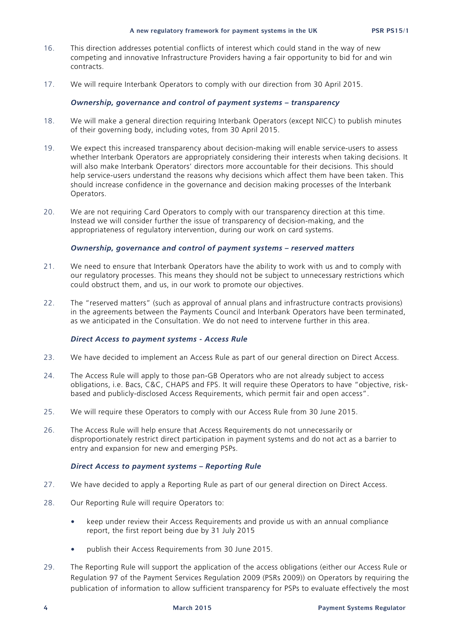- 16. This direction addresses potential conflicts of interest which could stand in the way of new competing and innovative Infrastructure Providers having a fair opportunity to bid for and win contracts.
- 17. We will require Interbank Operators to comply with our direction from 30 April 2015.

### *Ownership, governance and control of payment systems – transparency*

- 18. We will make a general direction requiring Interbank Operators (except NICC) to publish minutes of their governing body, including votes, from 30 April 2015.
- 19. We expect this increased transparency about decision-making will enable service-users to assess whether Interbank Operators are appropriately considering their interests when taking decisions. It will also make Interbank Operators' directors more accountable for their decisions. This should help service-users understand the reasons why decisions which affect them have been taken. This should increase confidence in the governance and decision making processes of the Interbank Operators.
- 20. We are not requiring Card Operators to comply with our transparency direction at this time. Instead we will consider further the issue of transparency of decision-making, and the appropriateness of regulatory intervention, during our work on card systems.

### *Ownership, governance and control of payment systems – reserved matters*

- 21. We need to ensure that Interbank Operators have the ability to work with us and to comply with our regulatory processes. This means they should not be subject to unnecessary restrictions which could obstruct them, and us, in our work to promote our objectives.
- 22. The "reserved matters" (such as approval of annual plans and infrastructure contracts provisions) in the agreements between the Payments Council and Interbank Operators have been terminated, as we anticipated in the Consultation. We do not need to intervene further in this area.

### *Direct Access to payment systems - Access Rule*

- 23. We have decided to implement an Access Rule as part of our general direction on Direct Access.
- 24. The Access Rule will apply to those pan-GB Operators who are not already subject to access obligations, i.e. Bacs, C&C, CHAPS and FPS. It will require these Operators to have "objective, riskbased and publicly-disclosed Access Requirements, which permit fair and open access".
- 25. We will require these Operators to comply with our Access Rule from 30 June 2015.
- 26. The Access Rule will help ensure that Access Requirements do not unnecessarily or disproportionately restrict direct participation in payment systems and do not act as a barrier to entry and expansion for new and emerging PSPs.

#### *Direct Access to payment systems – Reporting Rule*

- 27. We have decided to apply a Reporting Rule as part of our general direction on Direct Access.
- 28. Our Reporting Rule will require Operators to:
	- keep under review their Access Requirements and provide us with an annual compliance report, the first report being due by 31 July 2015
	- publish their Access Requirements from 30 June 2015.
- 29. The Reporting Rule will support the application of the access obligations (either our Access Rule or Regulation 97 of the Payment Services Regulation 2009 (PSRs 2009)) on Operators by requiring the publication of information to allow sufficient transparency for PSPs to evaluate effectively the most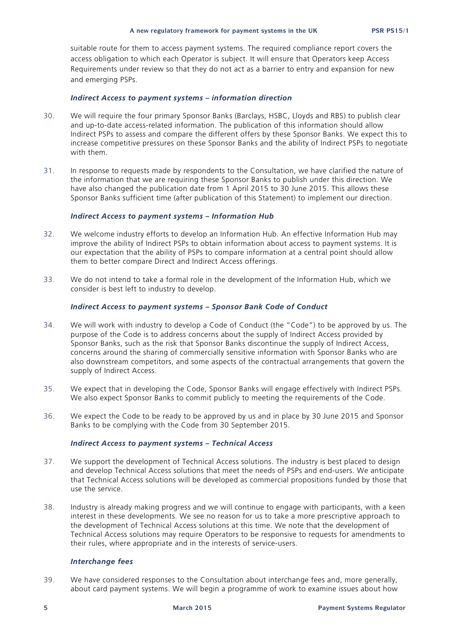suitable route for them to access payment systems. The required compliance report covers the access obligation to which each Operator is subject. It will ensure that Operators keep Access Requirements under review so that they do not act as a barrier to entry and expansion for new and emerging PSPs.

#### *Indirect Access to payment systems – information direction*

- 30. We will require the four primary Sponsor Banks (Barclays, HSBC, Lloyds and RBS) to publish clear and up-to-date access-related information. The publication of this information should allow Indirect PSPs to assess and compare the different offers by these Sponsor Banks. We expect this to increase competitive pressures on these Sponsor Banks and the ability of Indirect PSPs to negotiate with them.
- 31. In response to requests made by respondents to the Consultation, we have clarified the nature of the information that we are requiring these Sponsor Banks to publish under this direction. We have also changed the publication date from 1 April 2015 to 30 June 2015. This allows these Sponsor Banks sufficient time (after publication of this Statement) to implement our direction.

#### *Indirect Access to payment systems – Information Hub*

- 32. We welcome industry efforts to develop an Information Hub. An effective Information Hub may improve the ability of Indirect PSPs to obtain information about access to payment systems. It is our expectation that the ability of PSPs to compare information at a central point should allow them to better compare Direct and Indirect Access offerings.
- 33. We do not intend to take a formal role in the development of the Information Hub, which we consider is best left to industry to develop.

### *Indirect Access to payment systems – Sponsor Bank Code of Conduct*

- 34. We will work with industry to develop a Code of Conduct (the "Code") to be approved by us. The purpose of the Code is to address concerns about the supply of Indirect Access provided by Sponsor Banks, such as the risk that Sponsor Banks discontinue the supply of Indirect Access, concerns around the sharing of commercially sensitive information with Sponsor Banks who are also downstream competitors, and some aspects of the contractual arrangements that govern the supply of Indirect Access.
- 35. We expect that in developing the Code, Sponsor Banks will engage effectively with Indirect PSPs. We also expect Sponsor Banks to commit publicly to meeting the requirements of the Code.
- 36. We expect the Code to be ready to be approved by us and in place by 30 June 2015 and Sponsor Banks to be complying with the Code from 30 September 2015.

### *Indirect Access to payment systems – Technical Access*

- 37. We support the development of Technical Access solutions. The industry is best placed to design and develop Technical Access solutions that meet the needs of PSPs and end-users. We anticipate that Technical Access solutions will be developed as commercial propositions funded by those that use the service.
- 38. Industry is already making progress and we will continue to engage with participants, with a keen interest in these developments. We see no reason for us to take a more prescriptive approach to the development of Technical Access solutions at this time. We note that the development of Technical Access solutions may require Operators to be responsive to requests for amendments to their rules, where appropriate and in the interests of service-users.

#### *Interchange fees*

39. We have considered responses to the Consultation about interchange fees and, more generally, about card payment systems. We will begin a programme of work to examine issues about how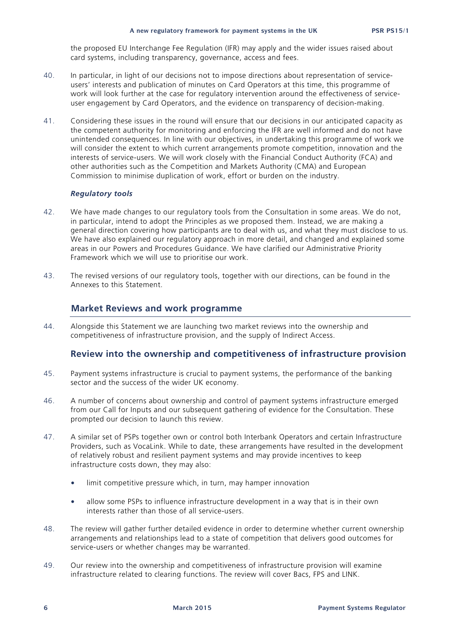the proposed EU Interchange Fee Regulation (IFR) may apply and the wider issues raised about card systems, including transparency, governance, access and fees.

- 40. In particular, in light of our decisions not to impose directions about representation of serviceusers' interests and publication of minutes on Card Operators at this time, this programme of work will look further at the case for regulatory intervention around the effectiveness of serviceuser engagement by Card Operators, and the evidence on transparency of decision-making.
- 41. Considering these issues in the round will ensure that our decisions in our anticipated capacity as the competent authority for monitoring and enforcing the IFR are well informed and do not have unintended consequences. In line with our objectives, in undertaking this programme of work we will consider the extent to which current arrangements promote competition, innovation and the interests of service-users. We will work closely with the Financial Conduct Authority (FCA) and other authorities such as the Competition and Markets Authority (CMA) and European Commission to minimise duplication of work, effort or burden on the industry.

### *Regulatory tools*

- 42. We have made changes to our regulatory tools from the Consultation in some areas. We do not, in particular, intend to adopt the Principles as we proposed them. Instead, we are making a general direction covering how participants are to deal with us, and what they must disclose to us. We have also explained our regulatory approach in more detail, and changed and explained some areas in our Powers and Procedures Guidance. We have clarified our Administrative Priority Framework which we will use to prioritise our work.
- 43. The revised versions of our regulatory tools, together with our directions, can be found in the Annexes to this Statement.

### **Market Reviews and work programme**

44. Alongside this Statement we are launching two market reviews into the ownership and competitiveness of infrastructure provision, and the supply of Indirect Access.

### **Review into the ownership and competitiveness of infrastructure provision**

- 45. Payment systems infrastructure is crucial to payment systems, the performance of the banking sector and the success of the wider UK economy.
- 46. A number of concerns about ownership and control of payment systems infrastructure emerged from our Call for Inputs and our subsequent gathering of evidence for the Consultation. These prompted our decision to launch this review.
- 47. A similar set of PSPs together own or control both Interbank Operators and certain Infrastructure Providers, such as VocaLink. While to date, these arrangements have resulted in the development of relatively robust and resilient payment systems and may provide incentives to keep infrastructure costs down, they may also:
	- limit competitive pressure which, in turn, may hamper innovation
	- allow some PSPs to influence infrastructure development in a way that is in their own interests rather than those of all service-users.
- 48. The review will gather further detailed evidence in order to determine whether current ownership arrangements and relationships lead to a state of competition that delivers good outcomes for service-users or whether changes may be warranted.
- 49. Our review into the ownership and competitiveness of infrastructure provision will examine infrastructure related to clearing functions. The review will cover Bacs, FPS and LINK.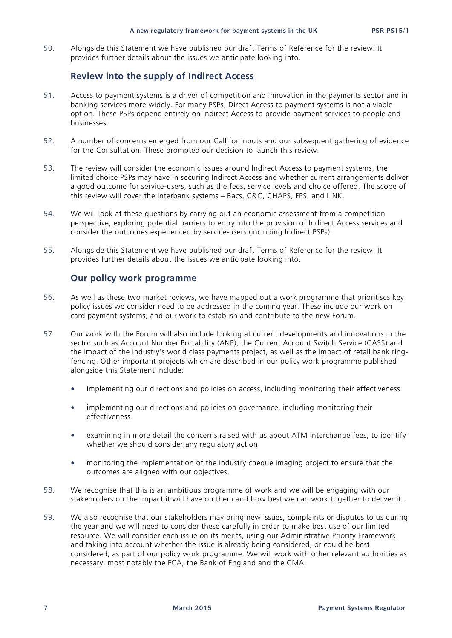#### **A new regulatory framework for payment systems in the UK PSR PS15/1**

50. Alongside this Statement we have published our draft Terms of Reference for the review. It provides further details about the issues we anticipate looking into.

### **Review into the supply of Indirect Access**

- 51. Access to payment systems is a driver of competition and innovation in the payments sector and in banking services more widely. For many PSPs, Direct Access to payment systems is not a viable option. These PSPs depend entirely on Indirect Access to provide payment services to people and businesses.
- 52. A number of concerns emerged from our Call for Inputs and our subsequent gathering of evidence for the Consultation. These prompted our decision to launch this review.
- 53. The review will consider the economic issues around Indirect Access to payment systems, the limited choice PSPs may have in securing Indirect Access and whether current arrangements deliver a good outcome for service-users, such as the fees, service levels and choice offered. The scope of this review will cover the interbank systems – Bacs, C&C, CHAPS, FPS, and LINK.
- 54. We will look at these questions by carrying out an economic assessment from a competition perspective, exploring potential barriers to entry into the provision of Indirect Access services and consider the outcomes experienced by service-users (including Indirect PSPs).
- 55. Alongside this Statement we have published our draft Terms of Reference for the review. It provides further details about the issues we anticipate looking into.

### **Our policy work programme**

- 56. As well as these two market reviews, we have mapped out a work programme that prioritises key policy issues we consider need to be addressed in the coming year. These include our work on card payment systems, and our work to establish and contribute to the new Forum.
- 57. Our work with the Forum will also include looking at current developments and innovations in the sector such as Account Number Portability (ANP), the Current Account Switch Service (CASS) and the impact of the industry's world class payments project, as well as the impact of retail bank ringfencing. Other important projects which are described in our policy work programme published alongside this Statement include:
	- implementing our directions and policies on access, including monitoring their effectiveness
	- implementing our directions and policies on governance, including monitoring their effectiveness
	- examining in more detail the concerns raised with us about ATM interchange fees, to identify whether we should consider any regulatory action
	- monitoring the implementation of the industry cheque imaging project to ensure that the outcomes are aligned with our objectives.
- 58. We recognise that this is an ambitious programme of work and we will be engaging with our stakeholders on the impact it will have on them and how best we can work together to deliver it.
- 59. We also recognise that our stakeholders may bring new issues, complaints or disputes to us during the year and we will need to consider these carefully in order to make best use of our limited resource. We will consider each issue on its merits, using our Administrative Priority Framework and taking into account whether the issue is already being considered, or could be best considered, as part of our policy work programme. We will work with other relevant authorities as necessary, most notably the FCA, the Bank of England and the CMA.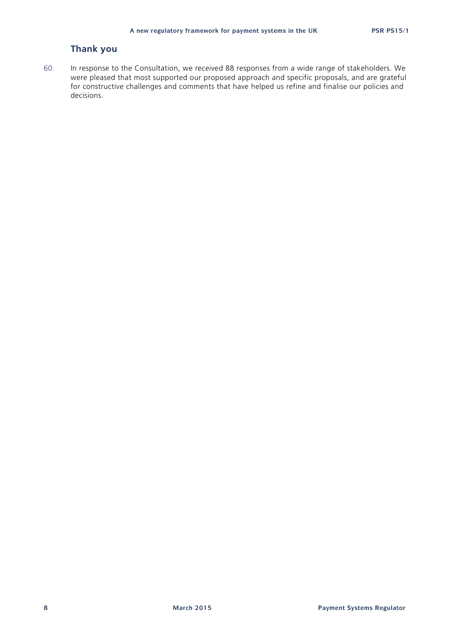### **Thank you**

60. In response to the Consultation, we received 88 responses from a wide range of stakeholders. We were pleased that most supported our proposed approach and specific proposals, and are grateful for constructive challenges and comments that have helped us refine and finalise our policies and decisions.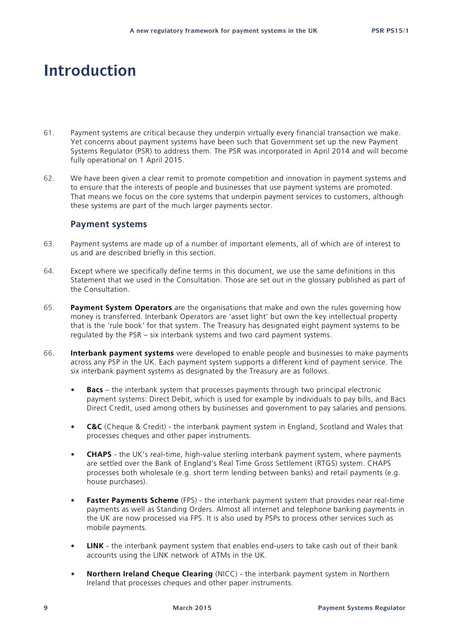# **Introduction**

- 61. Payment systems are critical because they underpin virtually every financial transaction we make. Yet concerns about payment systems have been such that Government set up the new Payment Systems Regulator (PSR) to address them. The PSR was incorporated in April 2014 and will become fully operational on 1 April 2015.
- 62. We have been given a clear remit to promote competition and innovation in payment systems and to ensure that the interests of people and businesses that use payment systems are promoted. That means we focus on the core systems that underpin payment services to customers, although these systems are part of the much larger payments sector.

### **Payment systems**

- 63. Payment systems are made up of a number of important elements, all of which are of interest to us and are described briefly in this section.
- 64. Except where we specifically define terms in this document, we use the same definitions in this Statement that we used in the Consultation. Those are set out in the glossary published as part of the Consultation.
- 65. **Payment System Operators** are the organisations that make and own the rules governing how money is transferred. Interbank Operators are 'asset light' but own the key intellectual property that is the 'rule book' for that system. The Treasury has designated eight payment systems to be regulated by the PSR – six interbank systems and two card payment systems.
- 66. **Interbank payment systems** were developed to enable people and businesses to make payments across any PSP in the UK. Each payment system supports a different kind of payment service. The six interbank payment systems as designated by the Treasury are as follows.
	- **Bacs**  the interbank system that processes payments through two principal electronic payment systems: Direct Debit, which is used for example by individuals to pay bills, and Bacs Direct Credit, used among others by businesses and government to pay salaries and pensions.
	- **C&C** (Cheque & Credit) the interbank payment system in England, Scotland and Wales that processes cheques and other paper instruments.
	- **CHAPS** the UK's real-time, high-value sterling interbank payment system, where payments are settled over the Bank of England's Real Time Gross Settlement (RTGS) system. CHAPS processes both wholesale (e.g. short term lending between banks) and retail payments (e.g. house purchases).
	- **Faster Payments Scheme** (FPS) the interbank payment system that provides near real-time payments as well as Standing Orders. Almost all internet and telephone banking payments in the UK are now processed via FPS. It is also used by PSPs to process other services such as mobile payments.
	- **LINK** the interbank payment system that enables end-users to take cash out of their bank accounts using the LINK network of ATMs in the UK.
	- **Northern Ireland Cheque Clearing** (NICC) the interbank payment system in Northern Ireland that processes cheques and other paper instruments.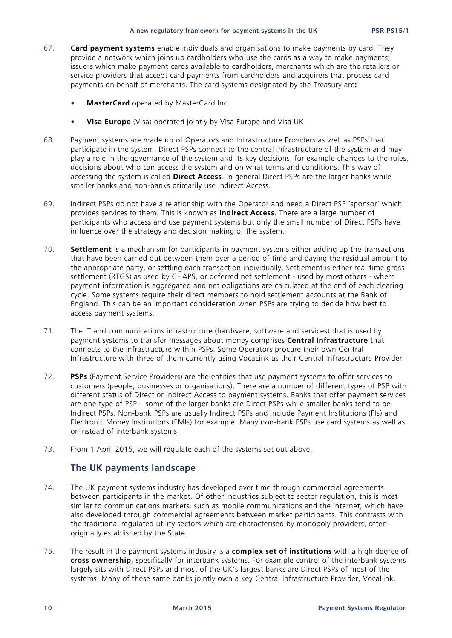- 67. **Card payment systems** enable individuals and organisations to make payments by card. They provide a network which joins up cardholders who use the cards as a way to make payments; issuers which make payment cards available to cardholders, merchants which are the retailers or service providers that accept card payments from cardholders and acquirers that process card payments on behalf of merchants. The card systems designated by the Treasury are**:**
	- **MasterCard** operated by MasterCard Inc
	- **Visa Europe** (Visa) operated jointly by Visa Europe and Visa UK.
- 68. Payment systems are made up of Operators and Infrastructure Providers as well as PSPs that participate in the system. Direct PSPs connect to the central infrastructure of the system and may play a role in the governance of the system and its key decisions, for example changes to the rules, decisions about who can access the system and on what terms and conditions. This way of accessing the system is called **Direct Access**. In general Direct PSPs are the larger banks while smaller banks and non-banks primarily use Indirect Access.
- 69. Indirect PSPs do not have a relationship with the Operator and need a Direct PSP 'sponsor' which provides services to them. This is known as **Indirect Access**. There are a large number of participants who access and use payment systems but only the small number of Direct PSPs have influence over the strategy and decision making of the system.
- 70. **Settlement** is a mechanism for participants in payment systems either adding up the transactions that have been carried out between them over a period of time and paying the residual amount to the appropriate party, or settling each transaction individually. Settlement is either real time gross settlement (RTGS) as used by CHAPS, or deferred net settlement - used by most others - where payment information is aggregated and net obligations are calculated at the end of each clearing cycle. Some systems require their direct members to hold settlement accounts at the Bank of England. This can be an important consideration when PSPs are trying to decide how best to access payment systems.
- 71. The IT and communications infrastructure (hardware, software and services) that is used by payment systems to transfer messages about money comprises **Central Infrastructure** that connects to the infrastructure within PSPs. Some Operators procure their own Central Infrastructure with three of them currently using VocaLink as their Central Infrastructure Provider.
- 72. **PSPs** (Payment Service Providers) are the entities that use payment systems to offer services to customers (people, businesses or organisations). There are a number of different types of PSP with different status of Direct or Indirect Access to payment systems. Banks that offer payment services are one type of PSP – some of the larger banks are Direct PSPs while smaller banks tend to be Indirect PSPs. Non-bank PSPs are usually Indirect PSPs and include Payment Institutions (PIs) and Electronic Money Institutions (EMIs) for example. Many non-bank PSPs use card systems as well as or instead of interbank systems.
- 73. From 1 April 2015, we will regulate each of the systems set out above.

### **The UK payments landscape**

- 74. The UK payment systems industry has developed over time through commercial agreements between participants in the market. Of other industries subject to sector regulation, this is most similar to communications markets, such as mobile communications and the internet, which have also developed through commercial agreements between market participants. This contrasts with the traditional regulated utility sectors which are characterised by monopoly providers, often originally established by the State.
- 75. The result in the payment systems industry is a **complex set of institutions** with a high degree of **cross ownership,** specifically for interbank systems. For example control of the interbank systems largely sits with Direct PSPs and most of the UK's largest banks are Direct PSPs of most of the systems. Many of these same banks jointly own a key Central Infrastructure Provider, VocaLink.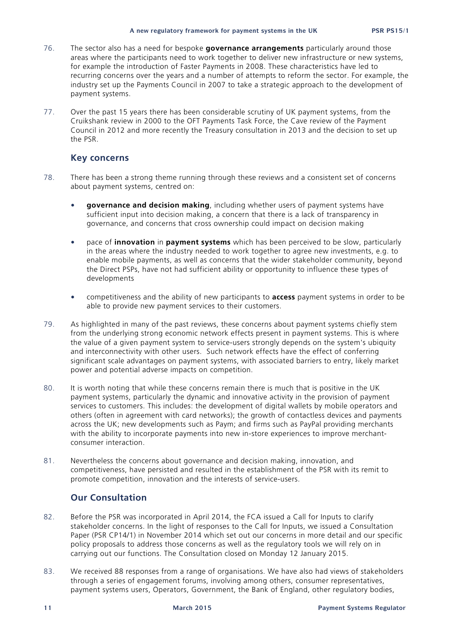- 76. The sector also has a need for bespoke **governance arrangements** particularly around those areas where the participants need to work together to deliver new infrastructure or new systems, for example the introduction of Faster Payments in 2008. These characteristics have led to recurring concerns over the years and a number of attempts to reform the sector. For example, the industry set up the Payments Council in 2007 to take a strategic approach to the development of payment systems.
- 77. Over the past 15 years there has been considerable scrutiny of UK payment systems, from the Cruikshank review in 2000 to the OFT Payments Task Force, the Cave review of the Payment Council in 2012 and more recently the Treasury consultation in 2013 and the decision to set up the PSR.

### **Key concerns**

- 78. There has been a strong theme running through these reviews and a consistent set of concerns about payment systems, centred on:
	- **governance and decision making**, including whether users of payment systems have sufficient input into decision making, a concern that there is a lack of transparency in governance, and concerns that cross ownership could impact on decision making
	- pace of **innovation** in **payment systems** which has been perceived to be slow, particularly in the areas where the industry needed to work together to agree new investments, e.g. to enable mobile payments, as well as concerns that the wider stakeholder community, beyond the Direct PSPs, have not had sufficient ability or opportunity to influence these types of developments
	- competitiveness and the ability of new participants to **access** payment systems in order to be able to provide new payment services to their customers.
- 79. As highlighted in many of the past reviews, these concerns about payment systems chiefly stem from the underlying strong economic network effects present in payment systems. This is where the value of a given payment system to service-users strongly depends on the system's ubiquity and interconnectivity with other users. Such network effects have the effect of conferring significant scale advantages on payment systems, with associated barriers to entry, likely market power and potential adverse impacts on competition.
- 80. It is worth noting that while these concerns remain there is much that is positive in the UK payment systems, particularly the dynamic and innovative activity in the provision of payment services to customers. This includes: the development of digital wallets by mobile operators and others (often in agreement with card networks); the growth of contactless devices and payments across the UK; new developments such as Paym; and firms such as PayPal providing merchants with the ability to incorporate payments into new in-store experiences to improve merchantconsumer interaction.
- 81. Nevertheless the concerns about governance and decision making, innovation, and competitiveness, have persisted and resulted in the establishment of the PSR with its remit to promote competition, innovation and the interests of service-users.

### **Our Consultation**

- 82. Before the PSR was incorporated in April 2014, the FCA issued a Call for Inputs to clarify stakeholder concerns. In the light of responses to the Call for Inputs, we issued a Consultation Paper (PSR CP14/1) in November 2014 which set out our concerns in more detail and our specific policy proposals to address those concerns as well as the regulatory tools we will rely on in carrying out our functions. The Consultation closed on Monday 12 January 2015.
- 83. We received 88 responses from a range of organisations. We have also had views of stakeholders through a series of engagement forums, involving among others, consumer representatives, payment systems users, Operators, Government, the Bank of England, other regulatory bodies,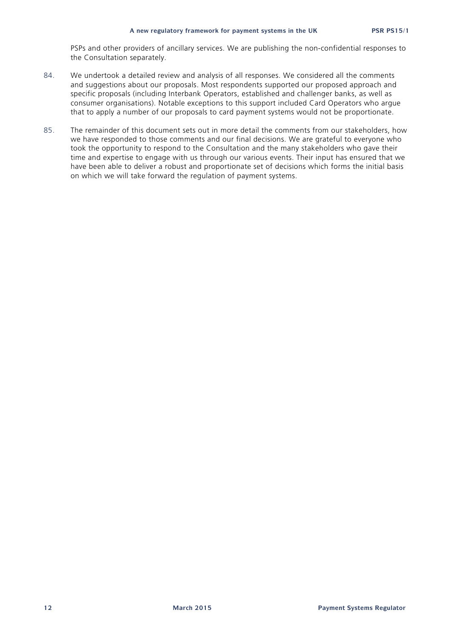PSPs and other providers of ancillary services. We are publishing the non-confidential responses to the Consultation separately.

- 84. We undertook a detailed review and analysis of all responses. We considered all the comments and suggestions about our proposals. Most respondents supported our proposed approach and specific proposals (including Interbank Operators, established and challenger banks, as well as consumer organisations). Notable exceptions to this support included Card Operators who argue that to apply a number of our proposals to card payment systems would not be proportionate.
- 85. The remainder of this document sets out in more detail the comments from our stakeholders, how we have responded to those comments and our final decisions. We are grateful to everyone who took the opportunity to respond to the Consultation and the many stakeholders who gave their time and expertise to engage with us through our various events. Their input has ensured that we have been able to deliver a robust and proportionate set of decisions which forms the initial basis on which we will take forward the regulation of payment systems.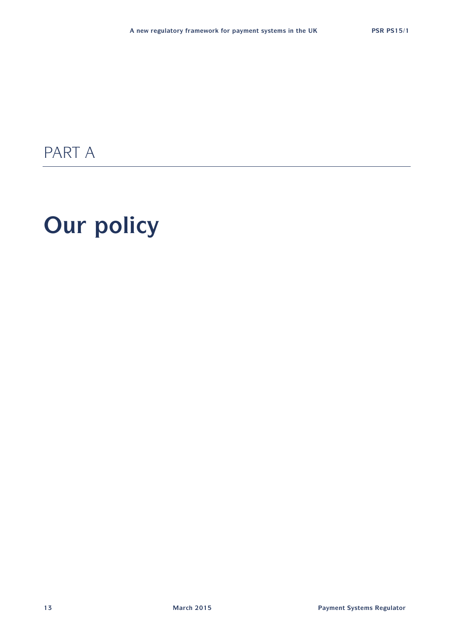# PART A

# **Our policy**

**13 March 2015 Payment Systems Regulator**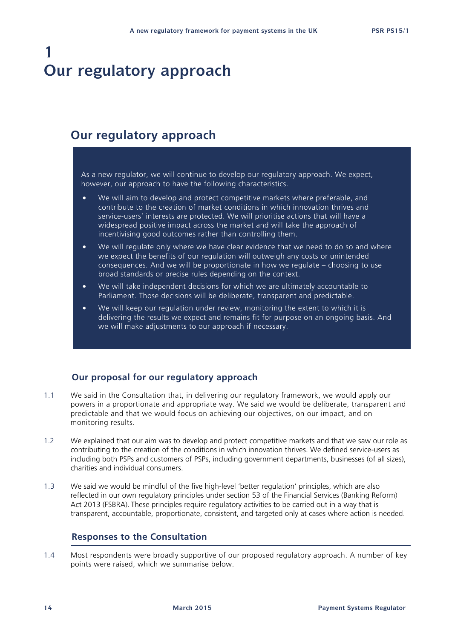## **1 Our regulatory approach**

### **Our regulatory approach**

As a new regulator, we will continue to develop our regulatory approach. We expect, however, our approach to have the following characteristics.

- We will aim to develop and protect competitive markets where preferable, and contribute to the creation of market conditions in which innovation thrives and service-users' interests are protected. We will prioritise actions that will have a widespread positive impact across the market and will take the approach of incentivising good outcomes rather than controlling them.
- We will regulate only where we have clear evidence that we need to do so and where we expect the benefits of our regulation will outweigh any costs or unintended consequences. And we will be proportionate in how we regulate – choosing to use broad standards or precise rules depending on the context.
- We will take independent decisions for which we are ultimately accountable to Parliament. Those decisions will be deliberate, transparent and predictable.
- We will keep our regulation under review, monitoring the extent to which it is delivering the results we expect and remains fit for purpose on an ongoing basis. And we will make adjustments to our approach if necessary.

### **Our proposal for our regulatory approach**

- 1.1 We said in the Consultation that, in delivering our regulatory framework, we would apply our powers in a proportionate and appropriate way. We said we would be deliberate, transparent and predictable and that we would focus on achieving our objectives, on our impact, and on monitoring results.
- 1.2 We explained that our aim was to develop and protect competitive markets and that we saw our role as contributing to the creation of the conditions in which innovation thrives. We defined service-users as including both PSPs and customers of PSPs, including government departments, businesses (of all sizes), charities and individual consumers.
- 1.3 We said we would be mindful of the five high-level 'better regulation' principles, which are also reflected in our own regulatory principles under section 53 of the Financial Services (Banking Reform) Act 2013 (FSBRA). These principles require regulatory activities to be carried out in a way that is transparent, accountable, proportionate, consistent, and targeted only at cases where action is needed.

### **Responses to the Consultation**

1.4 Most respondents were broadly supportive of our proposed regulatory approach. A number of key points were raised, which we summarise below.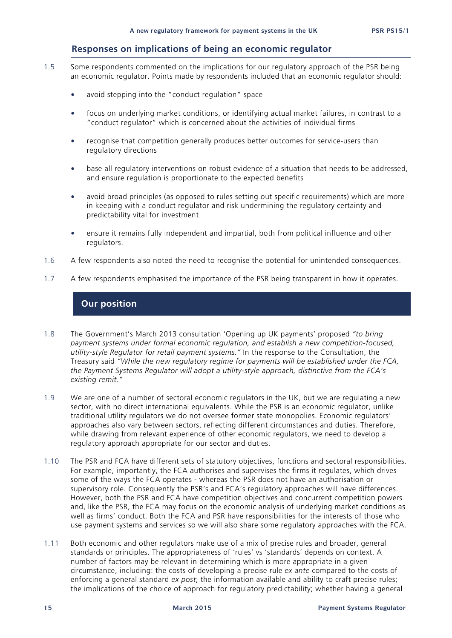### **Responses on implications of being an economic regulator**

- 1.5 Some respondents commented on the implications for our regulatory approach of the PSR being an economic regulator. Points made by respondents included that an economic regulator should:
	- avoid stepping into the "conduct regulation" space
	- focus on underlying market conditions, or identifying actual market failures, in contrast to a "conduct regulator" which is concerned about the activities of individual firms
	- recognise that competition generally produces better outcomes for service-users than regulatory directions
	- base all regulatory interventions on robust evidence of a situation that needs to be addressed, and ensure regulation is proportionate to the expected benefits
	- avoid broad principles (as opposed to rules setting out specific requirements) which are more in keeping with a conduct regulator and risk undermining the regulatory certainty and predictability vital for investment
	- ensure it remains fully independent and impartial, both from political influence and other regulators.
- 1.6 A few respondents also noted the need to recognise the potential for unintended consequences.
- 1.7 A few respondents emphasised the importance of the PSR being transparent in how it operates.

### **Our position**

- 1.8 The Government's March 2013 consultation 'Opening up UK payments' proposed *"to bring payment systems under formal economic regulation, and establish a new competition-focused, utility-style Regulator for retail payment systems."* In the response to the Consultation, the Treasury said *"While the new regulatory regime for payments will be established under the FCA, the Payment Systems Regulator will adopt a utility-style approach, distinctive from the FCA's existing remit."*
- 1.9 We are one of a number of sectoral economic regulators in the UK, but we are regulating a new sector, with no direct international equivalents. While the PSR is an economic regulator, unlike traditional utility regulators we do not oversee former state monopolies. Economic regulators' approaches also vary between sectors, reflecting different circumstances and duties. Therefore, while drawing from relevant experience of other economic regulators, we need to develop a regulatory approach appropriate for our sector and duties.
- 1.10 The PSR and FCA have different sets of statutory objectives, functions and sectoral responsibilities. For example, importantly, the FCA authorises and supervises the firms it regulates, which drives some of the ways the FCA operates - whereas the PSR does not have an authorisation or supervisory role. Consequently the PSR's and FCA's regulatory approaches will have differences. However, both the PSR and FCA have competition objectives and concurrent competition powers and, like the PSR, the FCA may focus on the economic analysis of underlying market conditions as well as firms' conduct. Both the FCA and PSR have responsibilities for the interests of those who use payment systems and services so we will also share some regulatory approaches with the FCA.
- 1.11 Both economic and other regulators make use of a mix of precise rules and broader, general standards or principles. The appropriateness of 'rules' vs 'standards' depends on context. A number of factors may be relevant in determining which is more appropriate in a given circumstance, including: the costs of developing a precise rule *ex ante* compared to the costs of enforcing a general standard *ex post*; the information available and ability to craft precise rules; the implications of the choice of approach for regulatory predictability; whether having a general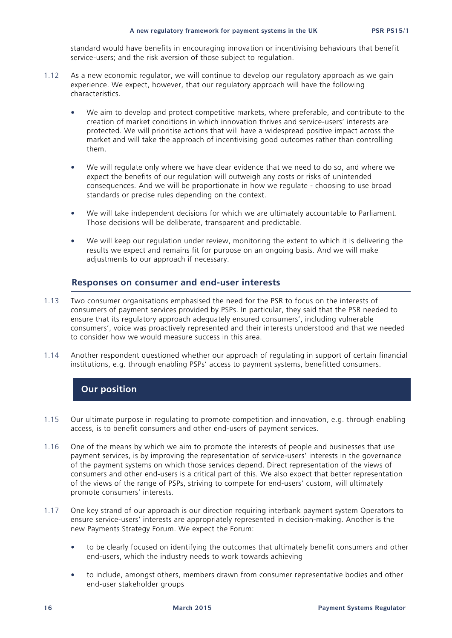standard would have benefits in encouraging innovation or incentivising behaviours that benefit service-users; and the risk aversion of those subject to regulation.

- 1.12 As a new economic regulator, we will continue to develop our regulatory approach as we gain experience. We expect, however, that our regulatory approach will have the following characteristics.
	- We aim to develop and protect competitive markets, where preferable, and contribute to the creation of market conditions in which innovation thrives and service-users' interests are protected. We will prioritise actions that will have a widespread positive impact across the market and will take the approach of incentivising good outcomes rather than controlling them.
	- We will regulate only where we have clear evidence that we need to do so, and where we expect the benefits of our regulation will outweigh any costs or risks of unintended consequences. And we will be proportionate in how we regulate - choosing to use broad standards or precise rules depending on the context.
	- We will take independent decisions for which we are ultimately accountable to Parliament. Those decisions will be deliberate, transparent and predictable.
	- We will keep our regulation under review, monitoring the extent to which it is delivering the results we expect and remains fit for purpose on an ongoing basis. And we will make adjustments to our approach if necessary.

### **Responses on consumer and end-user interests**

- 1.13 Two consumer organisations emphasised the need for the PSR to focus on the interests of consumers of payment services provided by PSPs. In particular, they said that the PSR needed to ensure that its regulatory approach adequately ensured consumers', including vulnerable consumers', voice was proactively represented and their interests understood and that we needed to consider how we would measure success in this area.
- 1.14 Another respondent questioned whether our approach of regulating in support of certain financial institutions, e.g. through enabling PSPs' access to payment systems, benefitted consumers.

### **Our position**

- 1.15 Our ultimate purpose in regulating to promote competition and innovation, e.g. through enabling access, is to benefit consumers and other end-users of payment services.
- 1.16 One of the means by which we aim to promote the interests of people and businesses that use payment services, is by improving the representation of service-users' interests in the governance of the payment systems on which those services depend. Direct representation of the views of consumers and other end-users is a critical part of this. We also expect that better representation of the views of the range of PSPs, striving to compete for end-users' custom, will ultimately promote consumers' interests.
- 1.17 One key strand of our approach is our direction requiring interbank payment system Operators to ensure service-users' interests are appropriately represented in decision-making. Another is the new Payments Strategy Forum. We expect the Forum:
	- to be clearly focused on identifying the outcomes that ultimately benefit consumers and other end-users, which the industry needs to work towards achieving
	- to include, amongst others, members drawn from consumer representative bodies and other end-user stakeholder groups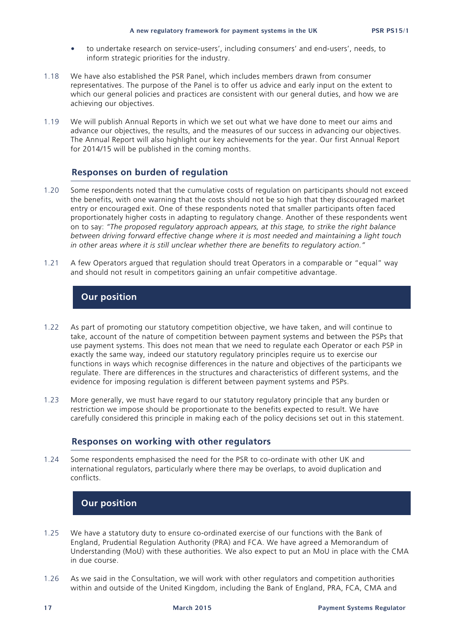- to undertake research on service-users', including consumers' and end-users', needs, to inform strategic priorities for the industry.
- 1.18 We have also established the PSR Panel, which includes members drawn from consumer representatives. The purpose of the Panel is to offer us advice and early input on the extent to which our general policies and practices are consistent with our general duties, and how we are achieving our objectives.
- 1.19 We will publish Annual Reports in which we set out what we have done to meet our aims and advance our objectives, the results, and the measures of our success in advancing our objectives. The Annual Report will also highlight our key achievements for the year. Our first Annual Report for 2014/15 will be published in the coming months.

### **Responses on burden of regulation**

- 1.20 Some respondents noted that the cumulative costs of regulation on participants should not exceed the benefits, with one warning that the costs should not be so high that they discouraged market entry or encouraged exit. One of these respondents noted that smaller participants often faced proportionately higher costs in adapting to regulatory change. Another of these respondents went on to say: *"The proposed regulatory approach appears, at this stage, to strike the right balance between driving forward effective change where it is most needed and maintaining a light touch in other areas where it is still unclear whether there are benefits to regulatory action."*
- 1.21 A few Operators argued that regulation should treat Operators in a comparable or "equal" way and should not result in competitors gaining an unfair competitive advantage.

### **Our position**

- 1.22 As part of promoting our statutory competition objective, we have taken, and will continue to take, account of the nature of competition between payment systems and between the PSPs that use payment systems. This does not mean that we need to regulate each Operator or each PSP in exactly the same way, indeed our statutory regulatory principles require us to exercise our functions in ways which recognise differences in the nature and objectives of the participants we regulate. There are differences in the structures and characteristics of different systems, and the evidence for imposing regulation is different between payment systems and PSPs.
- 1.23 More generally, we must have regard to our statutory regulatory principle that any burden or restriction we impose should be proportionate to the benefits expected to result. We have carefully considered this principle in making each of the policy decisions set out in this statement.

### **Responses on working with other regulators**

1.24 Some respondents emphasised the need for the PSR to co-ordinate with other UK and international regulators, particularly where there may be overlaps, to avoid duplication and conflicts.

### **Our position**

- 1.25 We have a statutory duty to ensure co-ordinated exercise of our functions with the Bank of England, Prudential Regulation Authority (PRA) and FCA. We have agreed a Memorandum of Understanding (MoU) with these authorities. We also expect to put an MoU in place with the CMA in due course.
- 1.26 As we said in the Consultation, we will work with other regulators and competition authorities within and outside of the United Kingdom, including the Bank of England, PRA, FCA, CMA and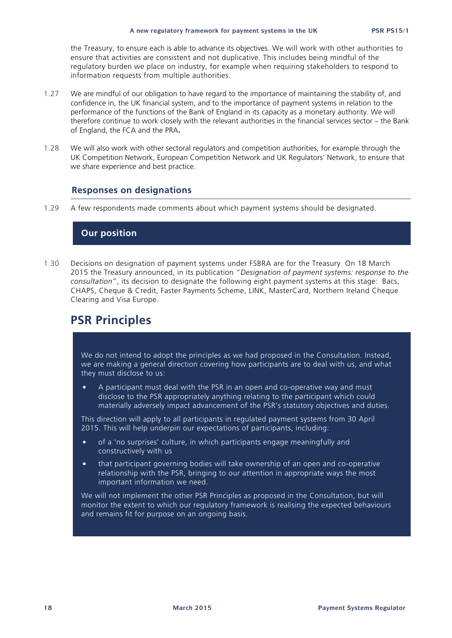the Treasury, to ensure each is able to advance its objectives. We will work with other authorities to ensure that activities are consistent and not duplicative. This includes being mindful of the regulatory burden we place on industry, for example when requiring stakeholders to respond to information requests from multiple authorities.

- 1.27 We are mindful of our obligation to have regard to the importance of maintaining the stability of, and confidence in, the UK financial system, and to the importance of payment systems in relation to the performance of the functions of the Bank of England in its capacity as a monetary authority. We will therefore continue to work closely with the relevant authorities in the financial services sector – the Bank of England, the FCA and the PRA**.**
- 1.28 We will also work with other sectoral regulators and competition authorities, for example through the UK Competition Network, European Competition Network and UK Regulators' Network, to ensure that we share experience and best practice.

### **Responses on designations**

1.29 A few respondents made comments about which payment systems should be designated.

### **Our position**

1.30 Decisions on designation of payment systems under FSBRA are for the Treasury. On 18 March 2015 the Treasury announced, in its publication "*Designation of payment systems: response to the consultation*", its decision to designate the following eight payment systems at this stage: Bacs, CHAPS, Cheque & Credit, Faster Payments Scheme, LINK, MasterCard, Northern Ireland Cheque Clearing and Visa Europe.

### **PSR Principles**

We do not intend to adopt the principles as we had proposed in the Consultation. Instead, we are making a general direction covering how participants are to deal with us, and what they must disclose to us:

• A participant must deal with the PSR in an open and co-operative way and must disclose to the PSR appropriately anything relating to the participant which could materially adversely impact advancement of the PSR's statutory objectives and duties.

This direction will apply to all participants in regulated payment systems from 30 April 2015. This will help underpin our expectations of participants, including:

- of a 'no surprises' culture, in which participants engage meaningfully and constructively with us
- that participant governing bodies will take ownership of an open and co-operative relationship with the PSR, bringing to our attention in appropriate ways the most important information we need.

We will not implement the other PSR Principles as proposed in the Consultation, but will monitor the extent to which our regulatory framework is realising the expected behaviours and remains fit for purpose on an ongoing basis.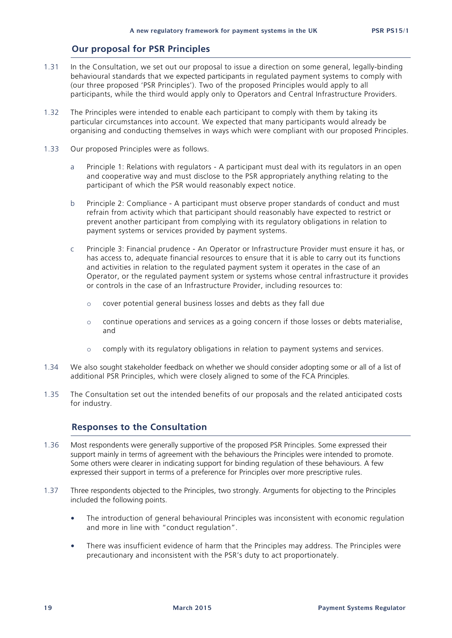### **Our proposal for PSR Principles**

- 1.31 In the Consultation, we set out our proposal to issue a direction on some general, legally-binding behavioural standards that we expected participants in regulated payment systems to comply with (our three proposed 'PSR Principles'). Two of the proposed Principles would apply to all participants, while the third would apply only to Operators and Central Infrastructure Providers.
- 1.32 The Principles were intended to enable each participant to comply with them by taking its particular circumstances into account. We expected that many participants would already be organising and conducting themselves in ways which were compliant with our proposed Principles.
- 1.33 Our proposed Principles were as follows.
	- a Principle 1: Relations with regulators A participant must deal with its regulators in an open and cooperative way and must disclose to the PSR appropriately anything relating to the participant of which the PSR would reasonably expect notice.
	- b Principle 2: Compliance A participant must observe proper standards of conduct and must refrain from activity which that participant should reasonably have expected to restrict or prevent another participant from complying with its regulatory obligations in relation to payment systems or services provided by payment systems.
	- c Principle 3: Financial prudence An Operator or Infrastructure Provider must ensure it has, or has access to, adequate financial resources to ensure that it is able to carry out its functions and activities in relation to the regulated payment system it operates in the case of an Operator, or the regulated payment system or systems whose central infrastructure it provides or controls in the case of an Infrastructure Provider, including resources to:
		- o cover potential general business losses and debts as they fall due
		- o continue operations and services as a going concern if those losses or debts materialise, and
		- $\circ$  comply with its regulatory obligations in relation to payment systems and services.
- 1.34 We also sought stakeholder feedback on whether we should consider adopting some or all of a list of additional PSR Principles, which were closely aligned to some of the FCA Principles.
- 1.35 The Consultation set out the intended benefits of our proposals and the related anticipated costs for industry.

### **Responses to the Consultation**

- 1.36 Most respondents were generally supportive of the proposed PSR Principles. Some expressed their support mainly in terms of agreement with the behaviours the Principles were intended to promote. Some others were clearer in indicating support for binding regulation of these behaviours. A few expressed their support in terms of a preference for Principles over more prescriptive rules.
- 1.37 Three respondents objected to the Principles, two strongly. Arguments for objecting to the Principles included the following points.
	- The introduction of general behavioural Principles was inconsistent with economic regulation and more in line with "conduct regulation".
	- There was insufficient evidence of harm that the Principles may address. The Principles were precautionary and inconsistent with the PSR's duty to act proportionately.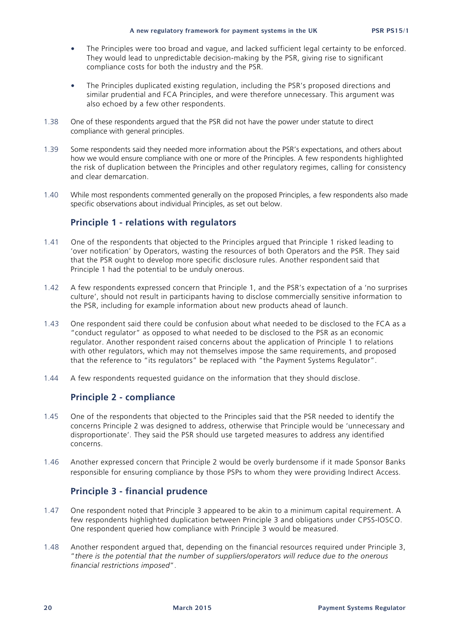- The Principles were too broad and vague, and lacked sufficient legal certainty to be enforced. They would lead to unpredictable decision-making by the PSR, giving rise to significant compliance costs for both the industry and the PSR.
- The Principles duplicated existing regulation, including the PSR's proposed directions and similar prudential and FCA Principles, and were therefore unnecessary. This argument was also echoed by a few other respondents.
- 1.38 One of these respondents argued that the PSR did not have the power under statute to direct compliance with general principles.
- 1.39 Some respondents said they needed more information about the PSR's expectations, and others about how we would ensure compliance with one or more of the Principles. A few respondents highlighted the risk of duplication between the Principles and other regulatory regimes, calling for consistency and clear demarcation.
- 1.40 While most respondents commented generally on the proposed Principles, a few respondents also made specific observations about individual Principles, as set out below.

### **Principle 1 - relations with regulators**

- 1.41 One of the respondents that objected to the Principles argued that Principle 1 risked leading to 'over notification' by Operators, wasting the resources of both Operators and the PSR. They said that the PSR ought to develop more specific disclosure rules. Another respondent said that Principle 1 had the potential to be unduly onerous.
- 1.42 A few respondents expressed concern that Principle 1, and the PSR's expectation of a 'no surprises culture', should not result in participants having to disclose commercially sensitive information to the PSR, including for example information about new products ahead of launch.
- 1.43 One respondent said there could be confusion about what needed to be disclosed to the FCA as a "conduct regulator" as opposed to what needed to be disclosed to the PSR as an economic regulator. Another respondent raised concerns about the application of Principle 1 to relations with other regulators, which may not themselves impose the same requirements, and proposed that the reference to "its regulators" be replaced with "the Payment Systems Regulator".
- 1.44 A few respondents requested guidance on the information that they should disclose.

### **Principle 2 - compliance**

- 1.45 One of the respondents that objected to the Principles said that the PSR needed to identify the concerns Principle 2 was designed to address, otherwise that Principle would be 'unnecessary and disproportionate'. They said the PSR should use targeted measures to address any identified concerns.
- 1.46 Another expressed concern that Principle 2 would be overly burdensome if it made Sponsor Banks responsible for ensuring compliance by those PSPs to whom they were providing Indirect Access.

### **Principle 3 - financial prudence**

- 1.47 One respondent noted that Principle 3 appeared to be akin to a minimum capital requirement. A few respondents highlighted duplication between Principle 3 and obligations under CPSS-IOSCO. One respondent queried how compliance with Principle 3 would be measured.
- 1.48 Another respondent argued that, depending on the financial resources required under Principle 3, "*there is the potential that the number of suppliers/operators will reduce due to the onerous financial restrictions imposed*".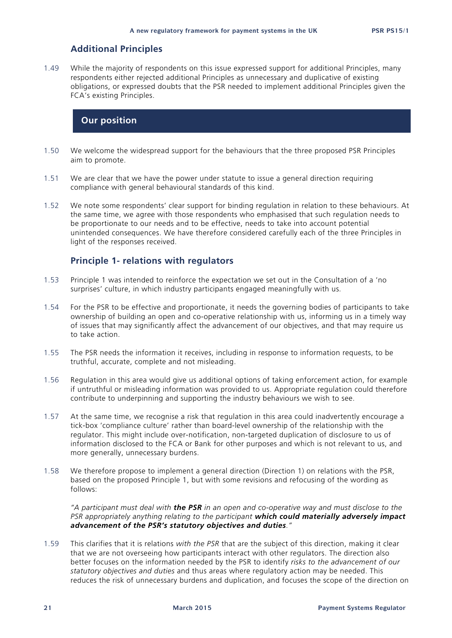### **Additional Principles**

1.49 While the majority of respondents on this issue expressed support for additional Principles, many respondents either rejected additional Principles as unnecessary and duplicative of existing obligations, or expressed doubts that the PSR needed to implement additional Principles given the FCA's existing Principles.

### **Our position**

- 1.50 We welcome the widespread support for the behaviours that the three proposed PSR Principles aim to promote.
- 1.51 We are clear that we have the power under statute to issue a general direction requiring compliance with general behavioural standards of this kind.
- 1.52 We note some respondents' clear support for binding regulation in relation to these behaviours. At the same time, we agree with those respondents who emphasised that such regulation needs to be proportionate to our needs and to be effective, needs to take into account potential unintended consequences. We have therefore considered carefully each of the three Principles in light of the responses received.

### **Principle 1- relations with regulators**

- 1.53 Principle 1 was intended to reinforce the expectation we set out in the Consultation of a 'no surprises' culture, in which industry participants engaged meaningfully with us.
- 1.54 For the PSR to be effective and proportionate, it needs the governing bodies of participants to take ownership of building an open and co-operative relationship with us, informing us in a timely way of issues that may significantly affect the advancement of our objectives, and that may require us to take action.
- 1.55 The PSR needs the information it receives, including in response to information requests, to be truthful, accurate, complete and not misleading.
- 1.56 Regulation in this area would give us additional options of taking enforcement action, for example if untruthful or misleading information was provided to us. Appropriate regulation could therefore contribute to underpinning and supporting the industry behaviours we wish to see.
- 1.57 At the same time, we recognise a risk that regulation in this area could inadvertently encourage a tick-box 'compliance culture' rather than board-level ownership of the relationship with the regulator. This might include over-notification, non-targeted duplication of disclosure to us of information disclosed to the FCA or Bank for other purposes and which is not relevant to us, and more generally, unnecessary burdens.
- 1.58 We therefore propose to implement a general direction (Direction 1) on relations with the PSR, based on the proposed Principle 1, but with some revisions and refocusing of the wording as follows:

*"A participant must deal with the PSR in an open and co-operative way and must disclose to the PSR appropriately anything relating to the participant which could materially adversely impact advancement of the PSR's statutory objectives and duties."*

1.59 This clarifies that it is relations *with the PSR* that are the subject of this direction, making it clear that we are not overseeing how participants interact with other regulators. The direction also better focuses on the information needed by the PSR to identify *risks to the advancement of our statutory objectives and duties* and thus areas where regulatory action may be needed. This reduces the risk of unnecessary burdens and duplication, and focuses the scope of the direction on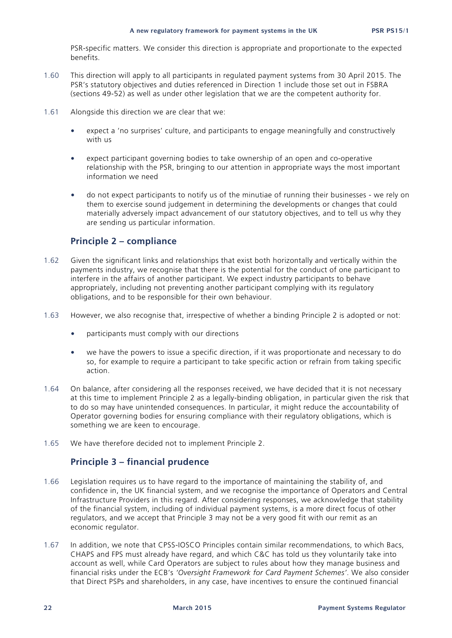PSR-specific matters. We consider this direction is appropriate and proportionate to the expected benefits.

- 1.60 This direction will apply to all participants in regulated payment systems from 30 April 2015. The PSR's statutory objectives and duties referenced in Direction 1 include those set out in FSBRA (sections 49-52) as well as under other legislation that we are the competent authority for.
- 1.61 Alongside this direction we are clear that we:
	- expect a 'no surprises' culture, and participants to engage meaningfully and constructively with us
	- expect participant governing bodies to take ownership of an open and co-operative relationship with the PSR, bringing to our attention in appropriate ways the most important information we need
	- do not expect participants to notify us of the minutiae of running their businesses we rely on them to exercise sound judgement in determining the developments or changes that could materially adversely impact advancement of our statutory objectives, and to tell us why they are sending us particular information.

### **Principle 2 – compliance**

- 1.62 Given the significant links and relationships that exist both horizontally and vertically within the payments industry, we recognise that there is the potential for the conduct of one participant to interfere in the affairs of another participant. We expect industry participants to behave appropriately, including not preventing another participant complying with its regulatory obligations, and to be responsible for their own behaviour.
- 1.63 However, we also recognise that, irrespective of whether a binding Principle 2 is adopted or not:
	- participants must comply with our directions
	- we have the powers to issue a specific direction, if it was proportionate and necessary to do so, for example to require a participant to take specific action or refrain from taking specific action.
- 1.64 On balance, after considering all the responses received, we have decided that it is not necessary at this time to implement Principle 2 as a legally-binding obligation, in particular given the risk that to do so may have unintended consequences. In particular, it might reduce the accountability of Operator governing bodies for ensuring compliance with their regulatory obligations, which is something we are keen to encourage.
- 1.65 We have therefore decided not to implement Principle 2.

### **Principle 3 – financial prudence**

- 1.66 Legislation requires us to have regard to the importance of maintaining the stability of, and confidence in, the UK financial system, and we recognise the importance of Operators and Central Infrastructure Providers in this regard. After considering responses, we acknowledge that stability of the financial system, including of individual payment systems, is a more direct focus of other regulators, and we accept that Principle 3 may not be a very good fit with our remit as an economic regulator.
- 1.67 In addition, we note that CPSS-IOSCO Principles contain similar recommendations, to which Bacs, CHAPS and FPS must already have regard, and which C&C has told us they voluntarily take into account as well, while Card Operators are subject to rules about how they manage business and financial risks under the ECB's *'Oversight Framework for Card Payment Schemes'*. We also consider that Direct PSPs and shareholders, in any case, have incentives to ensure the continued financial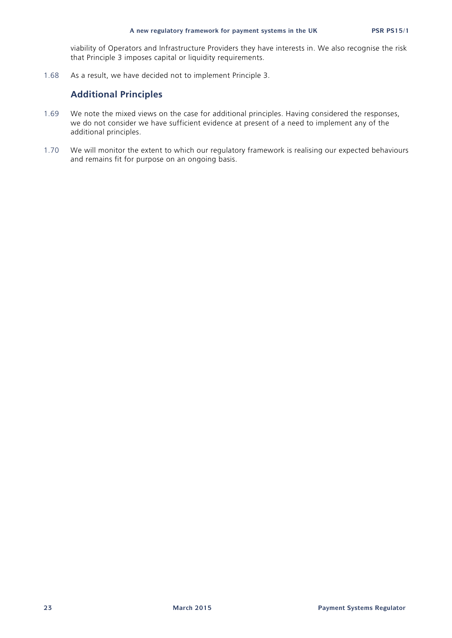viability of Operators and Infrastructure Providers they have interests in. We also recognise the risk that Principle 3 imposes capital or liquidity requirements.

1.68 As a result, we have decided not to implement Principle 3.

### **Additional Principles**

- 1.69 We note the mixed views on the case for additional principles. Having considered the responses, we do not consider we have sufficient evidence at present of a need to implement any of the additional principles.
- 1.70 We will monitor the extent to which our regulatory framework is realising our expected behaviours and remains fit for purpose on an ongoing basis.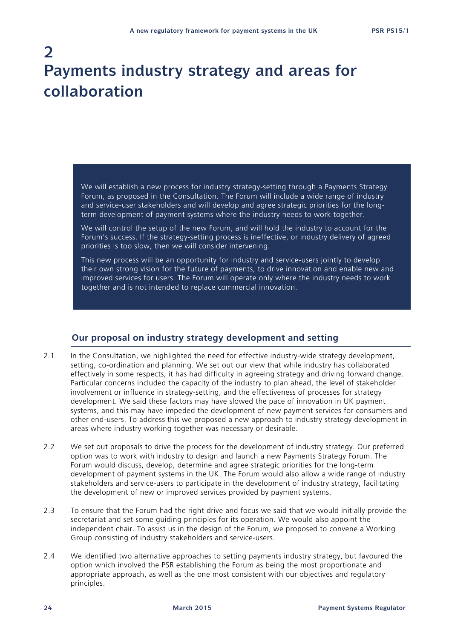# **2 Payments industry strategy and areas for collaboration**

We will establish a new process for industry strategy-setting through a Payments Strategy Forum, as proposed in the Consultation. The Forum will include a wide range of industry and service-user stakeholders and will develop and agree strategic priorities for the longterm development of payment systems where the industry needs to work together.

We will control the setup of the new Forum, and will hold the industry to account for the Forum's success. If the strategy-setting process is ineffective, or industry delivery of agreed priorities is too slow, then we will consider intervening.

This new process will be an opportunity for industry and service-users jointly to develop their own strong vision for the future of payments, to drive innovation and enable new and improved services for users. The Forum will operate only where the industry needs to work together and is not intended to replace commercial innovation.

### **Our proposal on industry strategy development and setting**

- 2.1 In the Consultation, we highlighted the need for effective industry-wide strategy development, setting, co-ordination and planning. We set out our view that while industry has collaborated effectively in some respects, it has had difficulty in agreeing strategy and driving forward change. Particular concerns included the capacity of the industry to plan ahead, the level of stakeholder involvement or influence in strategy-setting, and the effectiveness of processes for strategy development. We said these factors may have slowed the pace of innovation in UK payment systems, and this may have impeded the development of new payment services for consumers and other end-users. To address this we proposed a new approach to industry strategy development in areas where industry working together was necessary or desirable.
- 2.2 We set out proposals to drive the process for the development of industry strategy. Our preferred option was to work with industry to design and launch a new Payments Strategy Forum. The Forum would discuss, develop, determine and agree strategic priorities for the long-term development of payment systems in the UK. The Forum would also allow a wide range of industry stakeholders and service-users to participate in the development of industry strategy, facilitating the development of new or improved services provided by payment systems.
- 2.3 To ensure that the Forum had the right drive and focus we said that we would initially provide the secretariat and set some guiding principles for its operation. We would also appoint the independent chair. To assist us in the design of the Forum, we proposed to convene a Working Group consisting of industry stakeholders and service-users.
- 2.4 We identified two alternative approaches to setting payments industry strategy, but favoured the option which involved the PSR establishing the Forum as being the most proportionate and appropriate approach, as well as the one most consistent with our objectives and regulatory principles.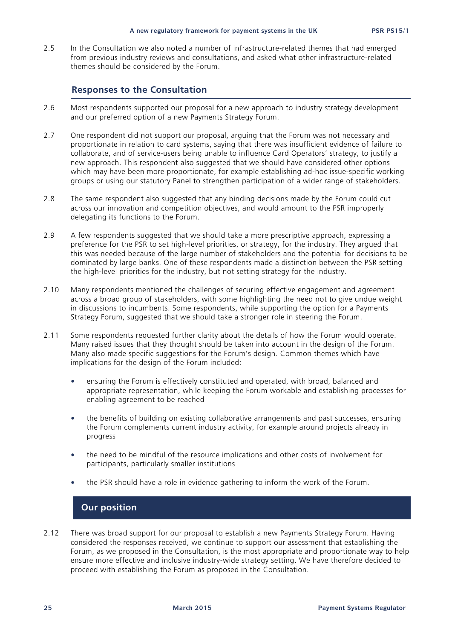2.5 In the Consultation we also noted a number of infrastructure-related themes that had emerged from previous industry reviews and consultations, and asked what other infrastructure-related themes should be considered by the Forum.

### **Responses to the Consultation**

- 2.6 Most respondents supported our proposal for a new approach to industry strategy development and our preferred option of a new Payments Strategy Forum.
- 2.7 One respondent did not support our proposal, arguing that the Forum was not necessary and proportionate in relation to card systems, saying that there was insufficient evidence of failure to collaborate, and of service-users being unable to influence Card Operators' strategy, to justify a new approach. This respondent also suggested that we should have considered other options which may have been more proportionate, for example establishing ad-hoc issue-specific working groups or using our statutory Panel to strengthen participation of a wider range of stakeholders.
- 2.8 The same respondent also suggested that any binding decisions made by the Forum could cut across our innovation and competition objectives, and would amount to the PSR improperly delegating its functions to the Forum.
- 2.9 A few respondents suggested that we should take a more prescriptive approach, expressing a preference for the PSR to set high-level priorities, or strategy, for the industry. They argued that this was needed because of the large number of stakeholders and the potential for decisions to be dominated by large banks. One of these respondents made a distinction between the PSR setting the high-level priorities for the industry, but not setting strategy for the industry.
- 2.10 Many respondents mentioned the challenges of securing effective engagement and agreement across a broad group of stakeholders, with some highlighting the need not to give undue weight in discussions to incumbents. Some respondents, while supporting the option for a Payments Strategy Forum, suggested that we should take a stronger role in steering the Forum.
- 2.11 Some respondents requested further clarity about the details of how the Forum would operate. Many raised issues that they thought should be taken into account in the design of the Forum. Many also made specific suggestions for the Forum's design. Common themes which have implications for the design of the Forum included:
	- ensuring the Forum is effectively constituted and operated, with broad, balanced and appropriate representation, while keeping the Forum workable and establishing processes for enabling agreement to be reached
	- the benefits of building on existing collaborative arrangements and past successes, ensuring the Forum complements current industry activity, for example around projects already in progress
	- the need to be mindful of the resource implications and other costs of involvement for participants, particularly smaller institutions
	- the PSR should have a role in evidence gathering to inform the work of the Forum.

### **Our position**

2.12 There was broad support for our proposal to establish a new Payments Strategy Forum. Having considered the responses received, we continue to support our assessment that establishing the Forum, as we proposed in the Consultation, is the most appropriate and proportionate way to help ensure more effective and inclusive industry-wide strategy setting. We have therefore decided to proceed with establishing the Forum as proposed in the Consultation.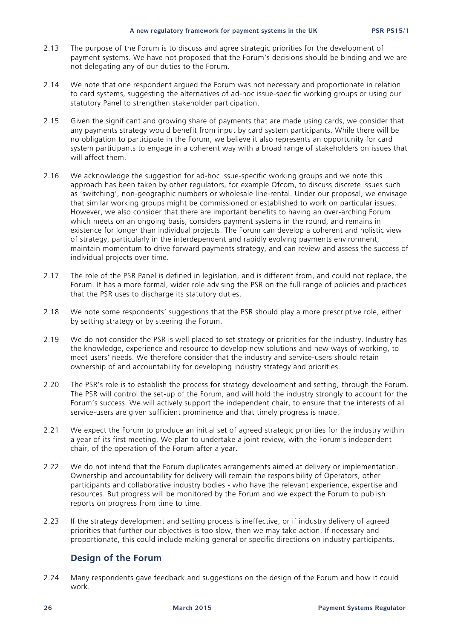- 2.13 The purpose of the Forum is to discuss and agree strategic priorities for the development of payment systems. We have not proposed that the Forum's decisions should be binding and we are not delegating any of our duties to the Forum.
- 2.14 We note that one respondent argued the Forum was not necessary and proportionate in relation to card systems, suggesting the alternatives of ad-hoc issue-specific working groups or using our statutory Panel to strengthen stakeholder participation.
- 2.15 Given the significant and growing share of payments that are made using cards, we consider that any payments strategy would benefit from input by card system participants. While there will be no obligation to participate in the Forum, we believe it also represents an opportunity for card system participants to engage in a coherent way with a broad range of stakeholders on issues that will affect them.
- 2.16 We acknowledge the suggestion for ad-hoc issue-specific working groups and we note this approach has been taken by other regulators, for example Ofcom, to discuss discrete issues such as 'switching', non-geographic numbers or wholesale line-rental. Under our proposal, we envisage that similar working groups might be commissioned or established to work on particular issues. However, we also consider that there are important benefits to having an over-arching Forum which meets on an ongoing basis, considers payment systems in the round, and remains in existence for longer than individual projects. The Forum can develop a coherent and holistic view of strategy, particularly in the interdependent and rapidly evolving payments environment, maintain momentum to drive forward payments strategy, and can review and assess the success of individual projects over time.
- 2.17 The role of the PSR Panel is defined in legislation, and is different from, and could not replace, the Forum. It has a more formal, wider role advising the PSR on the full range of policies and practices that the PSR uses to discharge its statutory duties.
- 2.18 We note some respondents' suggestions that the PSR should play a more prescriptive role, either by setting strategy or by steering the Forum.
- 2.19 We do not consider the PSR is well placed to set strategy or priorities for the industry. Industry has the knowledge, experience and resource to develop new solutions and new ways of working, to meet users' needs. We therefore consider that the industry and service-users should retain ownership of and accountability for developing industry strategy and priorities.
- 2.20 The PSR's role is to establish the process for strategy development and setting, through the Forum. The PSR will control the set-up of the Forum, and will hold the industry strongly to account for the Forum's success. We will actively support the independent chair, to ensure that the interests of all service-users are given sufficient prominence and that timely progress is made.
- 2.21 We expect the Forum to produce an initial set of agreed strategic priorities for the industry within a year of its first meeting. We plan to undertake a joint review, with the Forum's independent chair, of the operation of the Forum after a year.
- 2.22 We do not intend that the Forum duplicates arrangements aimed at delivery or implementation. Ownership and accountability for delivery will remain the responsibility of Operators, other participants and collaborative industry bodies - who have the relevant experience, expertise and resources. But progress will be monitored by the Forum and we expect the Forum to publish reports on progress from time to time.
- 2.23 If the strategy development and setting process is ineffective, or if industry delivery of agreed priorities that further our objectives is too slow, then we may take action. If necessary and proportionate, this could include making general or specific directions on industry participants.

### **Design of the Forum**

2.24 Many respondents gave feedback and suggestions on the design of the Forum and how it could work.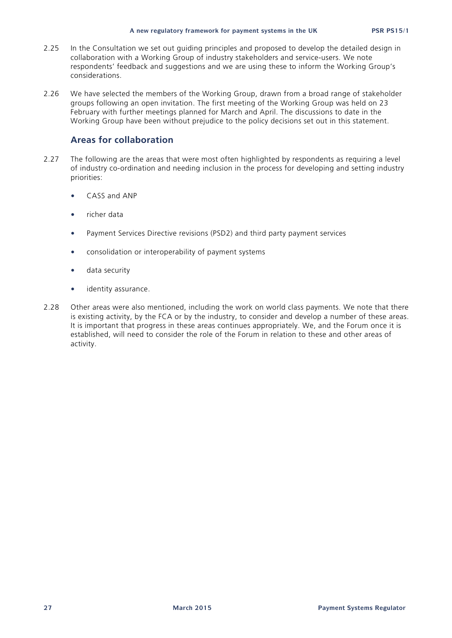- 2.25 In the Consultation we set out guiding principles and proposed to develop the detailed design in collaboration with a Working Group of industry stakeholders and service-users. We note respondents' feedback and suggestions and we are using these to inform the Working Group's considerations.
- 2.26 We have selected the members of the Working Group, drawn from a broad range of stakeholder groups following an open invitation. The first meeting of the Working Group was held on 23 February with further meetings planned for March and April. The discussions to date in the Working Group have been without prejudice to the policy decisions set out in this statement.

### **Areas for collaboration**

- 2.27 The following are the areas that were most often highlighted by respondents as requiring a level of industry co-ordination and needing inclusion in the process for developing and setting industry priorities:
	- CASS and ANP
	- richer data
	- Payment Services Directive revisions (PSD2) and third party payment services
	- consolidation or interoperability of payment systems
	- data security
	- identity assurance.
- 2.28 Other areas were also mentioned, including the work on world class payments. We note that there is existing activity, by the FCA or by the industry, to consider and develop a number of these areas. It is important that progress in these areas continues appropriately. We, and the Forum once it is established, will need to consider the role of the Forum in relation to these and other areas of activity.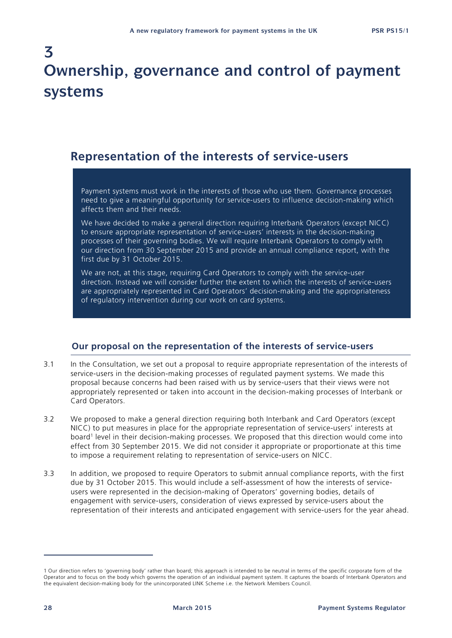# **3 Ownership, governance and control of payment systems**

### **Representation of the interests of service-users**

Payment systems must work in the interests of those who use them. Governance processes need to give a meaningful opportunity for service-users to influence decision-making which affects them and their needs.

We have decided to make a general direction requiring Interbank Operators (except NICC) to ensure appropriate representation of service-users' interests in the decision-making processes of their governing bodies. We will require Interbank Operators to comply with our direction from 30 September 2015 and provide an annual compliance report, with the first due by 31 October 2015.

We are not, at this stage, requiring Card Operators to comply with the service-user direction. Instead we will consider further the extent to which the interests of service-users are appropriately represented in Card Operators' decision-making and the appropriateness of regulatory intervention during our work on card systems.

### **Our proposal on the representation of the interests of service-users**

- 3.1 In the Consultation, we set out a proposal to require appropriate representation of the interests of service-users in the decision-making processes of regulated payment systems. We made this proposal because concerns had been raised with us by service-users that their views were not appropriately represented or taken into account in the decision-making processes of Interbank or Card Operators.
- 3.2 We proposed to make a general direction requiring both Interbank and Card Operators (except NICC) to put measures in place for the appropriate representation of service-users' interests at board<sup>1</sup> level in their decision-making processes. We proposed that this direction would come into effect from 30 September 2015. We did not consider it appropriate or proportionate at this time to impose a requirement relating to representation of service-users on NICC.
- 3.3 In addition, we proposed to require Operators to submit annual compliance reports, with the first due by 31 October 2015. This would include a self-assessment of how the interests of serviceusers were represented in the decision-making of Operators' governing bodies, details of engagement with service-users, consideration of views expressed by service-users about the representation of their interests and anticipated engagement with service-users for the year ahead.

<sup>1</sup> Our direction refers to 'governing body' rather than board; this approach is intended to be neutral in terms of the specific corporate form of the Operator and to focus on the body which governs the operation of an individual payment system. It captures the boards of Interbank Operators and the equivalent decision-making body for the unincorporated LINK Scheme i.e. the Network Members Council.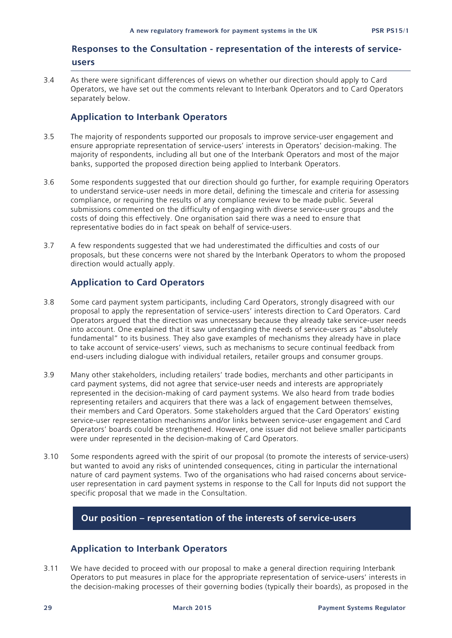### **Responses to the Consultation - representation of the interests of serviceusers**

3.4 As there were significant differences of views on whether our direction should apply to Card Operators, we have set out the comments relevant to Interbank Operators and to Card Operators separately below.

### **Application to Interbank Operators**

- 3.5 The majority of respondents supported our proposals to improve service-user engagement and ensure appropriate representation of service-users' interests in Operators' decision-making. The majority of respondents, including all but one of the Interbank Operators and most of the major banks, supported the proposed direction being applied to Interbank Operators.
- 3.6 Some respondents suggested that our direction should go further, for example requiring Operators to understand service-user needs in more detail, defining the timescale and criteria for assessing compliance, or requiring the results of any compliance review to be made public. Several submissions commented on the difficulty of engaging with diverse service-user groups and the costs of doing this effectively. One organisation said there was a need to ensure that representative bodies do in fact speak on behalf of service-users.
- 3.7 A few respondents suggested that we had underestimated the difficulties and costs of our proposals, but these concerns were not shared by the Interbank Operators to whom the proposed direction would actually apply.

### **Application to Card Operators**

- 3.8 Some card payment system participants, including Card Operators, strongly disagreed with our proposal to apply the representation of service-users' interests direction to Card Operators. Card Operators argued that the direction was unnecessary because they already take service-user needs into account. One explained that it saw understanding the needs of service-users as "absolutely fundamental" to its business. They also gave examples of mechanisms they already have in place to take account of service-users' views, such as mechanisms to secure continual feedback from end-users including dialogue with individual retailers, retailer groups and consumer groups.
- 3.9 Many other stakeholders, including retailers' trade bodies, merchants and other participants in card payment systems, did not agree that service-user needs and interests are appropriately represented in the decision-making of card payment systems. We also heard from trade bodies representing retailers and acquirers that there was a lack of engagement between themselves, their members and Card Operators. Some stakeholders argued that the Card Operators' existing service-user representation mechanisms and/or links between service-user engagement and Card Operators' boards could be strengthened. However, one issuer did not believe smaller participants were under represented in the decision-making of Card Operators.
- 3.10 Some respondents agreed with the spirit of our proposal (to promote the interests of service-users) but wanted to avoid any risks of unintended consequences, citing in particular the international nature of card payment systems. Two of the organisations who had raised concerns about serviceuser representation in card payment systems in response to the Call for Inputs did not support the specific proposal that we made in the Consultation.

### **Our position – representation of the interests of service-users**

### **Application to Interbank Operators**

3.11 We have decided to proceed with our proposal to make a general direction requiring Interbank Operators to put measures in place for the appropriate representation of service-users' interests in the decision-making processes of their governing bodies (typically their boards), as proposed in the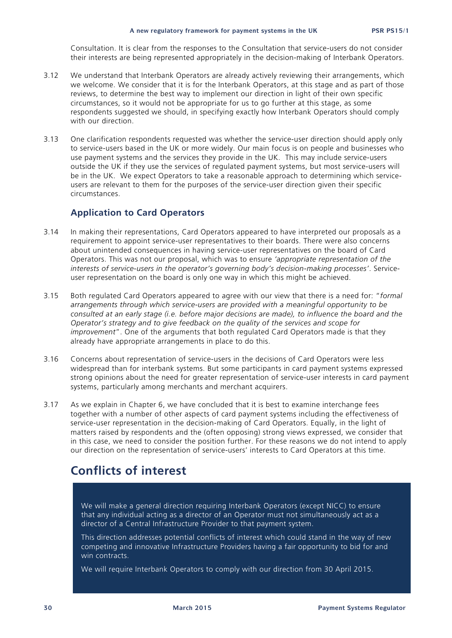Consultation. It is clear from the responses to the Consultation that service-users do not consider their interests are being represented appropriately in the decision-making of Interbank Operators.

- 3.12 We understand that Interbank Operators are already actively reviewing their arrangements, which we welcome. We consider that it is for the Interbank Operators, at this stage and as part of those reviews, to determine the best way to implement our direction in light of their own specific circumstances, so it would not be appropriate for us to go further at this stage, as some respondents suggested we should, in specifying exactly how Interbank Operators should comply with our direction.
- 3.13 One clarification respondents requested was whether the service-user direction should apply only to service-users based in the UK or more widely. Our main focus is on people and businesses who use payment systems and the services they provide in the UK. This may include service-users outside the UK if they use the services of regulated payment systems, but most service-users will be in the UK. We expect Operators to take a reasonable approach to determining which serviceusers are relevant to them for the purposes of the service-user direction given their specific circumstances.

### **Application to Card Operators**

- 3.14 In making their representations, Card Operators appeared to have interpreted our proposals as a requirement to appoint service-user representatives to their boards. There were also concerns about unintended consequences in having service-user representatives on the board of Card Operators. This was not our proposal, which was to ensure *'appropriate representation of the interests of service-users in the operator's governing body's decision-making processes'*. Serviceuser representation on the board is only one way in which this might be achieved.
- 3.15 Both regulated Card Operators appeared to agree with our view that there is a need for: "*formal arrangements through which service-users are provided with a meaningful opportunity to be consulted at an early stage (i.e. before major decisions are made), to influence the board and the Operator's strategy and to give feedback on the quality of the services and scope for improvement*". One of the arguments that both regulated Card Operators made is that they already have appropriate arrangements in place to do this.
- 3.16 Concerns about representation of service-users in the decisions of Card Operators were less widespread than for interbank systems. But some participants in card payment systems expressed strong opinions about the need for greater representation of service-user interests in card payment systems, particularly among merchants and merchant acquirers.
- 3.17 As we explain in Chapter 6, we have concluded that it is best to examine interchange fees together with a number of other aspects of card payment systems including the effectiveness of service-user representation in the decision-making of Card Operators. Equally, in the light of matters raised by respondents and the (often opposing) strong views expressed, we consider that in this case, we need to consider the position further. For these reasons we do not intend to apply our direction on the representation of service-users' interests to Card Operators at this time.

### **Conflicts of interest**

We will make a general direction requiring Interbank Operators (except NICC) to ensure that any individual acting as a director of an Operator must not simultaneously act as a director of a Central Infrastructure Provider to that payment system.

This direction addresses potential conflicts of interest which could stand in the way of new competing and innovative Infrastructure Providers having a fair opportunity to bid for and win contracts.

We will require Interbank Operators to comply with our direction from 30 April 2015.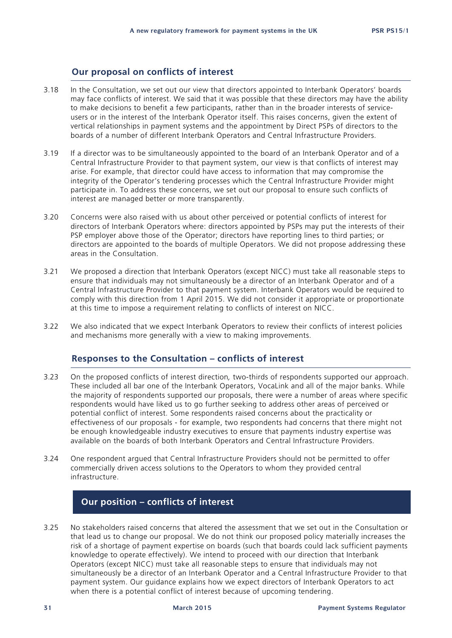### **Our proposal on conflicts of interest**

- 3.18 In the Consultation, we set out our view that directors appointed to Interbank Operators' boards may face conflicts of interest. We said that it was possible that these directors may have the ability to make decisions to benefit a few participants, rather than in the broader interests of serviceusers or in the interest of the Interbank Operator itself. This raises concerns, given the extent of vertical relationships in payment systems and the appointment by Direct PSPs of directors to the boards of a number of different Interbank Operators and Central Infrastructure Providers.
- 3.19 If a director was to be simultaneously appointed to the board of an Interbank Operator and of a Central Infrastructure Provider to that payment system, our view is that conflicts of interest may arise. For example, that director could have access to information that may compromise the integrity of the Operator's tendering processes which the Central Infrastructure Provider might participate in. To address these concerns, we set out our proposal to ensure such conflicts of interest are managed better or more transparently.
- 3.20 Concerns were also raised with us about other perceived or potential conflicts of interest for directors of Interbank Operators where: directors appointed by PSPs may put the interests of their PSP employer above those of the Operator; directors have reporting lines to third parties; or directors are appointed to the boards of multiple Operators. We did not propose addressing these areas in the Consultation.
- 3.21 We proposed a direction that Interbank Operators (except NICC) must take all reasonable steps to ensure that individuals may not simultaneously be a director of an Interbank Operator and of a Central Infrastructure Provider to that payment system. Interbank Operators would be required to comply with this direction from 1 April 2015. We did not consider it appropriate or proportionate at this time to impose a requirement relating to conflicts of interest on NICC.
- 3.22 We also indicated that we expect Interbank Operators to review their conflicts of interest policies and mechanisms more generally with a view to making improvements.

### **Responses to the Consultation – conflicts of interest**

- 3.23 On the proposed conflicts of interest direction*,* two-thirds of respondents supported our approach. These included all bar one of the Interbank Operators, VocaLink and all of the major banks. While the majority of respondents supported our proposals, there were a number of areas where specific respondents would have liked us to go further seeking to address other areas of perceived or potential conflict of interest. Some respondents raised concerns about the practicality or effectiveness of our proposals - for example, two respondents had concerns that there might not be enough knowledgeable industry executives to ensure that payments industry expertise was available on the boards of both Interbank Operators and Central Infrastructure Providers.
- 3.24 One respondent argued that Central Infrastructure Providers should not be permitted to offer commercially driven access solutions to the Operators to whom they provided central infrastructure.

### **Our position – conflicts of interest**

3.25 No stakeholders raised concerns that altered the assessment that we set out in the Consultation or that lead us to change our proposal. We do not think our proposed policy materially increases the risk of a shortage of payment expertise on boards (such that boards could lack sufficient payments knowledge to operate effectively). We intend to proceed with our direction that Interbank Operators (except NICC) must take all reasonable steps to ensure that individuals may not simultaneously be a director of an Interbank Operator and a Central Infrastructure Provider to that payment system. Our guidance explains how we expect directors of Interbank Operators to act when there is a potential conflict of interest because of upcoming tendering.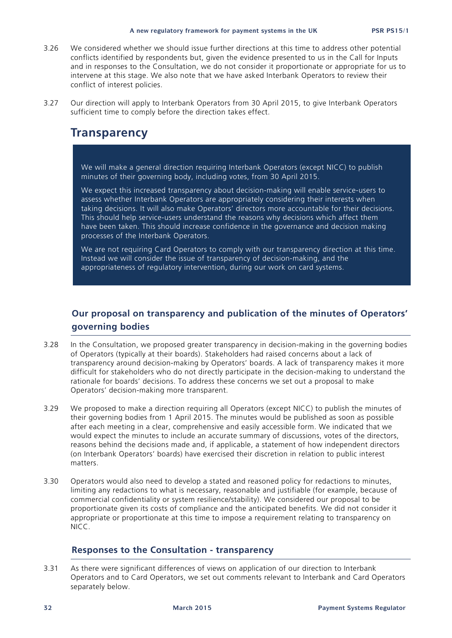- 3.26 We considered whether we should issue further directions at this time to address other potential conflicts identified by respondents but, given the evidence presented to us in the Call for Inputs and in responses to the Consultation, we do not consider it proportionate or appropriate for us to intervene at this stage. We also note that we have asked Interbank Operators to review their conflict of interest policies.
- 3.27 Our direction will apply to Interbank Operators from 30 April 2015, to give Interbank Operators sufficient time to comply before the direction takes effect.

### **Transparency**

We will make a general direction requiring Interbank Operators (except NICC) to publish minutes of their governing body, including votes, from 30 April 2015.

We expect this increased transparency about decision-making will enable service-users to assess whether Interbank Operators are appropriately considering their interests when taking decisions. It will also make Operators' directors more accountable for their decisions. This should help service-users understand the reasons why decisions which affect them have been taken. This should increase confidence in the governance and decision making processes of the Interbank Operators.

We are not requiring Card Operators to comply with our transparency direction at this time. Instead we will consider the issue of transparency of decision-making, and the appropriateness of regulatory intervention, during our work on card systems.

### **Our proposal on transparency and publication of the minutes of Operators' governing bodies**

- 3.28 In the Consultation, we proposed greater transparency in decision-making in the governing bodies of Operators (typically at their boards). Stakeholders had raised concerns about a lack of transparency around decision-making by Operators' boards. A lack of transparency makes it more difficult for stakeholders who do not directly participate in the decision-making to understand the rationale for boards' decisions. To address these concerns we set out a proposal to make Operators' decision-making more transparent.
- 3.29 We proposed to make a direction requiring all Operators (except NICC) to publish the minutes of their governing bodies from 1 April 2015. The minutes would be published as soon as possible after each meeting in a clear, comprehensive and easily accessible form. We indicated that we would expect the minutes to include an accurate summary of discussions, votes of the directors, reasons behind the decisions made and, if applicable, a statement of how independent directors (on Interbank Operators' boards) have exercised their discretion in relation to public interest matters.
- 3.30 Operators would also need to develop a stated and reasoned policy for redactions to minutes, limiting any redactions to what is necessary, reasonable and justifiable (for example, because of commercial confidentiality or system resilience/stability). We considered our proposal to be proportionate given its costs of compliance and the anticipated benefits. We did not consider it appropriate or proportionate at this time to impose a requirement relating to transparency on NICC.

### **Responses to the Consultation - transparency**

3.31 As there were significant differences of views on application of our direction to Interbank Operators and to Card Operators, we set out comments relevant to Interbank and Card Operators separately below.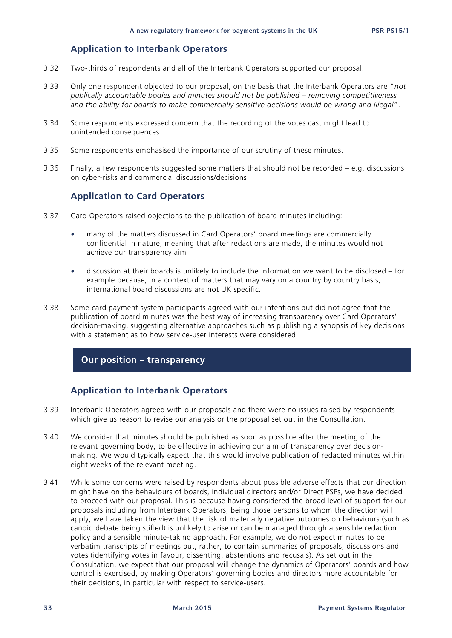### **Application to Interbank Operators**

- 3.32 Two-thirds of respondents and all of the Interbank Operators supported our proposal.
- 3.33 Only one respondent objected to our proposal, on the basis that the Interbank Operators are "*not publically accountable bodies and minutes should not be published – removing competitiveness and the ability for boards to make commercially sensitive decisions would be wrong and illegal*".
- 3.34 Some respondents expressed concern that the recording of the votes cast might lead to unintended consequences.
- 3.35 Some respondents emphasised the importance of our scrutiny of these minutes.
- 3.36 Finally, a few respondents suggested some matters that should not be recorded e.g. discussions on cyber-risks and commercial discussions/decisions.

### **Application to Card Operators**

- 3.37 Card Operators raised objections to the publication of board minutes including:
	- many of the matters discussed in Card Operators' board meetings are commercially confidential in nature, meaning that after redactions are made, the minutes would not achieve our transparency aim
	- discussion at their boards is unlikely to include the information we want to be disclosed for example because, in a context of matters that may vary on a country by country basis, international board discussions are not UK specific.
- 3.38 Some card payment system participants agreed with our intentions but did not agree that the publication of board minutes was the best way of increasing transparency over Card Operators' decision-making, suggesting alternative approaches such as publishing a synopsis of key decisions with a statement as to how service-user interests were considered.

### **Our position – transparency**

### **Application to Interbank Operators**

- 3.39 Interbank Operators agreed with our proposals and there were no issues raised by respondents which give us reason to revise our analysis or the proposal set out in the Consultation.
- 3.40 We consider that minutes should be published as soon as possible after the meeting of the relevant governing body, to be effective in achieving our aim of transparency over decisionmaking. We would typically expect that this would involve publication of redacted minutes within eight weeks of the relevant meeting.
- 3.41 While some concerns were raised by respondents about possible adverse effects that our direction might have on the behaviours of boards, individual directors and/or Direct PSPs, we have decided to proceed with our proposal. This is because having considered the broad level of support for our proposals including from Interbank Operators, being those persons to whom the direction will apply, we have taken the view that the risk of materially negative outcomes on behaviours (such as candid debate being stifled) is unlikely to arise or can be managed through a sensible redaction policy and a sensible minute-taking approach. For example, we do not expect minutes to be verbatim transcripts of meetings but, rather, to contain summaries of proposals, discussions and votes (identifying votes in favour, dissenting, abstentions and recusals). As set out in the Consultation, we expect that our proposal will change the dynamics of Operators' boards and how control is exercised, by making Operators' governing bodies and directors more accountable for their decisions, in particular with respect to service-users.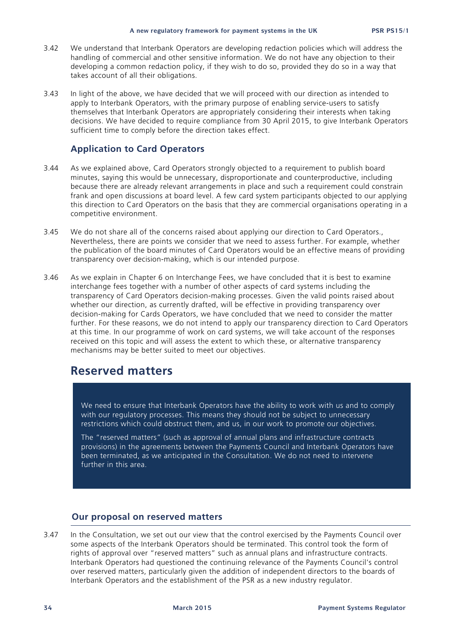- 3.42 We understand that Interbank Operators are developing redaction policies which will address the handling of commercial and other sensitive information. We do not have any objection to their developing a common redaction policy, if they wish to do so, provided they do so in a way that takes account of all their obligations.
- 3.43 In light of the above, we have decided that we will proceed with our direction as intended to apply to Interbank Operators, with the primary purpose of enabling service-users to satisfy themselves that Interbank Operators are appropriately considering their interests when taking decisions. We have decided to require compliance from 30 April 2015, to give Interbank Operators sufficient time to comply before the direction takes effect.

#### **Application to Card Operators**

- 3.44 As we explained above, Card Operators strongly objected to a requirement to publish board minutes, saying this would be unnecessary, disproportionate and counterproductive, including because there are already relevant arrangements in place and such a requirement could constrain frank and open discussions at board level. A few card system participants objected to our applying this direction to Card Operators on the basis that they are commercial organisations operating in a competitive environment.
- 3.45 We do not share all of the concerns raised about applying our direction to Card Operators., Nevertheless, there are points we consider that we need to assess further. For example, whether the publication of the board minutes of Card Operators would be an effective means of providing transparency over decision-making, which is our intended purpose.
- 3.46 As we explain in Chapter 6 on Interchange Fees, we have concluded that it is best to examine interchange fees together with a number of other aspects of card systems including the transparency of Card Operators decision-making processes. Given the valid points raised about whether our direction, as currently drafted, will be effective in providing transparency over decision-making for Cards Operators, we have concluded that we need to consider the matter further. For these reasons, we do not intend to apply our transparency direction to Card Operators at this time. In our programme of work on card systems, we will take account of the responses received on this topic and will assess the extent to which these, or alternative transparency mechanisms may be better suited to meet our objectives.

## **Reserved matters**

We need to ensure that Interbank Operators have the ability to work with us and to comply with our regulatory processes. This means they should not be subject to unnecessary restrictions which could obstruct them, and us, in our work to promote our objectives.

The "reserved matters" (such as approval of annual plans and infrastructure contracts provisions) in the agreements between the Payments Council and Interbank Operators have been terminated, as we anticipated in the Consultation. We do not need to intervene further in this area.

#### **Our proposal on reserved matters**

3.47 In the Consultation, we set out our view that the control exercised by the Payments Council over some aspects of the Interbank Operators should be terminated. This control took the form of rights of approval over "reserved matters" such as annual plans and infrastructure contracts. Interbank Operators had questioned the continuing relevance of the Payments Council's control over reserved matters, particularly given the addition of independent directors to the boards of Interbank Operators and the establishment of the PSR as a new industry regulator.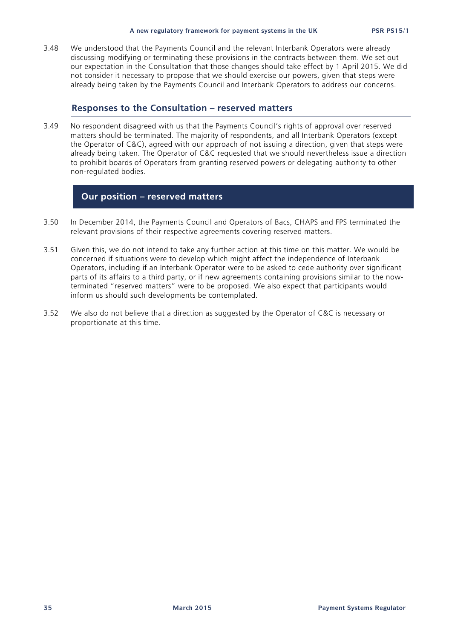3.48 We understood that the Payments Council and the relevant Interbank Operators were already discussing modifying or terminating these provisions in the contracts between them. We set out our expectation in the Consultation that those changes should take effect by 1 April 2015. We did not consider it necessary to propose that we should exercise our powers, given that steps were already being taken by the Payments Council and Interbank Operators to address our concerns.

#### **Responses to the Consultation – reserved matters**

3.49 No respondent disagreed with us that the Payments Council's rights of approval over reserved matters should be terminated. The majority of respondents, and all Interbank Operators (except the Operator of C&C), agreed with our approach of not issuing a direction, given that steps were already being taken. The Operator of C&C requested that we should nevertheless issue a direction to prohibit boards of Operators from granting reserved powers or delegating authority to other non-regulated bodies.

#### **Our position – reserved matters**

- 3.50 In December 2014, the Payments Council and Operators of Bacs, CHAPS and FPS terminated the relevant provisions of their respective agreements covering reserved matters.
- 3.51 Given this, we do not intend to take any further action at this time on this matter. We would be concerned if situations were to develop which might affect the independence of Interbank Operators, including if an Interbank Operator were to be asked to cede authority over significant parts of its affairs to a third party, or if new agreements containing provisions similar to the nowterminated "reserved matters" were to be proposed. We also expect that participants would inform us should such developments be contemplated.
- 3.52 We also do not believe that a direction as suggested by the Operator of C&C is necessary or proportionate at this time.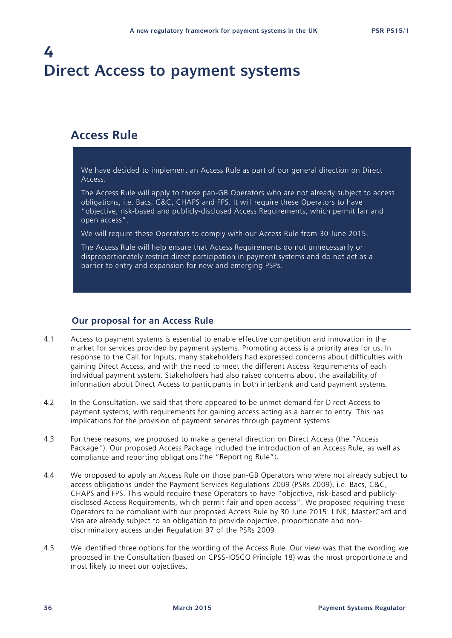# **4 Direct Access to payment systems**

## **Access Rule**

We have decided to implement an Access Rule as part of our general direction on Direct Access.

The Access Rule will apply to those pan-GB Operators who are not already subject to access obligations, i.e. Bacs, C&C, CHAPS and FPS. It will require these Operators to have "objective, risk-based and publicly-disclosed Access Requirements, which permit fair and open access".

We will require these Operators to comply with our Access Rule from 30 June 2015.

The Access Rule will help ensure that Access Requirements do not unnecessarily or disproportionately restrict direct participation in payment systems and do not act as a barrier to entry and expansion for new and emerging PSPs.

#### **Our proposal for an Access Rule**

- 4.1 Access to payment systems is essential to enable effective competition and innovation in the market for services provided by payment systems. Promoting access is a priority area for us. In response to the Call for Inputs, many stakeholders had expressed concerns about difficulties with gaining Direct Access, and with the need to meet the different Access Requirements of each individual payment system. Stakeholders had also raised concerns about the availability of information about Direct Access to participants in both interbank and card payment systems.
- 4.2 In the Consultation, we said that there appeared to be unmet demand for Direct Access to payment systems, with requirements for gaining access acting as a barrier to entry. This has implications for the provision of payment services through payment systems.
- 4.3 For these reasons, we proposed to make a general direction on Direct Access (the "Access Package"). Our proposed Access Package included the introduction of an Access Rule, as well as compliance and reporting obligations (the "Reporting Rule")**.**
- 4.4 We proposed to apply an Access Rule on those pan-GB Operators who were not already subject to access obligations under the Payment Services Regulations 2009 (PSRs 2009), i.e. Bacs, C&C, CHAPS and FPS. This would require these Operators to have "objective, risk-based and publiclydisclosed Access Requirements, which permit fair and open access". We proposed requiring these Operators to be compliant with our proposed Access Rule by 30 June 2015. LINK, MasterCard and Visa are already subject to an obligation to provide objective, proportionate and nondiscriminatory access under Regulation 97 of the PSRs 2009.
- 4.5 We identified three options for the wording of the Access Rule. Our view was that the wording we proposed in the Consultation (based on CPSS-IOSCO Principle 18) was the most proportionate and most likely to meet our objectives.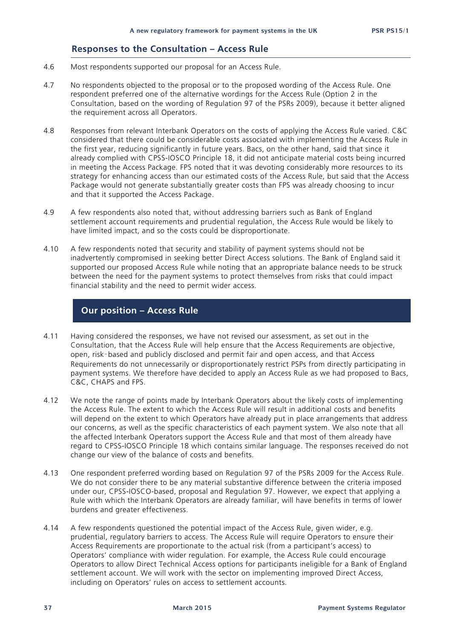#### **Responses to the Consultation – Access Rule**

- 4.6 Most respondents supported our proposal for an Access Rule.
- 4.7 No respondents objected to the proposal or to the proposed wording of the Access Rule. One respondent preferred one of the alternative wordings for the Access Rule (Option 2 in the Consultation, based on the wording of Regulation 97 of the PSRs 2009), because it better aligned the requirement across all Operators.
- 4.8 Responses from relevant Interbank Operators on the costs of applying the Access Rule varied. C&C considered that there could be considerable costs associated with implementing the Access Rule in the first year, reducing significantly in future years. Bacs, on the other hand, said that since it already complied with CPSS-IOSCO Principle 18, it did not anticipate material costs being incurred in meeting the Access Package. FPS noted that it was devoting considerably more resources to its strategy for enhancing access than our estimated costs of the Access Rule, but said that the Access Package would not generate substantially greater costs than FPS was already choosing to incur and that it supported the Access Package.
- 4.9 A few respondents also noted that, without addressing barriers such as Bank of England settlement account requirements and prudential regulation, the Access Rule would be likely to have limited impact, and so the costs could be disproportionate.
- 4.10 A few respondents noted that security and stability of payment systems should not be inadvertently compromised in seeking better Direct Access solutions. The Bank of England said it supported our proposed Access Rule while noting that an appropriate balance needs to be struck between the need for the payment systems to protect themselves from risks that could impact financial stability and the need to permit wider access.

### **Our position – Access Rule**

- 4.11 Having considered the responses, we have not revised our assessment, as set out in the Consultation, that the Access Rule will help ensure that the Access Requirements are objective, open, risk‑based and publicly disclosed and permit fair and open access, and that Access Requirements do not unnecessarily or disproportionately restrict PSPs from directly participating in payment systems. We therefore have decided to apply an Access Rule as we had proposed to Bacs, C&C, CHAPS and FPS.
- 4.12 We note the range of points made by Interbank Operators about the likely costs of implementing the Access Rule. The extent to which the Access Rule will result in additional costs and benefits will depend on the extent to which Operators have already put in place arrangements that address our concerns, as well as the specific characteristics of each payment system. We also note that all the affected Interbank Operators support the Access Rule and that most of them already have regard to CPSS-IOSCO Principle 18 which contains similar language. The responses received do not change our view of the balance of costs and benefits.
- 4.13 One respondent preferred wording based on Regulation 97 of the PSRs 2009 for the Access Rule. We do not consider there to be any material substantive difference between the criteria imposed under our, CPSS-IOSCO-based, proposal and Regulation 97. However, we expect that applying a Rule with which the Interbank Operators are already familiar, will have benefits in terms of lower burdens and greater effectiveness.
- 4.14 A few respondents questioned the potential impact of the Access Rule, given wider, e.g. prudential, regulatory barriers to access. The Access Rule will require Operators to ensure their Access Requirements are proportionate to the actual risk (from a participant's access) to Operators' compliance with wider regulation. For example, the Access Rule could encourage Operators to allow Direct Technical Access options for participants ineligible for a Bank of England settlement account. We will work with the sector on implementing improved Direct Access, including on Operators' rules on access to settlement accounts.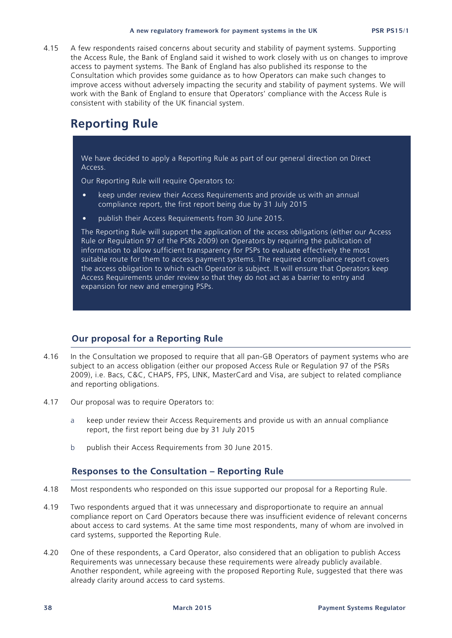4.15 A few respondents raised concerns about security and stability of payment systems. Supporting the Access Rule, the Bank of England said it wished to work closely with us on changes to improve access to payment systems. The Bank of England has also published its response to the Consultation which provides some guidance as to how Operators can make such changes to improve access without adversely impacting the security and stability of payment systems. We will work with the Bank of England to ensure that Operators' compliance with the Access Rule is consistent with stability of the UK financial system.

## **Reporting Rule**

We have decided to apply a Reporting Rule as part of our general direction on Direct Access.

Our Reporting Rule will require Operators to:

- keep under review their Access Requirements and provide us with an annual compliance report, the first report being due by 31 July 2015
- publish their Access Requirements from 30 June 2015.

The Reporting Rule will support the application of the access obligations (either our Access Rule or Regulation 97 of the PSRs 2009) on Operators by requiring the publication of information to allow sufficient transparency for PSPs to evaluate effectively the most suitable route for them to access payment systems. The required compliance report covers the access obligation to which each Operator is subject. It will ensure that Operators keep Access Requirements under review so that they do not act as a barrier to entry and expansion for new and emerging PSPs.

#### **Our proposal for a Reporting Rule**

- 4.16 In the Consultation we proposed to require that all pan-GB Operators of payment systems who are subject to an access obligation (either our proposed Access Rule or Regulation 97 of the PSRs 2009), i.e. Bacs, C&C, CHAPS, FPS, LINK, MasterCard and Visa, are subject to related compliance and reporting obligations.
- 4.17 Our proposal was to require Operators to:
	- a keep under review their Access Requirements and provide us with an annual compliance report, the first report being due by 31 July 2015
	- b publish their Access Requirements from 30 June 2015.

#### **Responses to the Consultation – Reporting Rule**

- 4.18 Most respondents who responded on this issue supported our proposal for a Reporting Rule.
- 4.19 Two respondents argued that it was unnecessary and disproportionate to require an annual compliance report on Card Operators because there was insufficient evidence of relevant concerns about access to card systems. At the same time most respondents, many of whom are involved in card systems, supported the Reporting Rule.
- 4.20 One of these respondents, a Card Operator, also considered that an obligation to publish Access Requirements was unnecessary because these requirements were already publicly available. Another respondent, while agreeing with the proposed Reporting Rule, suggested that there was already clarity around access to card systems.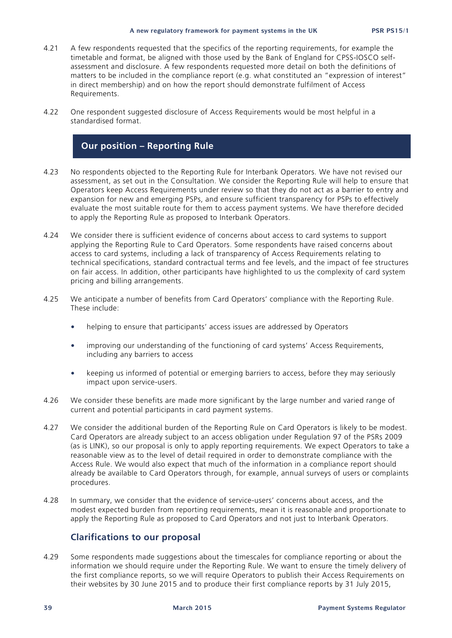- 4.21 A few respondents requested that the specifics of the reporting requirements, for example the timetable and format, be aligned with those used by the Bank of England for CPSS-IOSCO selfassessment and disclosure. A few respondents requested more detail on both the definitions of matters to be included in the compliance report (e.g. what constituted an "expression of interest" in direct membership) and on how the report should demonstrate fulfilment of Access Requirements.
- 4.22 One respondent suggested disclosure of Access Requirements would be most helpful in a standardised format.

#### **Our position – Reporting Rule**

- 4.23 No respondents objected to the Reporting Rule for Interbank Operators. We have not revised our assessment, as set out in the Consultation. We consider the Reporting Rule will help to ensure that Operators keep Access Requirements under review so that they do not act as a barrier to entry and expansion for new and emerging PSPs, and ensure sufficient transparency for PSPs to effectively evaluate the most suitable route for them to access payment systems. We have therefore decided to apply the Reporting Rule as proposed to Interbank Operators.
- 4.24 We consider there is sufficient evidence of concerns about access to card systems to support applying the Reporting Rule to Card Operators. Some respondents have raised concerns about access to card systems, including a lack of transparency of Access Requirements relating to technical specifications, standard contractual terms and fee levels, and the impact of fee structures on fair access. In addition, other participants have highlighted to us the complexity of card system pricing and billing arrangements.
- 4.25 We anticipate a number of benefits from Card Operators' compliance with the Reporting Rule. These include:
	- helping to ensure that participants' access issues are addressed by Operators
	- improving our understanding of the functioning of card systems' Access Requirements, including any barriers to access
	- keeping us informed of potential or emerging barriers to access, before they may seriously impact upon service-users.
- 4.26 We consider these benefits are made more significant by the large number and varied range of current and potential participants in card payment systems.
- 4.27 We consider the additional burden of the Reporting Rule on Card Operators is likely to be modest. Card Operators are already subject to an access obligation under Regulation 97 of the PSRs 2009 (as is LINK), so our proposal is only to apply reporting requirements. We expect Operators to take a reasonable view as to the level of detail required in order to demonstrate compliance with the Access Rule. We would also expect that much of the information in a compliance report should already be available to Card Operators through, for example, annual surveys of users or complaints procedures.
- 4.28 In summary, we consider that the evidence of service-users' concerns about access, and the modest expected burden from reporting requirements, mean it is reasonable and proportionate to apply the Reporting Rule as proposed to Card Operators and not just to Interbank Operators.

#### **Clarifications to our proposal**

4.29 Some respondents made suggestions about the timescales for compliance reporting or about the information we should require under the Reporting Rule. We want to ensure the timely delivery of the first compliance reports, so we will require Operators to publish their Access Requirements on their websites by 30 June 2015 and to produce their first compliance reports by 31 July 2015,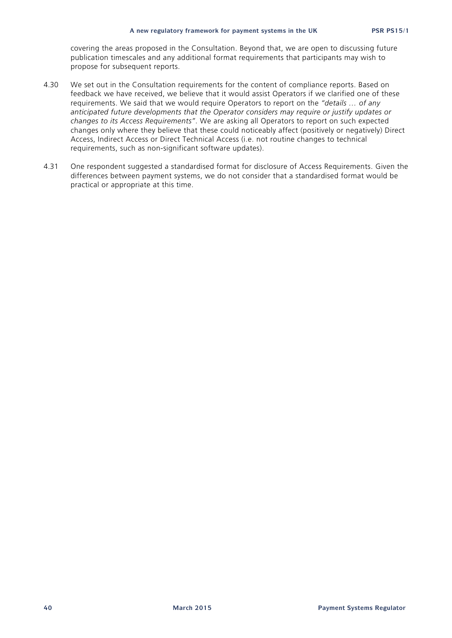covering the areas proposed in the Consultation. Beyond that, we are open to discussing future publication timescales and any additional format requirements that participants may wish to propose for subsequent reports.

- 4.30 We set out in the Consultation requirements for the content of compliance reports. Based on feedback we have received, we believe that it would assist Operators if we clarified one of these requirements. We said that we would require Operators to report on the *"details … of any anticipated future developments that the Operator considers may require or justify updates or changes to its Access Requirements"*. We are asking all Operators to report on such expected changes only where they believe that these could noticeably affect (positively or negatively) Direct Access, Indirect Access or Direct Technical Access (i.e. not routine changes to technical requirements, such as non-significant software updates).
- 4.31 One respondent suggested a standardised format for disclosure of Access Requirements. Given the differences between payment systems, we do not consider that a standardised format would be practical or appropriate at this time.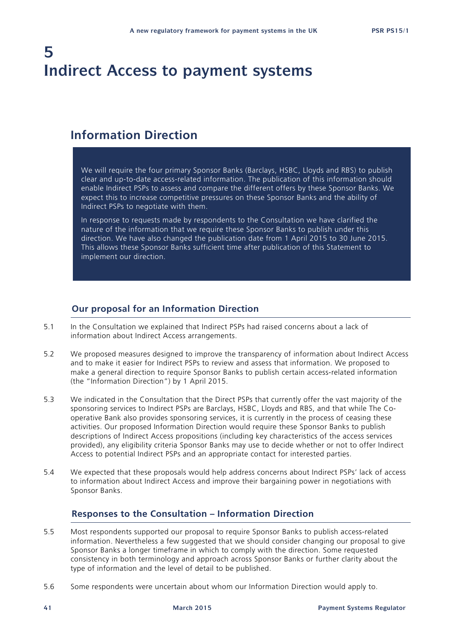# **5 Indirect Access to payment systems**

## **Information Direction**

We will require the four primary Sponsor Banks (Barclays, HSBC, Lloyds and RBS) to publish clear and up-to-date access-related information. The publication of this information should enable Indirect PSPs to assess and compare the different offers by these Sponsor Banks. We expect this to increase competitive pressures on these Sponsor Banks and the ability of Indirect PSPs to negotiate with them.

In response to requests made by respondents to the Consultation we have clarified the nature of the information that we require these Sponsor Banks to publish under this direction. We have also changed the publication date from 1 April 2015 to 30 June 2015. This allows these Sponsor Banks sufficient time after publication of this Statement to implement our direction.

#### **Our proposal for an Information Direction**

- 5.1 In the Consultation we explained that Indirect PSPs had raised concerns about a lack of information about Indirect Access arrangements.
- 5.2 We proposed measures designed to improve the transparency of information about Indirect Access and to make it easier for Indirect PSPs to review and assess that information. We proposed to make a general direction to require Sponsor Banks to publish certain access-related information (the "Information Direction") by 1 April 2015.
- 5.3 We indicated in the Consultation that the Direct PSPs that currently offer the vast majority of the sponsoring services to Indirect PSPs are Barclays, HSBC, Lloyds and RBS, and that while The Cooperative Bank also provides sponsoring services, it is currently in the process of ceasing these activities. Our proposed Information Direction would require these Sponsor Banks to publish descriptions of Indirect Access propositions (including key characteristics of the access services provided), any eligibility criteria Sponsor Banks may use to decide whether or not to offer Indirect Access to potential Indirect PSPs and an appropriate contact for interested parties.
- 5.4 We expected that these proposals would help address concerns about Indirect PSPs' lack of access to information about Indirect Access and improve their bargaining power in negotiations with Sponsor Banks.

#### **Responses to the Consultation – Information Direction**

- 5.5 Most respondents supported our proposal to require Sponsor Banks to publish access-related information. Nevertheless a few suggested that we should consider changing our proposal to give Sponsor Banks a longer timeframe in which to comply with the direction. Some requested consistency in both terminology and approach across Sponsor Banks or further clarity about the type of information and the level of detail to be published.
- 5.6 Some respondents were uncertain about whom our Information Direction would apply to.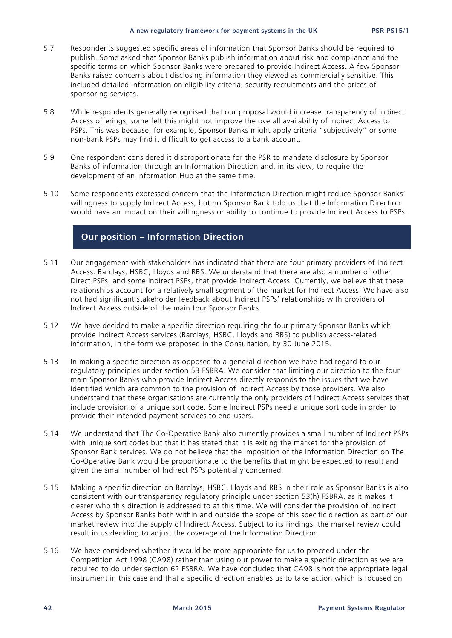- 5.7 Respondents suggested specific areas of information that Sponsor Banks should be required to publish. Some asked that Sponsor Banks publish information about risk and compliance and the specific terms on which Sponsor Banks were prepared to provide Indirect Access. A few Sponsor Banks raised concerns about disclosing information they viewed as commercially sensitive. This included detailed information on eligibility criteria, security recruitments and the prices of sponsoring services.
- 5.8 While respondents generally recognised that our proposal would increase transparency of Indirect Access offerings, some felt this might not improve the overall availability of Indirect Access to PSPs. This was because, for example, Sponsor Banks might apply criteria "subjectively" or some non-bank PSPs may find it difficult to get access to a bank account.
- 5.9 One respondent considered it disproportionate for the PSR to mandate disclosure by Sponsor Banks of information through an Information Direction and, in its view, to require the development of an Information Hub at the same time.
- 5.10 Some respondents expressed concern that the Information Direction might reduce Sponsor Banks' willingness to supply Indirect Access, but no Sponsor Bank told us that the Information Direction would have an impact on their willingness or ability to continue to provide Indirect Access to PSPs.

#### **Our position – Information Direction**

- 5.11 Our engagement with stakeholders has indicated that there are four primary providers of Indirect Access: Barclays, HSBC, Lloyds and RBS. We understand that there are also a number of other Direct PSPs, and some Indirect PSPs, that provide Indirect Access. Currently, we believe that these relationships account for a relatively small segment of the market for Indirect Access. We have also not had significant stakeholder feedback about Indirect PSPs' relationships with providers of Indirect Access outside of the main four Sponsor Banks.
- 5.12 We have decided to make a specific direction requiring the four primary Sponsor Banks which provide Indirect Access services (Barclays, HSBC, Lloyds and RBS) to publish access-related information, in the form we proposed in the Consultation, by 30 June 2015.
- 5.13 In making a specific direction as opposed to a general direction we have had regard to our regulatory principles under section 53 FSBRA. We consider that limiting our direction to the four main Sponsor Banks who provide Indirect Access directly responds to the issues that we have identified which are common to the provision of Indirect Access by those providers. We also understand that these organisations are currently the only providers of Indirect Access services that include provision of a unique sort code. Some Indirect PSPs need a unique sort code in order to provide their intended payment services to end-users.
- 5.14 We understand that The Co-Operative Bank also currently provides a small number of Indirect PSPs with unique sort codes but that it has stated that it is exiting the market for the provision of Sponsor Bank services. We do not believe that the imposition of the Information Direction on The Co-Operative Bank would be proportionate to the benefits that might be expected to result and given the small number of Indirect PSPs potentially concerned.
- 5.15 Making a specific direction on Barclays, HSBC, Lloyds and RBS in their role as Sponsor Banks is also consistent with our transparency regulatory principle under section 53(h) FSBRA, as it makes it clearer who this direction is addressed to at this time. We will consider the provision of Indirect Access by Sponsor Banks both within and outside the scope of this specific direction as part of our market review into the supply of Indirect Access. Subject to its findings, the market review could result in us deciding to adjust the coverage of the Information Direction.
- 5.16 We have considered whether it would be more appropriate for us to proceed under the Competition Act 1998 (CA98) rather than using our power to make a specific direction as we are required to do under section 62 FSBRA. We have concluded that CA98 is not the appropriate legal instrument in this case and that a specific direction enables us to take action which is focused on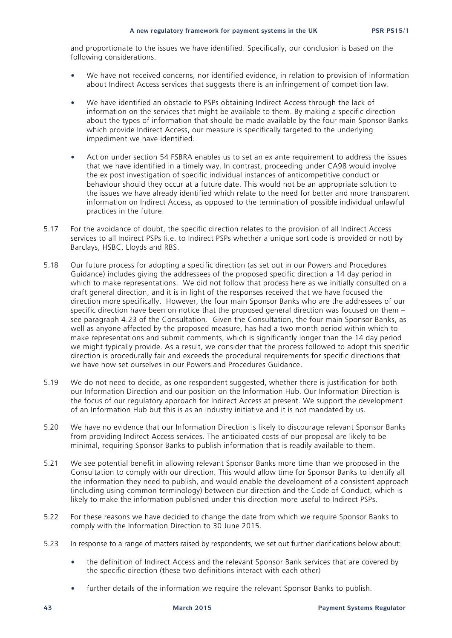and proportionate to the issues we have identified. Specifically, our conclusion is based on the following considerations.

- We have not received concerns, nor identified evidence, in relation to provision of information about Indirect Access services that suggests there is an infringement of competition law.
- We have identified an obstacle to PSPs obtaining Indirect Access through the lack of information on the services that might be available to them. By making a specific direction about the types of information that should be made available by the four main Sponsor Banks which provide Indirect Access, our measure is specifically targeted to the underlying impediment we have identified.
- Action under section 54 FSBRA enables us to set an ex ante requirement to address the issues that we have identified in a timely way. In contrast, proceeding under CA98 would involve the ex post investigation of specific individual instances of anticompetitive conduct or behaviour should they occur at a future date. This would not be an appropriate solution to the issues we have already identified which relate to the need for better and more transparent information on Indirect Access, as opposed to the termination of possible individual unlawful practices in the future.
- 5.17 For the avoidance of doubt, the specific direction relates to the provision of all Indirect Access services to all Indirect PSPs (i.e. to Indirect PSPs whether a unique sort code is provided or not) by Barclays, HSBC, Lloyds and RBS.
- 5.18 Our future process for adopting a specific direction (as set out in our Powers and Procedures Guidance) includes giving the addressees of the proposed specific direction a 14 day period in which to make representations. We did not follow that process here as we initially consulted on a draft general direction, and it is in light of the responses received that we have focused the direction more specifically. However, the four main Sponsor Banks who are the addressees of our specific direction have been on notice that the proposed general direction was focused on them – see paragraph 4.23 of the Consultation. Given the Consultation, the four main Sponsor Banks, as well as anyone affected by the proposed measure, has had a two month period within which to make representations and submit comments, which is significantly longer than the 14 day period we might typically provide. As a result, we consider that the process followed to adopt this specific direction is procedurally fair and exceeds the procedural requirements for specific directions that we have now set ourselves in our Powers and Procedures Guidance.
- 5.19 We do not need to decide, as one respondent suggested, whether there is justification for both our Information Direction and our position on the Information Hub. Our Information Direction is the focus of our regulatory approach for Indirect Access at present. We support the development of an Information Hub but this is as an industry initiative and it is not mandated by us.
- 5.20 We have no evidence that our Information Direction is likely to discourage relevant Sponsor Banks from providing Indirect Access services. The anticipated costs of our proposal are likely to be minimal, requiring Sponsor Banks to publish information that is readily available to them.
- 5.21 We see potential benefit in allowing relevant Sponsor Banks more time than we proposed in the Consultation to comply with our direction. This would allow time for Sponsor Banks to identify all the information they need to publish, and would enable the development of a consistent approach (including using common terminology) between our direction and the Code of Conduct, which is likely to make the information published under this direction more useful to Indirect PSPs.
- 5.22 For these reasons we have decided to change the date from which we require Sponsor Banks to comply with the Information Direction to 30 June 2015.
- 5.23 In response to a range of matters raised by respondents, we set out further clarifications below about:
	- the definition of Indirect Access and the relevant Sponsor Bank services that are covered by the specific direction (these two definitions interact with each other)
	- further details of the information we require the relevant Sponsor Banks to publish.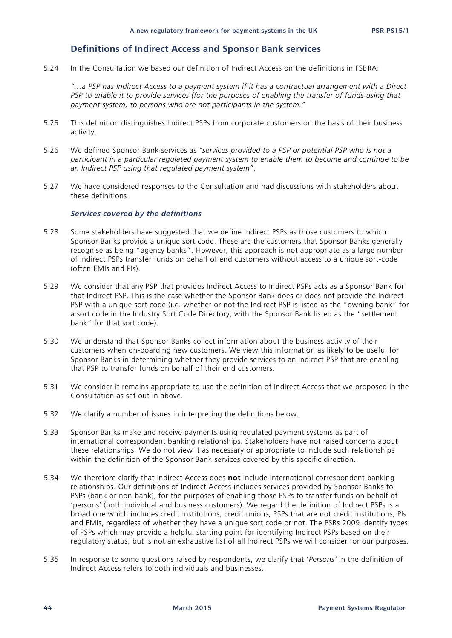#### **Definitions of Indirect Access and Sponsor Bank services**

5.24 In the Consultation we based our definition of Indirect Access on the definitions in FSBRA:

*"…a PSP has Indirect Access to a payment system if it has a contractual arrangement with a Direct PSP to enable it to provide services (for the purposes of enabling the transfer of funds using that payment system) to persons who are not participants in the system."*

- 5.25 This definition distinguishes Indirect PSPs from corporate customers on the basis of their business activity.
- 5.26 We defined Sponsor Bank services as *"services provided to a PSP or potential PSP who is not a participant in a particular regulated payment system to enable them to become and continue to be an Indirect PSP using that regulated payment system"*.
- 5.27 We have considered responses to the Consultation and had discussions with stakeholders about these definitions.

#### *Services covered by the definitions*

- 5.28 Some stakeholders have suggested that we define Indirect PSPs as those customers to which Sponsor Banks provide a unique sort code. These are the customers that Sponsor Banks generally recognise as being "agency banks". However, this approach is not appropriate as a large number of Indirect PSPs transfer funds on behalf of end customers without access to a unique sort-code (often EMIs and PIs).
- 5.29 We consider that any PSP that provides Indirect Access to Indirect PSPs acts as a Sponsor Bank for that Indirect PSP. This is the case whether the Sponsor Bank does or does not provide the Indirect PSP with a unique sort code (i.e. whether or not the Indirect PSP is listed as the "owning bank" for a sort code in the Industry Sort Code Directory, with the Sponsor Bank listed as the "settlement bank" for that sort code).
- 5.30 We understand that Sponsor Banks collect information about the business activity of their customers when on-boarding new customers. We view this information as likely to be useful for Sponsor Banks in determining whether they provide services to an Indirect PSP that are enabling that PSP to transfer funds on behalf of their end customers.
- 5.31 We consider it remains appropriate to use the definition of Indirect Access that we proposed in the Consultation as set out in above.
- 5.32 We clarify a number of issues in interpreting the definitions below.
- 5.33 Sponsor Banks make and receive payments using regulated payment systems as part of international correspondent banking relationships. Stakeholders have not raised concerns about these relationships. We do not view it as necessary or appropriate to include such relationships within the definition of the Sponsor Bank services covered by this specific direction.
- 5.34 We therefore clarify that Indirect Access does **not** include international correspondent banking relationships. Our definitions of Indirect Access includes services provided by Sponsor Banks to PSPs (bank or non-bank), for the purposes of enabling those PSPs to transfer funds on behalf of 'persons' (both individual and business customers). We regard the definition of Indirect PSPs is a broad one which includes credit institutions, credit unions, PSPs that are not credit institutions, PIs and EMIs, regardless of whether they have a unique sort code or not. The PSRs 2009 identify types of PSPs which may provide a helpful starting point for identifying Indirect PSPs based on their regulatory status, but is not an exhaustive list of all Indirect PSPs we will consider for our purposes.
- 5.35 In response to some questions raised by respondents, we clarify that '*Persons'* in the definition of Indirect Access refers to both individuals and businesses.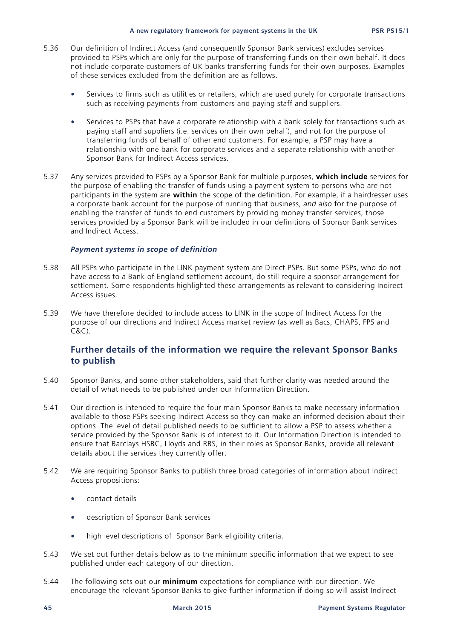- 5.36 Our definition of Indirect Access (and consequently Sponsor Bank services) excludes services provided to PSPs which are only for the purpose of transferring funds on their own behalf. It does not include corporate customers of UK banks transferring funds for their own purposes. Examples of these services excluded from the definition are as follows.
	- Services to firms such as utilities or retailers, which are used purely for corporate transactions such as receiving payments from customers and paying staff and suppliers.
	- Services to PSPs that have a corporate relationship with a bank solely for transactions such as paying staff and suppliers (i.e. services on their own behalf), and not for the purpose of transferring funds of behalf of other end customers. For example, a PSP may have a relationship with one bank for corporate services and a separate relationship with another Sponsor Bank for Indirect Access services.
- 5.37 Any services provided to PSPs by a Sponsor Bank for multiple purposes, **which include** services for the purpose of enabling the transfer of funds using a payment system to persons who are not participants in the system are **within** the scope of the definition. For example, if a hairdresser uses a corporate bank account for the purpose of running that business, *and also* for the purpose of enabling the transfer of funds to end customers by providing money transfer services, those services provided by a Sponsor Bank will be included in our definitions of Sponsor Bank services and Indirect Access.

#### *Payment systems in scope of definition*

- 5.38 All PSPs who participate in the LINK payment system are Direct PSPs. But some PSPs, who do not have access to a Bank of England settlement account, do still require a sponsor arrangement for settlement. Some respondents highlighted these arrangements as relevant to considering Indirect Access issues.
- 5.39 We have therefore decided to include access to LINK in the scope of Indirect Access for the purpose of our directions and Indirect Access market review (as well as Bacs, CHAPS, FPS and C&C).

#### **Further details of the information we require the relevant Sponsor Banks to publish**

- 5.40 Sponsor Banks, and some other stakeholders, said that further clarity was needed around the detail of what needs to be published under our Information Direction.
- 5.41 Our direction is intended to require the four main Sponsor Banks to make necessary information available to those PSPs seeking Indirect Access so they can make an informed decision about their options. The level of detail published needs to be sufficient to allow a PSP to assess whether a service provided by the Sponsor Bank is of interest to it. Our Information Direction is intended to ensure that Barclays HSBC, Lloyds and RBS, in their roles as Sponsor Banks, provide all relevant details about the services they currently offer.
- 5.42 We are requiring Sponsor Banks to publish three broad categories of information about Indirect Access propositions:
	- contact details
	- description of Sponsor Bank services
	- high level descriptions of Sponsor Bank eligibility criteria.
- 5.43 We set out further details below as to the minimum specific information that we expect to see published under each category of our direction.
- 5.44 The following sets out our **minimum** expectations for compliance with our direction. We encourage the relevant Sponsor Banks to give further information if doing so will assist Indirect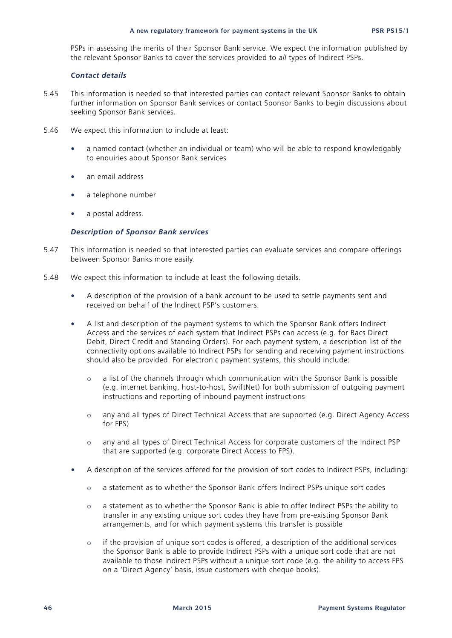PSPs in assessing the merits of their Sponsor Bank service. We expect the information published by the relevant Sponsor Banks to cover the services provided to *all* types of Indirect PSPs.

#### *Contact details*

- 5.45 This information is needed so that interested parties can contact relevant Sponsor Banks to obtain further information on Sponsor Bank services or contact Sponsor Banks to begin discussions about seeking Sponsor Bank services.
- 5.46 We expect this information to include at least:
	- a named contact (whether an individual or team) who will be able to respond knowledgably to enquiries about Sponsor Bank services
	- an email address
	- a telephone number
	- a postal address.

#### *Description of Sponsor Bank services*

- 5.47 This information is needed so that interested parties can evaluate services and compare offerings between Sponsor Banks more easily.
- 5.48 We expect this information to include at least the following details.
	- A description of the provision of a bank account to be used to settle payments sent and received on behalf of the Indirect PSP's customers.
	- A list and description of the payment systems to which the Sponsor Bank offers Indirect Access and the services of each system that Indirect PSPs can access (e.g. for Bacs Direct Debit, Direct Credit and Standing Orders). For each payment system, a description list of the connectivity options available to Indirect PSPs for sending and receiving payment instructions should also be provided. For electronic payment systems, this should include:
		- $\circ$  a list of the channels through which communication with the Sponsor Bank is possible (e.g. internet banking, host-to-host, SwiftNet) for both submission of outgoing payment instructions and reporting of inbound payment instructions
		- o any and all types of Direct Technical Access that are supported (e.g. Direct Agency Access for FPS)
		- o any and all types of Direct Technical Access for corporate customers of the Indirect PSP that are supported (e.g. corporate Direct Access to FPS).
	- A description of the services offered for the provision of sort codes to Indirect PSPs, including:
		- o a statement as to whether the Sponsor Bank offers Indirect PSPs unique sort codes
		- o a statement as to whether the Sponsor Bank is able to offer Indirect PSPs the ability to transfer in any existing unique sort codes they have from pre-existing Sponsor Bank arrangements, and for which payment systems this transfer is possible
		- o if the provision of unique sort codes is offered, a description of the additional services the Sponsor Bank is able to provide Indirect PSPs with a unique sort code that are not available to those Indirect PSPs without a unique sort code (e.g. the ability to access FPS on a 'Direct Agency' basis, issue customers with cheque books).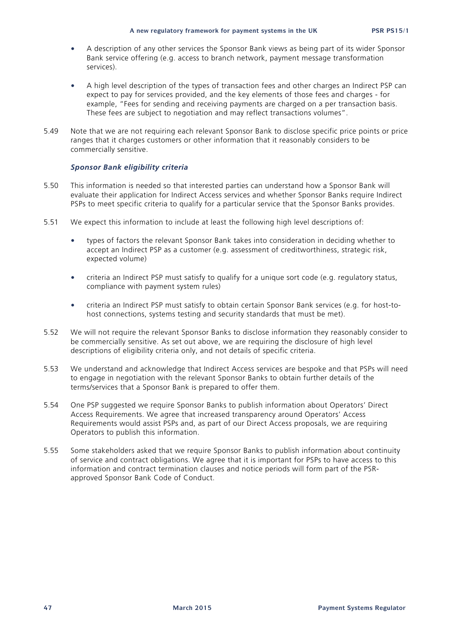- A description of any other services the Sponsor Bank views as being part of its wider Sponsor Bank service offering (e.g. access to branch network, payment message transformation services).
- A high level description of the types of transaction fees and other charges an Indirect PSP can expect to pay for services provided, and the key elements of those fees and charges - for example, "Fees for sending and receiving payments are charged on a per transaction basis. These fees are subject to negotiation and may reflect transactions volumes".
- 5.49 Note that we are not requiring each relevant Sponsor Bank to disclose specific price points or price ranges that it charges customers or other information that it reasonably considers to be commercially sensitive.

#### *Sponsor Bank eligibility criteria*

- 5.50 This information is needed so that interested parties can understand how a Sponsor Bank will evaluate their application for Indirect Access services and whether Sponsor Banks require Indirect PSPs to meet specific criteria to qualify for a particular service that the Sponsor Banks provides.
- 5.51 We expect this information to include at least the following high level descriptions of:
	- types of factors the relevant Sponsor Bank takes into consideration in deciding whether to accept an Indirect PSP as a customer (e.g. assessment of creditworthiness, strategic risk, expected volume)
	- criteria an Indirect PSP must satisfy to qualify for a unique sort code (e.g. regulatory status, compliance with payment system rules)
	- criteria an Indirect PSP must satisfy to obtain certain Sponsor Bank services (e.g. for host-tohost connections, systems testing and security standards that must be met).
- 5.52 We will not require the relevant Sponsor Banks to disclose information they reasonably consider to be commercially sensitive. As set out above, we are requiring the disclosure of high level descriptions of eligibility criteria only, and not details of specific criteria.
- 5.53 We understand and acknowledge that Indirect Access services are bespoke and that PSPs will need to engage in negotiation with the relevant Sponsor Banks to obtain further details of the terms/services that a Sponsor Bank is prepared to offer them.
- 5.54 One PSP suggested we require Sponsor Banks to publish information about Operators' Direct Access Requirements. We agree that increased transparency around Operators' Access Requirements would assist PSPs and, as part of our Direct Access proposals, we are requiring Operators to publish this information.
- 5.55 Some stakeholders asked that we require Sponsor Banks to publish information about continuity of service and contract obligations. We agree that it is important for PSPs to have access to this information and contract termination clauses and notice periods will form part of the PSRapproved Sponsor Bank Code of Conduct.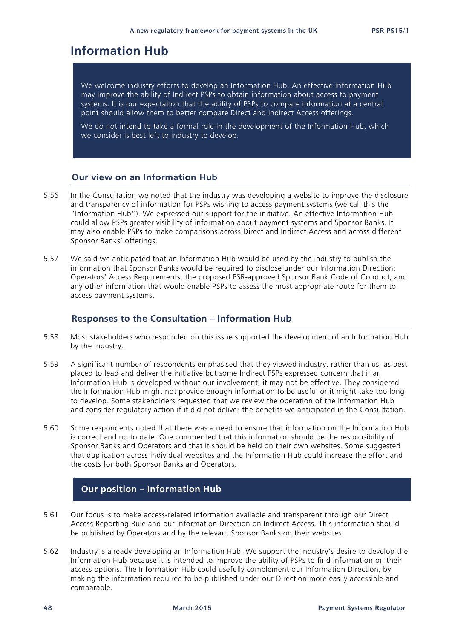## **Information Hub**

We welcome industry efforts to develop an Information Hub. An effective Information Hub may improve the ability of Indirect PSPs to obtain information about access to payment systems. It is our expectation that the ability of PSPs to compare information at a central point should allow them to better compare Direct and Indirect Access offerings.

We do not intend to take a formal role in the development of the Information Hub, which we consider is best left to industry to develop.

#### **Our view on an Information Hub**

- 5.56 In the Consultation we noted that the industry was developing a website to improve the disclosure and transparency of information for PSPs wishing to access payment systems (we call this the "Information Hub"). We expressed our support for the initiative. An effective Information Hub could allow PSPs greater visibility of information about payment systems and Sponsor Banks. It may also enable PSPs to make comparisons across Direct and Indirect Access and across different Sponsor Banks' offerings.
- 5.57 We said we anticipated that an Information Hub would be used by the industry to publish the information that Sponsor Banks would be required to disclose under our Information Direction; Operators' Access Requirements; the proposed PSR-approved Sponsor Bank Code of Conduct; and any other information that would enable PSPs to assess the most appropriate route for them to access payment systems.

#### **Responses to the Consultation – Information Hub**

- 5.58 Most stakeholders who responded on this issue supported the development of an Information Hub by the industry.
- 5.59 A significant number of respondents emphasised that they viewed industry, rather than us, as best placed to lead and deliver the initiative but some Indirect PSPs expressed concern that if an Information Hub is developed without our involvement, it may not be effective. They considered the Information Hub might not provide enough information to be useful or it might take too long to develop. Some stakeholders requested that we review the operation of the Information Hub and consider regulatory action if it did not deliver the benefits we anticipated in the Consultation.
- 5.60 Some respondents noted that there was a need to ensure that information on the Information Hub is correct and up to date. One commented that this information should be the responsibility of Sponsor Banks and Operators and that it should be held on their own websites. Some suggested that duplication across individual websites and the Information Hub could increase the effort and the costs for both Sponsor Banks and Operators.

#### **Our position – Information Hub**

- 5.61 Our focus is to make access-related information available and transparent through our Direct Access Reporting Rule and our Information Direction on Indirect Access. This information should be published by Operators and by the relevant Sponsor Banks on their websites.
- 5.62 Industry is already developing an Information Hub. We support the industry's desire to develop the Information Hub because it is intended to improve the ability of PSPs to find information on their access options. The Information Hub could usefully complement our Information Direction, by making the information required to be published under our Direction more easily accessible and comparable.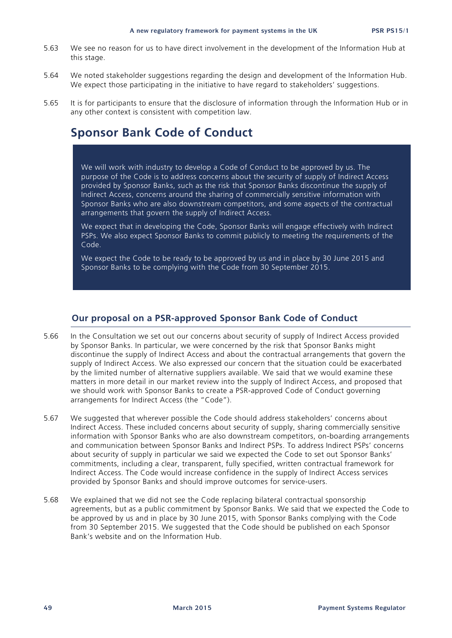- 5.63 We see no reason for us to have direct involvement in the development of the Information Hub at this stage.
- 5.64 We noted stakeholder suggestions regarding the design and development of the Information Hub. We expect those participating in the initiative to have regard to stakeholders' suggestions.
- 5.65 It is for participants to ensure that the disclosure of information through the Information Hub or in any other context is consistent with competition law.

## **Sponsor Bank Code of Conduct**

We will work with industry to develop a Code of Conduct to be approved by us. The purpose of the Code is to address concerns about the security of supply of Indirect Access provided by Sponsor Banks, such as the risk that Sponsor Banks discontinue the supply of Indirect Access, concerns around the sharing of commercially sensitive information with Sponsor Banks who are also downstream competitors, and some aspects of the contractual arrangements that govern the supply of Indirect Access.

We expect that in developing the Code, Sponsor Banks will engage effectively with Indirect PSPs. We also expect Sponsor Banks to commit publicly to meeting the requirements of the Code.

We expect the Code to be ready to be approved by us and in place by 30 June 2015 and Sponsor Banks to be complying with the Code from 30 September 2015.

#### **Our proposal on a PSR-approved Sponsor Bank Code of Conduct**

- 5.66 In the Consultation we set out our concerns about security of supply of Indirect Access provided by Sponsor Banks. In particular, we were concerned by the risk that Sponsor Banks might discontinue the supply of Indirect Access and about the contractual arrangements that govern the supply of Indirect Access. We also expressed our concern that the situation could be exacerbated by the limited number of alternative suppliers available. We said that we would examine these matters in more detail in our market review into the supply of Indirect Access, and proposed that we should work with Sponsor Banks to create a PSR-approved Code of Conduct governing arrangements for Indirect Access (the "Code").
- 5.67 We suggested that wherever possible the Code should address stakeholders' concerns about Indirect Access. These included concerns about security of supply, sharing commercially sensitive information with Sponsor Banks who are also downstream competitors, on-boarding arrangements and communication between Sponsor Banks and Indirect PSPs. To address Indirect PSPs' concerns about security of supply in particular we said we expected the Code to set out Sponsor Banks' commitments, including a clear, transparent, fully specified, written contractual framework for Indirect Access. The Code would increase confidence in the supply of Indirect Access services provided by Sponsor Banks and should improve outcomes for service-users.
- 5.68 We explained that we did not see the Code replacing bilateral contractual sponsorship agreements, but as a public commitment by Sponsor Banks. We said that we expected the Code to be approved by us and in place by 30 June 2015, with Sponsor Banks complying with the Code from 30 September 2015. We suggested that the Code should be published on each Sponsor Bank's website and on the Information Hub.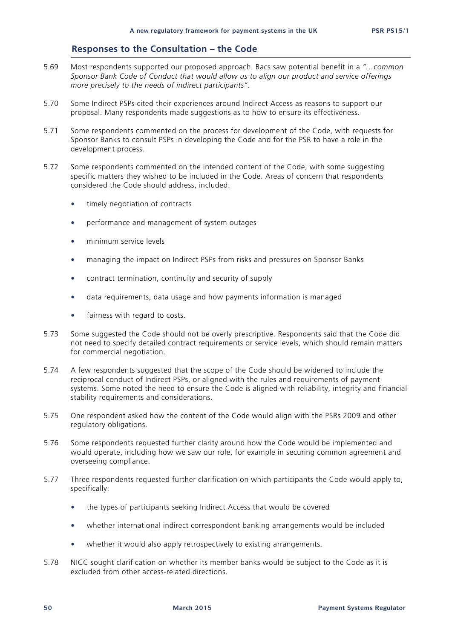#### **Responses to the Consultation – the Code**

- 5.69 Most respondents supported our proposed approach. Bacs saw potential benefit in a *"…common Sponsor Bank Code of Conduct that would allow us to align our product and service offerings more precisely to the needs of indirect participants"*.
- 5.70 Some Indirect PSPs cited their experiences around Indirect Access as reasons to support our proposal. Many respondents made suggestions as to how to ensure its effectiveness.
- 5.71 Some respondents commented on the process for development of the Code, with requests for Sponsor Banks to consult PSPs in developing the Code and for the PSR to have a role in the development process.
- 5.72 Some respondents commented on the intended content of the Code, with some suggesting specific matters they wished to be included in the Code. Areas of concern that respondents considered the Code should address, included:
	- timely negotiation of contracts
	- performance and management of system outages
	- minimum service levels
	- managing the impact on Indirect PSPs from risks and pressures on Sponsor Banks
	- contract termination, continuity and security of supply
	- data requirements, data usage and how payments information is managed
	- fairness with regard to costs.
- 5.73 Some suggested the Code should not be overly prescriptive. Respondents said that the Code did not need to specify detailed contract requirements or service levels, which should remain matters for commercial negotiation.
- 5.74 A few respondents suggested that the scope of the Code should be widened to include the reciprocal conduct of Indirect PSPs, or aligned with the rules and requirements of payment systems. Some noted the need to ensure the Code is aligned with reliability, integrity and financial stability requirements and considerations.
- 5.75 One respondent asked how the content of the Code would align with the PSRs 2009 and other regulatory obligations.
- 5.76 Some respondents requested further clarity around how the Code would be implemented and would operate, including how we saw our role, for example in securing common agreement and overseeing compliance.
- 5.77 Three respondents requested further clarification on which participants the Code would apply to, specifically:
	- the types of participants seeking Indirect Access that would be covered
	- whether international indirect correspondent banking arrangements would be included
	- whether it would also apply retrospectively to existing arrangements.
- 5.78 NICC sought clarification on whether its member banks would be subject to the Code as it is excluded from other access-related directions.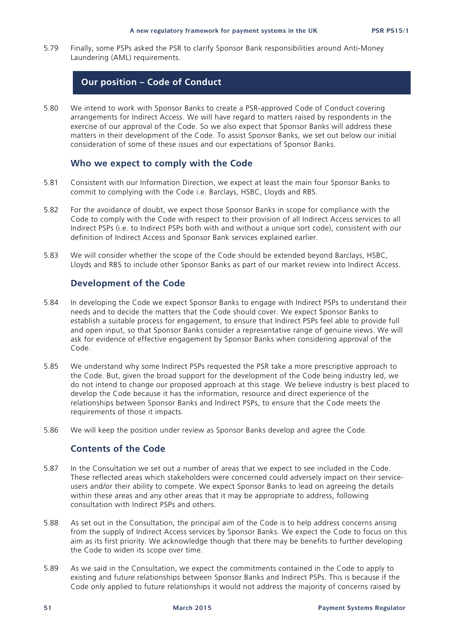5.79 Finally, some PSPs asked the PSR to clarify Sponsor Bank responsibilities around Anti-Money Laundering (AML) requirements.

#### **Our position – Code of Conduct**

5.80 We intend to work with Sponsor Banks to create a PSR-approved Code of Conduct covering arrangements for Indirect Access. We will have regard to matters raised by respondents in the exercise of our approval of the Code. So we also expect that Sponsor Banks will address these matters in their development of the Code. To assist Sponsor Banks, we set out below our initial consideration of some of these issues and our expectations of Sponsor Banks.

#### **Who we expect to comply with the Code**

- 5.81 Consistent with our Information Direction, we expect at least the main four Sponsor Banks to commit to complying with the Code i.e. Barclays, HSBC, Lloyds and RBS.
- 5.82 For the avoidance of doubt, we expect those Sponsor Banks in scope for compliance with the Code to comply with the Code with respect to their provision of all Indirect Access services to all Indirect PSPs (i.e. to Indirect PSPs both with and without a unique sort code), consistent with our definition of Indirect Access and Sponsor Bank services explained earlier.
- 5.83 We will consider whether the scope of the Code should be extended beyond Barclays, HSBC, Lloyds and RBS to include other Sponsor Banks as part of our market review into Indirect Access.

#### **Development of the Code**

- 5.84 In developing the Code we expect Sponsor Banks to engage with Indirect PSPs to understand their needs and to decide the matters that the Code should cover. We expect Sponsor Banks to establish a suitable process for engagement, to ensure that Indirect PSPs feel able to provide full and open input, so that Sponsor Banks consider a representative range of genuine views. We will ask for evidence of effective engagement by Sponsor Banks when considering approval of the Code.
- 5.85 We understand why some Indirect PSPs requested the PSR take a more prescriptive approach to the Code. But, given the broad support for the development of the Code being industry led, we do not intend to change our proposed approach at this stage. We believe industry is best placed to develop the Code because it has the information, resource and direct experience of the relationships between Sponsor Banks and Indirect PSPs, to ensure that the Code meets the requirements of those it impacts.
- 5.86 We will keep the position under review as Sponsor Banks develop and agree the Code.

#### **Contents of the Code**

- 5.87 In the Consultation we set out a number of areas that we expect to see included in the Code. These reflected areas which stakeholders were concerned could adversely impact on their serviceusers and/or their ability to compete. We expect Sponsor Banks to lead on agreeing the details within these areas and any other areas that it may be appropriate to address, following consultation with Indirect PSPs and others.
- 5.88 As set out in the Consultation, the principal aim of the Code is to help address concerns arising from the supply of Indirect Access services by Sponsor Banks. We expect the Code to focus on this aim as its first priority. We acknowledge though that there may be benefits to further developing the Code to widen its scope over time.
- 5.89 As we said in the Consultation, we expect the commitments contained in the Code to apply to existing and future relationships between Sponsor Banks and Indirect PSPs. This is because if the Code only applied to future relationships it would not address the majority of concerns raised by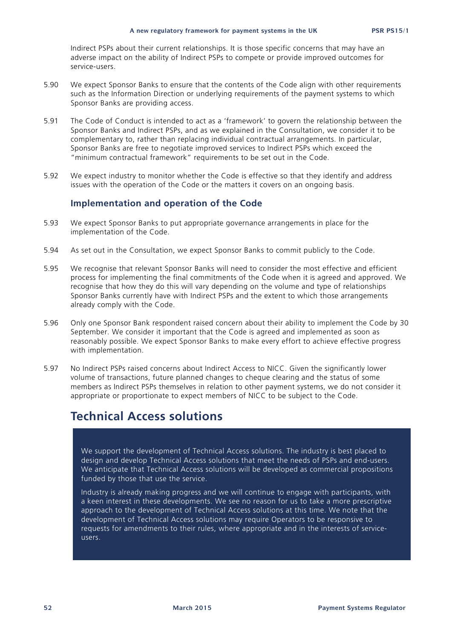Indirect PSPs about their current relationships. It is those specific concerns that may have an adverse impact on the ability of Indirect PSPs to compete or provide improved outcomes for service-users.

- 5.90 We expect Sponsor Banks to ensure that the contents of the Code align with other requirements such as the Information Direction or underlying requirements of the payment systems to which Sponsor Banks are providing access.
- 5.91 The Code of Conduct is intended to act as a 'framework' to govern the relationship between the Sponsor Banks and Indirect PSPs, and as we explained in the Consultation, we consider it to be complementary to, rather than replacing individual contractual arrangements. In particular, Sponsor Banks are free to negotiate improved services to Indirect PSPs which exceed the "minimum contractual framework" requirements to be set out in the Code.
- 5.92 We expect industry to monitor whether the Code is effective so that they identify and address issues with the operation of the Code or the matters it covers on an ongoing basis.

#### **Implementation and operation of the Code**

- 5.93 We expect Sponsor Banks to put appropriate governance arrangements in place for the implementation of the Code.
- 5.94 As set out in the Consultation, we expect Sponsor Banks to commit publicly to the Code.
- 5.95 We recognise that relevant Sponsor Banks will need to consider the most effective and efficient process for implementing the final commitments of the Code when it is agreed and approved. We recognise that how they do this will vary depending on the volume and type of relationships Sponsor Banks currently have with Indirect PSPs and the extent to which those arrangements already comply with the Code.
- 5.96 Only one Sponsor Bank respondent raised concern about their ability to implement the Code by 30 September. We consider it important that the Code is agreed and implemented as soon as reasonably possible. We expect Sponsor Banks to make every effort to achieve effective progress with implementation.
- 5.97 No Indirect PSPs raised concerns about Indirect Access to NICC. Given the significantly lower volume of transactions, future planned changes to cheque clearing and the status of some members as Indirect PSPs themselves in relation to other payment systems, we do not consider it appropriate or proportionate to expect members of NICC to be subject to the Code.

## **Technical Access solutions**

We support the development of Technical Access solutions. The industry is best placed to design and develop Technical Access solutions that meet the needs of PSPs and end-users. We anticipate that Technical Access solutions will be developed as commercial propositions funded by those that use the service.

Industry is already making progress and we will continue to engage with participants, with a keen interest in these developments. We see no reason for us to take a more prescriptive approach to the development of Technical Access solutions at this time. We note that the development of Technical Access solutions may require Operators to be responsive to requests for amendments to their rules, where appropriate and in the interests of serviceusers.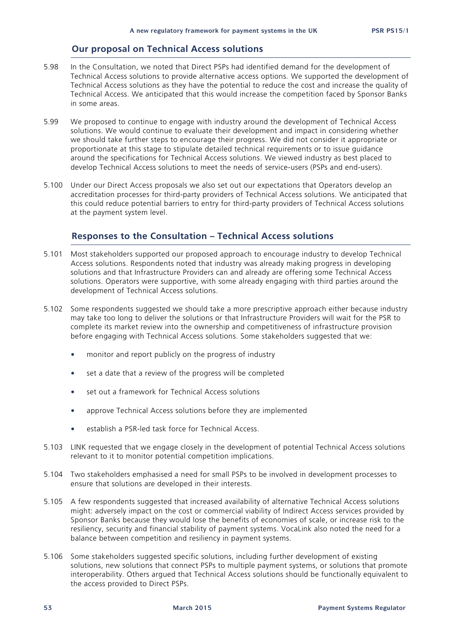#### **Our proposal on Technical Access solutions**

- 5.98 In the Consultation, we noted that Direct PSPs had identified demand for the development of Technical Access solutions to provide alternative access options. We supported the development of Technical Access solutions as they have the potential to reduce the cost and increase the quality of Technical Access. We anticipated that this would increase the competition faced by Sponsor Banks in some areas.
- 5.99 We proposed to continue to engage with industry around the development of Technical Access solutions. We would continue to evaluate their development and impact in considering whether we should take further steps to encourage their progress. We did not consider it appropriate or proportionate at this stage to stipulate detailed technical requirements or to issue guidance around the specifications for Technical Access solutions. We viewed industry as best placed to develop Technical Access solutions to meet the needs of service-users (PSPs and end-users).
- 5.100 Under our Direct Access proposals we also set out our expectations that Operators develop an accreditation processes for third-party providers of Technical Access solutions. We anticipated that this could reduce potential barriers to entry for third-party providers of Technical Access solutions at the payment system level.

#### **Responses to the Consultation – Technical Access solutions**

- 5.101 Most stakeholders supported our proposed approach to encourage industry to develop Technical Access solutions. Respondents noted that industry was already making progress in developing solutions and that Infrastructure Providers can and already are offering some Technical Access solutions. Operators were supportive, with some already engaging with third parties around the development of Technical Access solutions.
- 5.102 Some respondents suggested we should take a more prescriptive approach either because industry may take too long to deliver the solutions or that Infrastructure Providers will wait for the PSR to complete its market review into the ownership and competitiveness of infrastructure provision before engaging with Technical Access solutions. Some stakeholders suggested that we:
	- monitor and report publicly on the progress of industry
	- set a date that a review of the progress will be completed
	- set out a framework for Technical Access solutions
	- approve Technical Access solutions before they are implemented
	- establish a PSR-led task force for Technical Access.
- 5.103 LINK requested that we engage closely in the development of potential Technical Access solutions relevant to it to monitor potential competition implications.
- 5.104 Two stakeholders emphasised a need for small PSPs to be involved in development processes to ensure that solutions are developed in their interests.
- 5.105 A few respondents suggested that increased availability of alternative Technical Access solutions might: adversely impact on the cost or commercial viability of Indirect Access services provided by Sponsor Banks because they would lose the benefits of economies of scale, or increase risk to the resiliency, security and financial stability of payment systems. VocaLink also noted the need for a balance between competition and resiliency in payment systems.
- 5.106 Some stakeholders suggested specific solutions, including further development of existing solutions, new solutions that connect PSPs to multiple payment systems, or solutions that promote interoperability. Others argued that Technical Access solutions should be functionally equivalent to the access provided to Direct PSPs.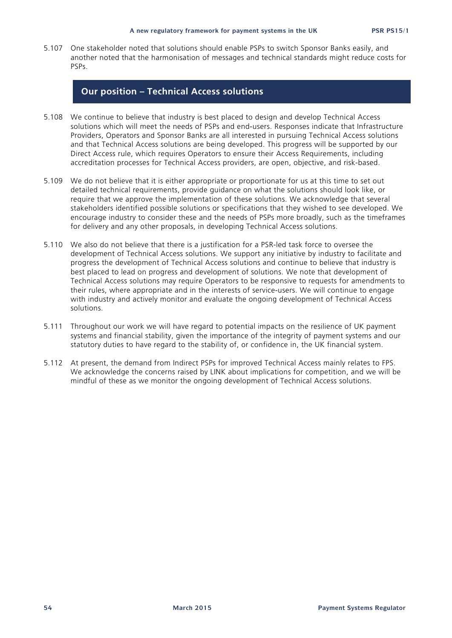5.107 One stakeholder noted that solutions should enable PSPs to switch Sponsor Banks easily, and another noted that the harmonisation of messages and technical standards might reduce costs for PSPs.

#### **Our position – Technical Access solutions**

- 5.108 We continue to believe that industry is best placed to design and develop Technical Access solutions which will meet the needs of PSPs and end-users. Responses indicate that Infrastructure Providers, Operators and Sponsor Banks are all interested in pursuing Technical Access solutions and that Technical Access solutions are being developed. This progress will be supported by our Direct Access rule, which requires Operators to ensure their Access Requirements, including accreditation processes for Technical Access providers, are open, objective, and risk-based.
- 5.109 We do not believe that it is either appropriate or proportionate for us at this time to set out detailed technical requirements, provide guidance on what the solutions should look like, or require that we approve the implementation of these solutions. We acknowledge that several stakeholders identified possible solutions or specifications that they wished to see developed. We encourage industry to consider these and the needs of PSPs more broadly, such as the timeframes for delivery and any other proposals, in developing Technical Access solutions.
- 5.110 We also do not believe that there is a justification for a PSR-led task force to oversee the development of Technical Access solutions. We support any initiative by industry to facilitate and progress the development of Technical Access solutions and continue to believe that industry is best placed to lead on progress and development of solutions. We note that development of Technical Access solutions may require Operators to be responsive to requests for amendments to their rules, where appropriate and in the interests of service-users. We will continue to engage with industry and actively monitor and evaluate the ongoing development of Technical Access solutions.
- 5.111 Throughout our work we will have regard to potential impacts on the resilience of UK payment systems and financial stability, given the importance of the integrity of payment systems and our statutory duties to have regard to the stability of, or confidence in, the UK financial system.
- 5.112 At present, the demand from Indirect PSPs for improved Technical Access mainly relates to FPS. We acknowledge the concerns raised by LINK about implications for competition, and we will be mindful of these as we monitor the ongoing development of Technical Access solutions.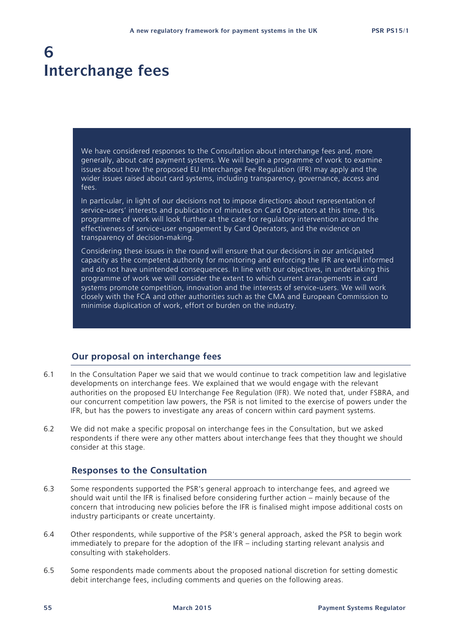## **6 Interchange fees**

We have considered responses to the Consultation about interchange fees and, more generally, about card payment systems. We will begin a programme of work to examine issues about how the proposed EU Interchange Fee Regulation (IFR) may apply and the wider issues raised about card systems, including transparency, governance, access and fees.

In particular, in light of our decisions not to impose directions about representation of service-users' interests and publication of minutes on Card Operators at this time, this programme of work will look further at the case for regulatory intervention around the effectiveness of service-user engagement by Card Operators, and the evidence on transparency of decision-making.

Considering these issues in the round will ensure that our decisions in our anticipated capacity as the competent authority for monitoring and enforcing the IFR are well informed and do not have unintended consequences. In line with our objectives, in undertaking this programme of work we will consider the extent to which current arrangements in card systems promote competition, innovation and the interests of service-users. We will work closely with the FCA and other authorities such as the CMA and European Commission to minimise duplication of work, effort or burden on the industry.

#### **Our proposal on interchange fees**

- 6.1 In the Consultation Paper we said that we would continue to track competition law and legislative developments on interchange fees. We explained that we would engage with the relevant authorities on the proposed EU Interchange Fee Regulation (IFR). We noted that, under FSBRA, and our concurrent competition law powers, the PSR is not limited to the exercise of powers under the IFR, but has the powers to investigate any areas of concern within card payment systems.
- 6.2 We did not make a specific proposal on interchange fees in the Consultation, but we asked respondents if there were any other matters about interchange fees that they thought we should consider at this stage.

#### **Responses to the Consultation**

- 6.3 Some respondents supported the PSR's general approach to interchange fees, and agreed we should wait until the IFR is finalised before considering further action – mainly because of the concern that introducing new policies before the IFR is finalised might impose additional costs on industry participants or create uncertainty.
- 6.4 Other respondents, while supportive of the PSR's general approach, asked the PSR to begin work immediately to prepare for the adoption of the IFR – including starting relevant analysis and consulting with stakeholders.
- 6.5 Some respondents made comments about the proposed national discretion for setting domestic debit interchange fees, including comments and queries on the following areas.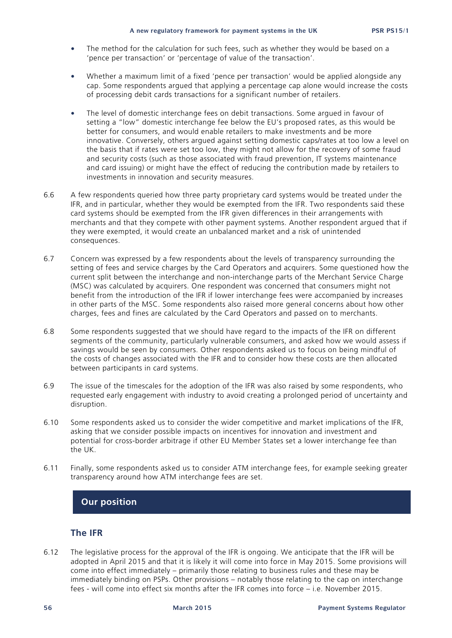- The method for the calculation for such fees, such as whether they would be based on a 'pence per transaction' or 'percentage of value of the transaction'.
- Whether a maximum limit of a fixed 'pence per transaction' would be applied alongside any cap. Some respondents argued that applying a percentage cap alone would increase the costs of processing debit cards transactions for a significant number of retailers.
- The level of domestic interchange fees on debit transactions. Some argued in favour of setting a "low" domestic interchange fee below the EU's proposed rates, as this would be better for consumers, and would enable retailers to make investments and be more innovative. Conversely, others argued against setting domestic caps/rates at too low a level on the basis that if rates were set too low, they might not allow for the recovery of some fraud and security costs (such as those associated with fraud prevention, IT systems maintenance and card issuing) or might have the effect of reducing the contribution made by retailers to investments in innovation and security measures.
- 6.6 A few respondents queried how three party proprietary card systems would be treated under the IFR, and in particular, whether they would be exempted from the IFR. Two respondents said these card systems should be exempted from the IFR given differences in their arrangements with merchants and that they compete with other payment systems. Another respondent argued that if they were exempted, it would create an unbalanced market and a risk of unintended consequences.
- 6.7 Concern was expressed by a few respondents about the levels of transparency surrounding the setting of fees and service charges by the Card Operators and acquirers. Some questioned how the current split between the interchange and non-interchange parts of the Merchant Service Charge (MSC) was calculated by acquirers. One respondent was concerned that consumers might not benefit from the introduction of the IFR if lower interchange fees were accompanied by increases in other parts of the MSC. Some respondents also raised more general concerns about how other charges, fees and fines are calculated by the Card Operators and passed on to merchants.
- 6.8 Some respondents suggested that we should have regard to the impacts of the IFR on different segments of the community, particularly vulnerable consumers, and asked how we would assess if savings would be seen by consumers. Other respondents asked us to focus on being mindful of the costs of changes associated with the IFR and to consider how these costs are then allocated between participants in card systems.
- 6.9 The issue of the timescales for the adoption of the IFR was also raised by some respondents, who requested early engagement with industry to avoid creating a prolonged period of uncertainty and disruption.
- 6.10 Some respondents asked us to consider the wider competitive and market implications of the IFR, asking that we consider possible impacts on incentives for innovation and investment and potential for cross-border arbitrage if other EU Member States set a lower interchange fee than the UK.
- 6.11 Finally, some respondents asked us to consider ATM interchange fees, for example seeking greater transparency around how ATM interchange fees are set.

#### **Our position**

#### **The IFR**

6.12 The legislative process for the approval of the IFR is ongoing. We anticipate that the IFR will be adopted in April 2015 and that it is likely it will come into force in May 2015. Some provisions will come into effect immediately – primarily those relating to business rules and these may be immediately binding on PSPs. Other provisions – notably those relating to the cap on interchange fees - will come into effect six months after the IFR comes into force – i.e. November 2015.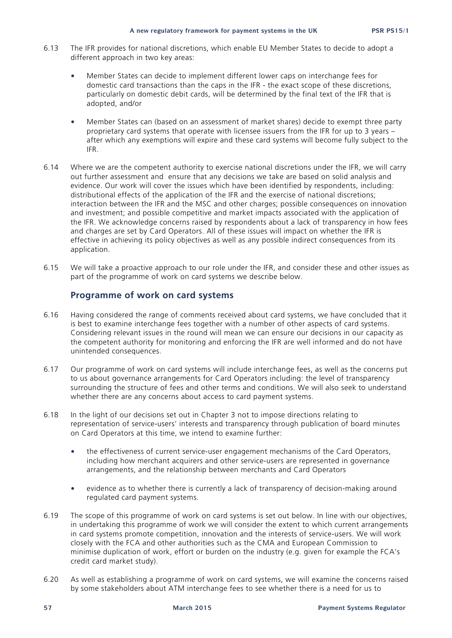- 6.13 The IFR provides for national discretions, which enable EU Member States to decide to adopt a different approach in two key areas:
	- Member States can decide to implement different lower caps on interchange fees for domestic card transactions than the caps in the IFR - the exact scope of these discretions, particularly on domestic debit cards, will be determined by the final text of the IFR that is adopted, and/or
	- Member States can (based on an assessment of market shares) decide to exempt three party proprietary card systems that operate with licensee issuers from the IFR for up to 3 years – after which any exemptions will expire and these card systems will become fully subject to the IFR.
- 6.14 Where we are the competent authority to exercise national discretions under the IFR, we will carry out further assessment and ensure that any decisions we take are based on solid analysis and evidence. Our work will cover the issues which have been identified by respondents, including: distributional effects of the application of the IFR and the exercise of national discretions; interaction between the IFR and the MSC and other charges; possible consequences on innovation and investment; and possible competitive and market impacts associated with the application of the IFR. We acknowledge concerns raised by respondents about a lack of transparency in how fees and charges are set by Card Operators. All of these issues will impact on whether the IFR is effective in achieving its policy objectives as well as any possible indirect consequences from its application.
- 6.15 We will take a proactive approach to our role under the IFR, and consider these and other issues as part of the programme of work on card systems we describe below.

#### **Programme of work on card systems**

- 6.16 Having considered the range of comments received about card systems, we have concluded that it is best to examine interchange fees together with a number of other aspects of card systems. Considering relevant issues in the round will mean we can ensure our decisions in our capacity as the competent authority for monitoring and enforcing the IFR are well informed and do not have unintended consequences.
- 6.17 Our programme of work on card systems will include interchange fees, as well as the concerns put to us about governance arrangements for Card Operators including: the level of transparency surrounding the structure of fees and other terms and conditions. We will also seek to understand whether there are any concerns about access to card payment systems.
- 6.18 In the light of our decisions set out in Chapter 3 not to impose directions relating to representation of service-users' interests and transparency through publication of board minutes on Card Operators at this time, we intend to examine further:
	- the effectiveness of current service-user engagement mechanisms of the Card Operators, including how merchant acquirers and other service-users are represented in governance arrangements, and the relationship between merchants and Card Operators
	- evidence as to whether there is currently a lack of transparency of decision-making around regulated card payment systems.
- 6.19 The scope of this programme of work on card systems is set out below. In line with our objectives, in undertaking this programme of work we will consider the extent to which current arrangements in card systems promote competition, innovation and the interests of service-users. We will work closely with the FCA and other authorities such as the CMA and European Commission to minimise duplication of work, effort or burden on the industry (e.g. given for example the FCA's credit card market study).
- 6.20 As well as establishing a programme of work on card systems, we will examine the concerns raised by some stakeholders about ATM interchange fees to see whether there is a need for us to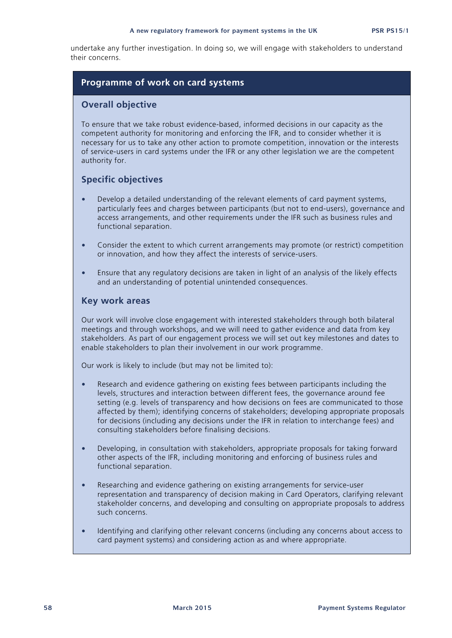undertake any further investigation. In doing so, we will engage with stakeholders to understand their concerns.

#### **Programme of work on card systems**

#### **Overall objective**

To ensure that we take robust evidence-based, informed decisions in our capacity as the competent authority for monitoring and enforcing the IFR, and to consider whether it is necessary for us to take any other action to promote competition, innovation or the interests of service-users in card systems under the IFR or any other legislation we are the competent authority for.

#### **Specific objectives**

- Develop a detailed understanding of the relevant elements of card payment systems, particularly fees and charges between participants (but not to end-users), governance and access arrangements, and other requirements under the IFR such as business rules and functional separation.
- Consider the extent to which current arrangements may promote (or restrict) competition or innovation, and how they affect the interests of service-users.
- Ensure that any regulatory decisions are taken in light of an analysis of the likely effects and an understanding of potential unintended consequences.

#### **Key work areas**

Our work will involve close engagement with interested stakeholders through both bilateral meetings and through workshops, and we will need to gather evidence and data from key stakeholders. As part of our engagement process we will set out key milestones and dates to enable stakeholders to plan their involvement in our work programme.

Our work is likely to include (but may not be limited to):

- Research and evidence gathering on existing fees between participants including the levels, structures and interaction between different fees, the governance around fee setting (e.g. levels of transparency and how decisions on fees are communicated to those affected by them); identifying concerns of stakeholders; developing appropriate proposals for decisions (including any decisions under the IFR in relation to interchange fees) and consulting stakeholders before finalising decisions.
- Developing, in consultation with stakeholders, appropriate proposals for taking forward other aspects of the IFR, including monitoring and enforcing of business rules and functional separation.
- Researching and evidence gathering on existing arrangements for service-user representation and transparency of decision making in Card Operators, clarifying relevant stakeholder concerns, and developing and consulting on appropriate proposals to address such concerns.
- Identifying and clarifying other relevant concerns (including any concerns about access to card payment systems) and considering action as and where appropriate.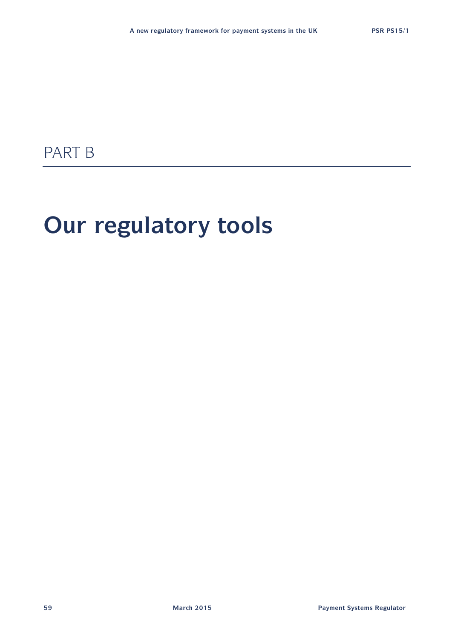# PART B

# **Our regulatory tools**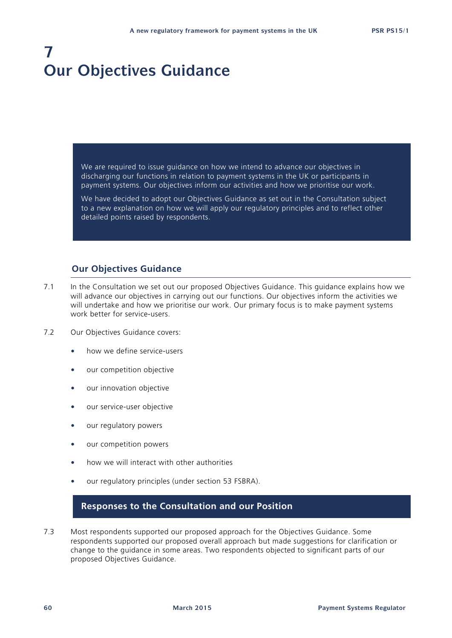# **7 Our Objectives Guidance**

We are required to issue guidance on how we intend to advance our objectives in discharging our functions in relation to payment systems in the UK or participants in payment systems. Our objectives inform our activities and how we prioritise our work.

We have decided to adopt our Objectives Guidance as set out in the Consultation subject to a new explanation on how we will apply our regulatory principles and to reflect other detailed points raised by respondents.

#### **Our Objectives Guidance**

- 7.1 In the Consultation we set out our proposed Objectives Guidance. This guidance explains how we will advance our objectives in carrying out our functions. Our objectives inform the activities we will undertake and how we prioritise our work. Our primary focus is to make payment systems work better for service-users.
- 7.2 Our Objectives Guidance covers:
	- how we define service-users
	- our competition objective
	- our innovation objective
	- our service-user objective
	- our regulatory powers
	- our competition powers
	- how we will interact with other authorities
	- our regulatory principles (under section 53 FSBRA).

#### **Responses to the Consultation and our Position**

7.3 Most respondents supported our proposed approach for the Objectives Guidance. Some respondents supported our proposed overall approach but made suggestions for clarification or change to the guidance in some areas. Two respondents objected to significant parts of our proposed Objectives Guidance.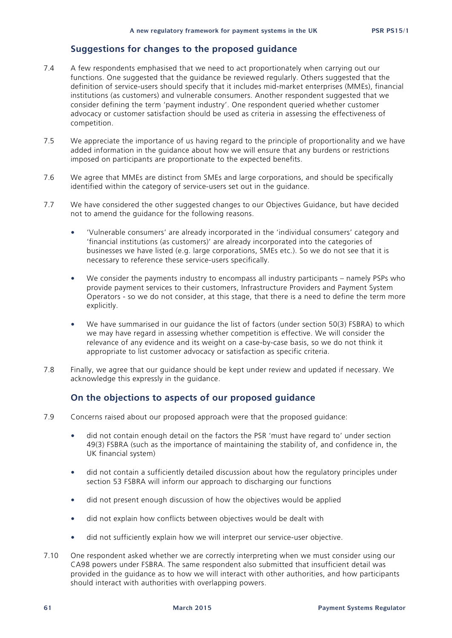#### **Suggestions for changes to the proposed guidance**

- 7.4 A few respondents emphasised that we need to act proportionately when carrying out our functions. One suggested that the guidance be reviewed regularly. Others suggested that the definition of service-users should specify that it includes mid-market enterprises (MMEs), financial institutions (as customers) and vulnerable consumers. Another respondent suggested that we consider defining the term 'payment industry'. One respondent queried whether customer advocacy or customer satisfaction should be used as criteria in assessing the effectiveness of competition.
- 7.5 We appreciate the importance of us having regard to the principle of proportionality and we have added information in the guidance about how we will ensure that any burdens or restrictions imposed on participants are proportionate to the expected benefits.
- 7.6 We agree that MMEs are distinct from SMEs and large corporations, and should be specifically identified within the category of service-users set out in the guidance.
- 7.7 We have considered the other suggested changes to our Objectives Guidance, but have decided not to amend the guidance for the following reasons.
	- 'Vulnerable consumers' are already incorporated in the 'individual consumers' category and 'financial institutions (as customers)' are already incorporated into the categories of businesses we have listed (e.g. large corporations, SMEs etc.). So we do not see that it is necessary to reference these service-users specifically.
	- We consider the payments industry to encompass all industry participants namely PSPs who provide payment services to their customers, Infrastructure Providers and Payment System Operators - so we do not consider, at this stage, that there is a need to define the term more explicitly.
	- We have summarised in our guidance the list of factors (under section 50(3) FSBRA) to which we may have regard in assessing whether competition is effective. We will consider the relevance of any evidence and its weight on a case-by-case basis, so we do not think it appropriate to list customer advocacy or satisfaction as specific criteria.
- 7.8 Finally, we agree that our guidance should be kept under review and updated if necessary. We acknowledge this expressly in the guidance.

#### **On the objections to aspects of our proposed guidance**

- 7.9 Concerns raised about our proposed approach were that the proposed guidance:
	- did not contain enough detail on the factors the PSR 'must have regard to' under section 49(3) FSBRA (such as the importance of maintaining the stability of, and confidence in, the UK financial system)
	- did not contain a sufficiently detailed discussion about how the regulatory principles under section 53 FSBRA will inform our approach to discharging our functions
	- did not present enough discussion of how the objectives would be applied
	- did not explain how conflicts between objectives would be dealt with
	- did not sufficiently explain how we will interpret our service-user objective.
- 7.10 One respondent asked whether we are correctly interpreting when we must consider using our CA98 powers under FSBRA. The same respondent also submitted that insufficient detail was provided in the guidance as to how we will interact with other authorities, and how participants should interact with authorities with overlapping powers.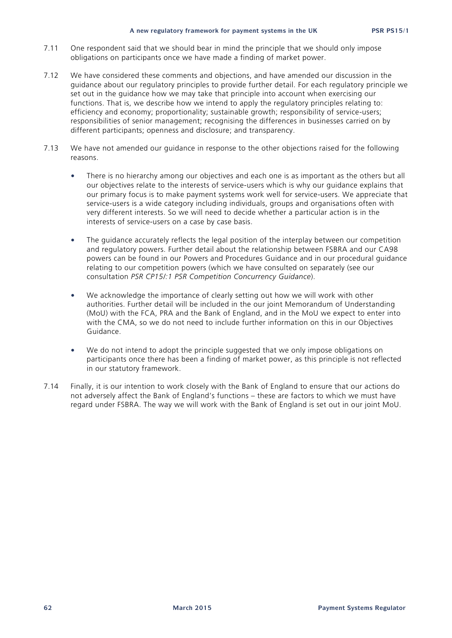- 7.11 One respondent said that we should bear in mind the principle that we should only impose obligations on participants once we have made a finding of market power.
- 7.12 We have considered these comments and objections, and have amended our discussion in the guidance about our regulatory principles to provide further detail. For each regulatory principle we set out in the guidance how we may take that principle into account when exercising our functions. That is, we describe how we intend to apply the regulatory principles relating to: efficiency and economy; proportionality; sustainable growth; responsibility of service-users; responsibilities of senior management; recognising the differences in businesses carried on by different participants; openness and disclosure; and transparency.
- 7.13 We have not amended our guidance in response to the other objections raised for the following reasons.
	- There is no hierarchy among our objectives and each one is as important as the others but all our objectives relate to the interests of service-users which is why our guidance explains that our primary focus is to make payment systems work well for service-users. We appreciate that service-users is a wide category including individuals, groups and organisations often with very different interests. So we will need to decide whether a particular action is in the interests of service-users on a case by case basis.
	- The guidance accurately reflects the legal position of the interplay between our competition and regulatory powers. Further detail about the relationship between FSBRA and our CA98 powers can be found in our Powers and Procedures Guidance and in our procedural guidance relating to our competition powers (which we have consulted on separately (see our consultation *PSR CP15/:1 PSR Competition Concurrency Guidance*).
	- We acknowledge the importance of clearly setting out how we will work with other authorities. Further detail will be included in the our joint Memorandum of Understanding (MoU) with the FCA, PRA and the Bank of England, and in the MoU we expect to enter into with the CMA, so we do not need to include further information on this in our Objectives Guidance.
	- We do not intend to adopt the principle suggested that we only impose obligations on participants once there has been a finding of market power, as this principle is not reflected in our statutory framework.
- 7.14 Finally, it is our intention to work closely with the Bank of England to ensure that our actions do not adversely affect the Bank of England's functions – these are factors to which we must have regard under FSBRA. The way we will work with the Bank of England is set out in our joint MoU.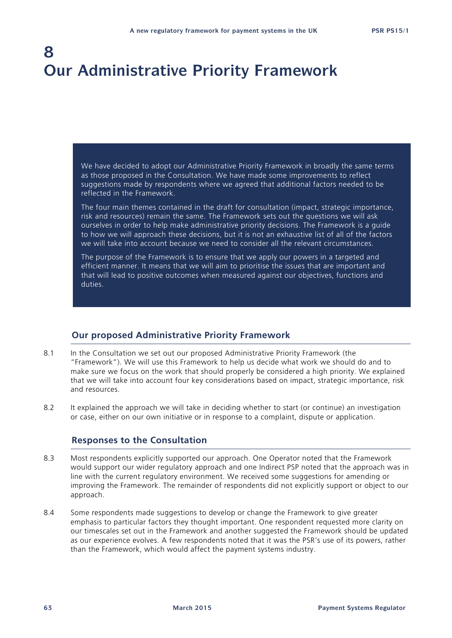# **8 Our Administrative Priority Framework**

We have decided to adopt our Administrative Priority Framework in broadly the same terms as those proposed in the Consultation. We have made some improvements to reflect suggestions made by respondents where we agreed that additional factors needed to be reflected in the Framework.

The four main themes contained in the draft for consultation (impact, strategic importance, risk and resources) remain the same. The Framework sets out the questions we will ask ourselves in order to help make administrative priority decisions. The Framework is a guide to how we will approach these decisions, but it is not an exhaustive list of all of the factors we will take into account because we need to consider all the relevant circumstances.

The purpose of the Framework is to ensure that we apply our powers in a targeted and efficient manner. It means that we will aim to prioritise the issues that are important and that will lead to positive outcomes when measured against our objectives, functions and duties.

#### **Our proposed Administrative Priority Framework**

- 8.1 In the Consultation we set out our proposed Administrative Priority Framework (the "Framework"). We will use this Framework to help us decide what work we should do and to make sure we focus on the work that should properly be considered a high priority. We explained that we will take into account four key considerations based on impact, strategic importance, risk and resources.
- 8.2 It explained the approach we will take in deciding whether to start (or continue) an investigation or case, either on our own initiative or in response to a complaint, dispute or application.

#### **Responses to the Consultation**

- 8.3 Most respondents explicitly supported our approach. One Operator noted that the Framework would support our wider regulatory approach and one Indirect PSP noted that the approach was in line with the current regulatory environment. We received some suggestions for amending or improving the Framework. The remainder of respondents did not explicitly support or object to our approach.
- 8.4 Some respondents made suggestions to develop or change the Framework to give greater emphasis to particular factors they thought important. One respondent requested more clarity on our timescales set out in the Framework and another suggested the Framework should be updated as our experience evolves. A few respondents noted that it was the PSR's use of its powers, rather than the Framework, which would affect the payment systems industry.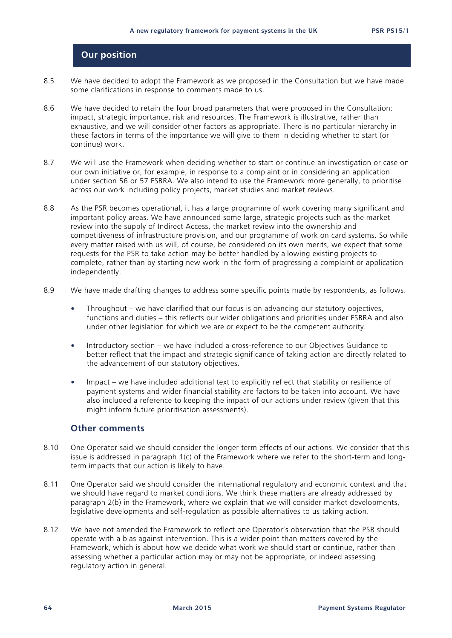#### **Our position**

- 8.5 We have decided to adopt the Framework as we proposed in the Consultation but we have made some clarifications in response to comments made to us.
- 8.6 We have decided to retain the four broad parameters that were proposed in the Consultation: impact, strategic importance, risk and resources. The Framework is illustrative, rather than exhaustive, and we will consider other factors as appropriate. There is no particular hierarchy in these factors in terms of the importance we will give to them in deciding whether to start (or continue) work.
- 8.7 We will use the Framework when deciding whether to start or continue an investigation or case on our own initiative or, for example, in response to a complaint or in considering an application under section 56 or 57 FSBRA. We also intend to use the Framework more generally, to prioritise across our work including policy projects, market studies and market reviews.
- 8.8 As the PSR becomes operational, it has a large programme of work covering many significant and important policy areas. We have announced some large, strategic projects such as the market review into the supply of Indirect Access, the market review into the ownership and competitiveness of infrastructure provision, and our programme of work on card systems. So while every matter raised with us will, of course, be considered on its own merits, we expect that some requests for the PSR to take action may be better handled by allowing existing projects to complete, rather than by starting new work in the form of progressing a complaint or application independently.
- 8.9 We have made drafting changes to address some specific points made by respondents, as follows.
	- Throughout we have clarified that our focus is on advancing our statutory objectives, functions and duties – this reflects our wider obligations and priorities under FSBRA and also under other legislation for which we are or expect to be the competent authority.
	- Introductory section we have included a cross-reference to our Objectives Guidance to better reflect that the impact and strategic significance of taking action are directly related to the advancement of our statutory objectives.
	- Impact we have included additional text to explicitly reflect that stability or resilience of payment systems and wider financial stability are factors to be taken into account. We have also included a reference to keeping the impact of our actions under review (given that this might inform future prioritisation assessments).

#### **Other comments**

- 8.10 One Operator said we should consider the longer term effects of our actions. We consider that this issue is addressed in paragraph 1(c) of the Framework where we refer to the short-term and longterm impacts that our action is likely to have.
- 8.11 One Operator said we should consider the international regulatory and economic context and that we should have regard to market conditions. We think these matters are already addressed by paragraph 2(b) in the Framework, where we explain that we will consider market developments, legislative developments and self-regulation as possible alternatives to us taking action.
- 8.12 We have not amended the Framework to reflect one Operator's observation that the PSR should operate with a bias against intervention. This is a wider point than matters covered by the Framework, which is about how we decide what work we should start or continue, rather than assessing whether a particular action may or may not be appropriate, or indeed assessing regulatory action in general.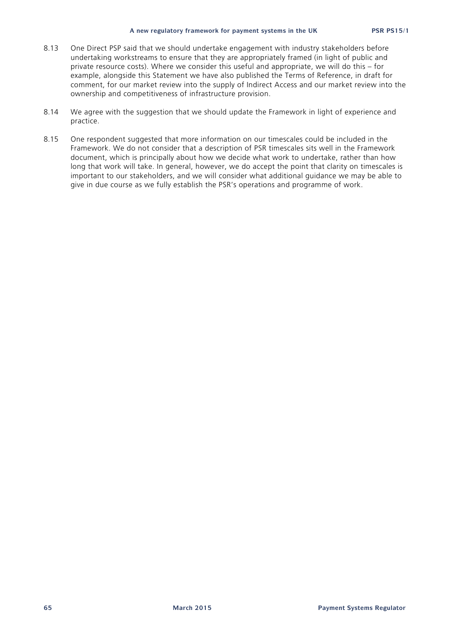#### **A new regulatory framework for payment systems in the UK PSR PS15/1**

- 8.13 One Direct PSP said that we should undertake engagement with industry stakeholders before undertaking workstreams to ensure that they are appropriately framed (in light of public and private resource costs). Where we consider this useful and appropriate, we will do this – for example, alongside this Statement we have also published the Terms of Reference, in draft for comment, for our market review into the supply of Indirect Access and our market review into the ownership and competitiveness of infrastructure provision.
- 8.14 We agree with the suggestion that we should update the Framework in light of experience and practice.
- 8.15 One respondent suggested that more information on our timescales could be included in the Framework. We do not consider that a description of PSR timescales sits well in the Framework document, which is principally about how we decide what work to undertake, rather than how long that work will take. In general, however, we do accept the point that clarity on timescales is important to our stakeholders, and we will consider what additional guidance we may be able to give in due course as we fully establish the PSR's operations and programme of work.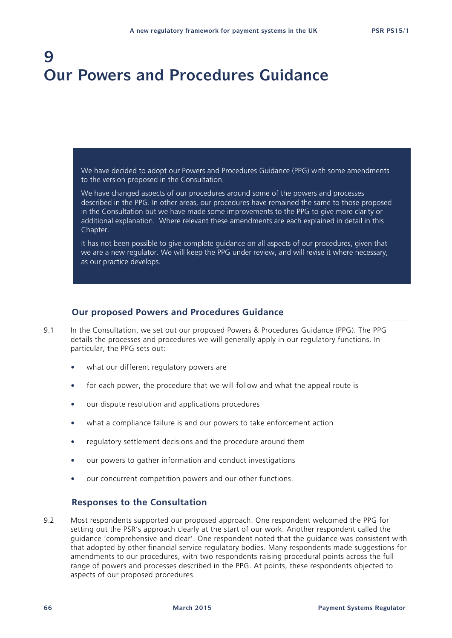# **9 Our Powers and Procedures Guidance**

We have decided to adopt our Powers and Procedures Guidance (PPG) with some amendments to the version proposed in the Consultation.

We have changed aspects of our procedures around some of the powers and processes described in the PPG. In other areas, our procedures have remained the same to those proposed in the Consultation but we have made some improvements to the PPG to give more clarity or additional explanation. Where relevant these amendments are each explained in detail in this Chapter.

It has not been possible to give complete guidance on all aspects of our procedures, given that we are a new regulator. We will keep the PPG under review, and will revise it where necessary, as our practice develops.

#### **Our proposed Powers and Procedures Guidance**

- 9.1 In the Consultation, we set out our proposed Powers & Procedures Guidance (PPG). The PPG details the processes and procedures we will generally apply in our regulatory functions. In particular, the PPG sets out:
	- what our different regulatory powers are
	- for each power, the procedure that we will follow and what the appeal route is
	- our dispute resolution and applications procedures
	- what a compliance failure is and our powers to take enforcement action
	- regulatory settlement decisions and the procedure around them
	- our powers to gather information and conduct investigations
	- our concurrent competition powers and our other functions.

#### **Responses to the Consultation**

9.2 Most respondents supported our proposed approach. One respondent welcomed the PPG for setting out the PSR's approach clearly at the start of our work. Another respondent called the guidance 'comprehensive and clear'. One respondent noted that the guidance was consistent with that adopted by other financial service regulatory bodies. Many respondents made suggestions for amendments to our procedures, with two respondents raising procedural points across the full range of powers and processes described in the PPG. At points, these respondents objected to aspects of our proposed procedures.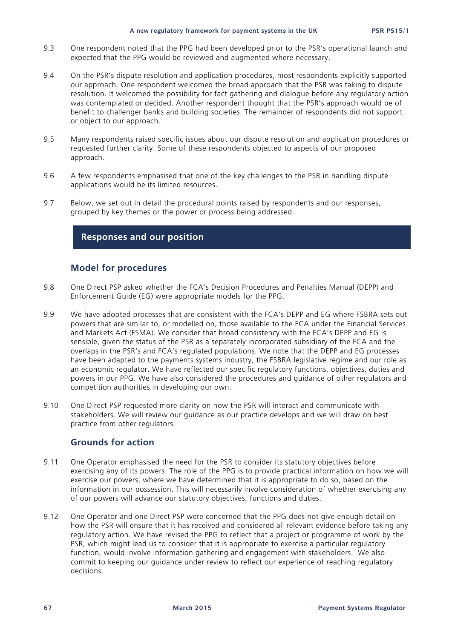#### **A new regulatory framework for payment systems in the UK PSR PS15/1**

- 9.3 One respondent noted that the PPG had been developed prior to the PSR's operational launch and expected that the PPG would be reviewed and augmented where necessary.
- 9.4 On the PSR's dispute resolution and application procedures, most respondents explicitly supported our approach. One respondent welcomed the broad approach that the PSR was taking to dispute resolution. It welcomed the possibility for fact gathering and dialogue before any regulatory action was contemplated or decided. Another respondent thought that the PSR's approach would be of benefit to challenger banks and building societies. The remainder of respondents did not support or object to our approach.
- 9.5 Many respondents raised specific issues about our dispute resolution and application procedures or requested further clarity. Some of these respondents objected to aspects of our proposed approach.
- 9.6 A few respondents emphasised that one of the key challenges to the PSR in handling dispute applications would be its limited resources.
- 9.7 Below, we set out in detail the procedural points raised by respondents and our responses, grouped by key themes or the power or process being addressed.

#### **Responses and our position**

#### **Model for procedures**

- 9.8 One Direct PSP asked whether the FCA's Decision Procedures and Penalties Manual (DEPP) and Enforcement Guide (EG) were appropriate models for the PPG.
- 9.9 We have adopted processes that are consistent with the FCA's DEPP and EG where FSBRA sets out powers that are similar to, or modelled on, those available to the FCA under the Financial Services and Markets Act (FSMA). We consider that broad consistency with the FCA's DEPP and EG is sensible, given the status of the PSR as a separately incorporated subsidiary of the FCA and the overlaps in the PSR's and FCA's regulated populations. We note that the DEPP and EG processes have been adapted to the payments systems industry, the FSBRA legislative regime and our role as an economic regulator. We have reflected our specific regulatory functions, objectives, duties and powers in our PPG. We have also considered the procedures and guidance of other regulators and competition authorities in developing our own.
- 9.10 One Direct PSP requested more clarity on how the PSR will interact and communicate with stakeholders. We will review our guidance as our practice develops and we will draw on best practice from other regulators.

#### **Grounds for action**

- 9.11 One Operator emphasised the need for the PSR to consider its statutory objectives before exercising any of its powers. The role of the PPG is to provide practical information on how we will exercise our powers, where we have determined that it is appropriate to do so, based on the information in our possession. This will necessarily involve consideration of whether exercising any of our powers will advance our statutory objectives, functions and duties.
- 9.12 One Operator and one Direct PSP were concerned that the PPG does not give enough detail on how the PSR will ensure that it has received and considered all relevant evidence before taking any regulatory action. We have revised the PPG to reflect that a project or programme of work by the PSR, which might lead us to consider that it is appropriate to exercise a particular regulatory function, would involve information gathering and engagement with stakeholders. We also commit to keeping our guidance under review to reflect our experience of reaching regulatory decisions.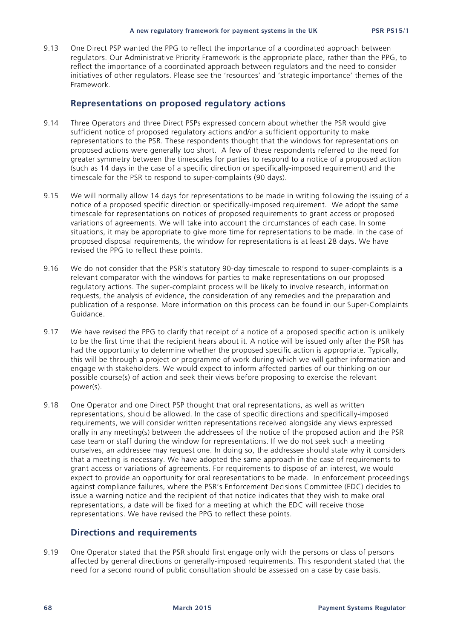9.13 One Direct PSP wanted the PPG to reflect the importance of a coordinated approach between regulators. Our Administrative Priority Framework is the appropriate place, rather than the PPG, to reflect the importance of a coordinated approach between regulators and the need to consider initiatives of other regulators. Please see the 'resources' and 'strategic importance' themes of the Framework.

#### **Representations on proposed regulatory actions**

- 9.14 Three Operators and three Direct PSPs expressed concern about whether the PSR would give sufficient notice of proposed regulatory actions and/or a sufficient opportunity to make representations to the PSR. These respondents thought that the windows for representations on proposed actions were generally too short. A few of these respondents referred to the need for greater symmetry between the timescales for parties to respond to a notice of a proposed action (such as 14 days in the case of a specific direction or specifically-imposed requirement) and the timescale for the PSR to respond to super-complaints (90 days).
- 9.15 We will normally allow 14 days for representations to be made in writing following the issuing of a notice of a proposed specific direction or specifically-imposed requirement. We adopt the same timescale for representations on notices of proposed requirements to grant access or proposed variations of agreements. We will take into account the circumstances of each case. In some situations, it may be appropriate to give more time for representations to be made. In the case of proposed disposal requirements, the window for representations is at least 28 days. We have revised the PPG to reflect these points.
- 9.16 We do not consider that the PSR's statutory 90-day timescale to respond to super-complaints is a relevant comparator with the windows for parties to make representations on our proposed regulatory actions. The super-complaint process will be likely to involve research, information requests, the analysis of evidence, the consideration of any remedies and the preparation and publication of a response. More information on this process can be found in our Super-Complaints Guidance.
- 9.17 We have revised the PPG to clarify that receipt of a notice of a proposed specific action is unlikely to be the first time that the recipient hears about it. A notice will be issued only after the PSR has had the opportunity to determine whether the proposed specific action is appropriate. Typically, this will be through a project or programme of work during which we will gather information and engage with stakeholders. We would expect to inform affected parties of our thinking on our possible course(s) of action and seek their views before proposing to exercise the relevant power(s).
- 9.18 One Operator and one Direct PSP thought that oral representations, as well as written representations, should be allowed. In the case of specific directions and specifically-imposed requirements, we will consider written representations received alongside any views expressed orally in any meeting(s) between the addressees of the notice of the proposed action and the PSR case team or staff during the window for representations. If we do not seek such a meeting ourselves, an addressee may request one. In doing so, the addressee should state why it considers that a meeting is necessary. We have adopted the same approach in the case of requirements to grant access or variations of agreements. For requirements to dispose of an interest, we would expect to provide an opportunity for oral representations to be made. In enforcement proceedings against compliance failures, where the PSR's Enforcement Decisions Committee (EDC) decides to issue a warning notice and the recipient of that notice indicates that they wish to make oral representations, a date will be fixed for a meeting at which the EDC will receive those representations. We have revised the PPG to reflect these points.

#### **Directions and requirements**

9.19 One Operator stated that the PSR should first engage only with the persons or class of persons affected by general directions or generally-imposed requirements. This respondent stated that the need for a second round of public consultation should be assessed on a case by case basis.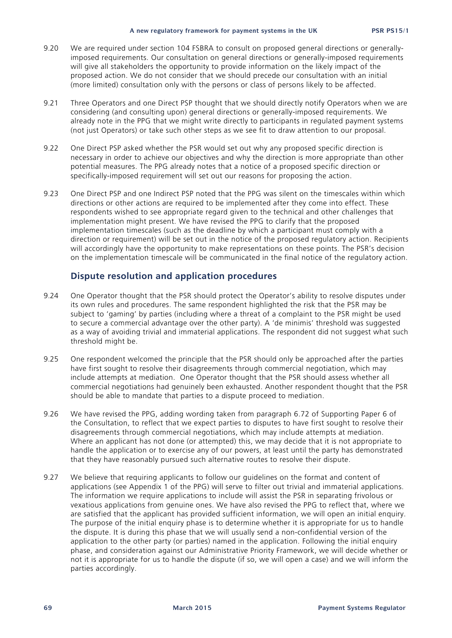- 9.20 We are required under section 104 FSBRA to consult on proposed general directions or generallyimposed requirements. Our consultation on general directions or generally-imposed requirements will give all stakeholders the opportunity to provide information on the likely impact of the proposed action. We do not consider that we should precede our consultation with an initial (more limited) consultation only with the persons or class of persons likely to be affected.
- 9.21 Three Operators and one Direct PSP thought that we should directly notify Operators when we are considering (and consulting upon) general directions or generally-imposed requirements. We already note in the PPG that we might write directly to participants in regulated payment systems (not just Operators) or take such other steps as we see fit to draw attention to our proposal.
- 9.22 One Direct PSP asked whether the PSR would set out why any proposed specific direction is necessary in order to achieve our objectives and why the direction is more appropriate than other potential measures. The PPG already notes that a notice of a proposed specific direction or specifically-imposed requirement will set out our reasons for proposing the action.
- 9.23 One Direct PSP and one Indirect PSP noted that the PPG was silent on the timescales within which directions or other actions are required to be implemented after they come into effect. These respondents wished to see appropriate regard given to the technical and other challenges that implementation might present. We have revised the PPG to clarify that the proposed implementation timescales (such as the deadline by which a participant must comply with a direction or requirement) will be set out in the notice of the proposed regulatory action. Recipients will accordingly have the opportunity to make representations on these points. The PSR's decision on the implementation timescale will be communicated in the final notice of the regulatory action.

#### **Dispute resolution and application procedures**

- 9.24 One Operator thought that the PSR should protect the Operator's ability to resolve disputes under its own rules and procedures. The same respondent highlighted the risk that the PSR may be subject to 'gaming' by parties (including where a threat of a complaint to the PSR might be used to secure a commercial advantage over the other party). A 'de minimis' threshold was suggested as a way of avoiding trivial and immaterial applications. The respondent did not suggest what such threshold might be.
- 9.25 One respondent welcomed the principle that the PSR should only be approached after the parties have first sought to resolve their disagreements through commercial negotiation, which may include attempts at mediation. One Operator thought that the PSR should assess whether all commercial negotiations had genuinely been exhausted. Another respondent thought that the PSR should be able to mandate that parties to a dispute proceed to mediation.
- 9.26 We have revised the PPG, adding wording taken from paragraph 6.72 of Supporting Paper 6 of the Consultation, to reflect that we expect parties to disputes to have first sought to resolve their disagreements through commercial negotiations, which may include attempts at mediation. Where an applicant has not done (or attempted) this, we may decide that it is not appropriate to handle the application or to exercise any of our powers, at least until the party has demonstrated that they have reasonably pursued such alternative routes to resolve their dispute.
- 9.27 We believe that requiring applicants to follow our guidelines on the format and content of applications (see Appendix 1 of the PPG) will serve to filter out trivial and immaterial applications. The information we require applications to include will assist the PSR in separating frivolous or vexatious applications from genuine ones. We have also revised the PPG to reflect that, where we are satisfied that the applicant has provided sufficient information, we will open an initial enquiry. The purpose of the initial enquiry phase is to determine whether it is appropriate for us to handle the dispute. It is during this phase that we will usually send a non-confidential version of the application to the other party (or parties) named in the application. Following the initial enquiry phase, and consideration against our Administrative Priority Framework, we will decide whether or not it is appropriate for us to handle the dispute (if so, we will open a case) and we will inform the parties accordingly.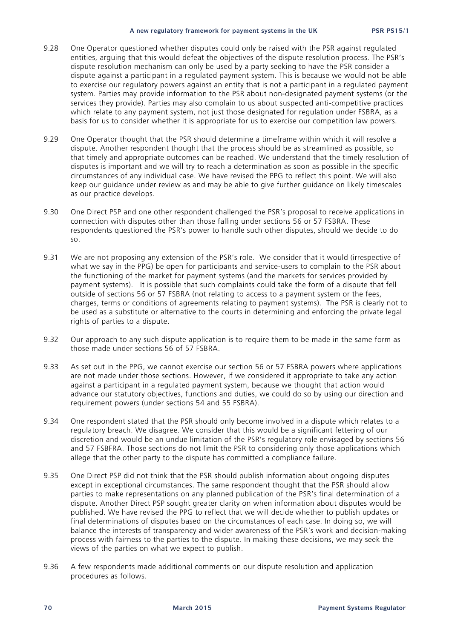- 9.28 One Operator questioned whether disputes could only be raised with the PSR against regulated entities, arguing that this would defeat the objectives of the dispute resolution process. The PSR's dispute resolution mechanism can only be used by a party seeking to have the PSR consider a dispute against a participant in a regulated payment system. This is because we would not be able to exercise our regulatory powers against an entity that is not a participant in a regulated payment system. Parties may provide information to the PSR about non-designated payment systems (or the services they provide). Parties may also complain to us about suspected anti-competitive practices which relate to any payment system, not just those designated for regulation under FSBRA, as a basis for us to consider whether it is appropriate for us to exercise our competition law powers.
- 9.29 One Operator thought that the PSR should determine a timeframe within which it will resolve a dispute. Another respondent thought that the process should be as streamlined as possible, so that timely and appropriate outcomes can be reached. We understand that the timely resolution of disputes is important and we will try to reach a determination as soon as possible in the specific circumstances of any individual case. We have revised the PPG to reflect this point. We will also keep our guidance under review as and may be able to give further guidance on likely timescales as our practice develops.
- 9.30 One Direct PSP and one other respondent challenged the PSR's proposal to receive applications in connection with disputes other than those falling under sections 56 or 57 FSBRA. These respondents questioned the PSR's power to handle such other disputes, should we decide to do so.
- 9.31 We are not proposing any extension of the PSR's role. We consider that it would (irrespective of what we say in the PPG) be open for participants and service-users to complain to the PSR about the functioning of the market for payment systems (and the markets for services provided by payment systems). It is possible that such complaints could take the form of a dispute that fell outside of sections 56 or 57 FSBRA (not relating to access to a payment system or the fees, charges, terms or conditions of agreements relating to payment systems). The PSR is clearly not to be used as a substitute or alternative to the courts in determining and enforcing the private legal rights of parties to a dispute.
- 9.32 Our approach to any such dispute application is to require them to be made in the same form as those made under sections 56 of 57 FSBRA.
- 9.33 As set out in the PPG, we cannot exercise our section 56 or 57 FSBRA powers where applications are not made under those sections. However, if we considered it appropriate to take any action against a participant in a regulated payment system, because we thought that action would advance our statutory objectives, functions and duties, we could do so by using our direction and requirement powers (under sections 54 and 55 FSBRA).
- 9.34 One respondent stated that the PSR should only become involved in a dispute which relates to a regulatory breach. We disagree. We consider that this would be a significant fettering of our discretion and would be an undue limitation of the PSR's regulatory role envisaged by sections 56 and 57 FSBFRA. Those sections do not limit the PSR to considering only those applications which allege that the other party to the dispute has committed a compliance failure.
- 9.35 One Direct PSP did not think that the PSR should publish information about ongoing disputes except in exceptional circumstances. The same respondent thought that the PSR should allow parties to make representations on any planned publication of the PSR's final determination of a dispute. Another Direct PSP sought greater clarity on when information about disputes would be published. We have revised the PPG to reflect that we will decide whether to publish updates or final determinations of disputes based on the circumstances of each case. In doing so, we will balance the interests of transparency and wider awareness of the PSR's work and decision-making process with fairness to the parties to the dispute. In making these decisions, we may seek the views of the parties on what we expect to publish.
- 9.36 A few respondents made additional comments on our dispute resolution and application procedures as follows.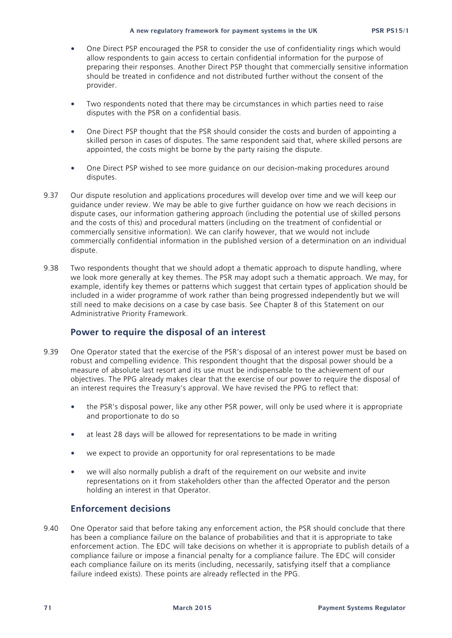#### **A new regulatory framework for payment systems in the UK PSR PS15/1**

- One Direct PSP encouraged the PSR to consider the use of confidentiality rings which would allow respondents to gain access to certain confidential information for the purpose of preparing their responses. Another Direct PSP thought that commercially sensitive information should be treated in confidence and not distributed further without the consent of the provider.
- Two respondents noted that there may be circumstances in which parties need to raise disputes with the PSR on a confidential basis.
- One Direct PSP thought that the PSR should consider the costs and burden of appointing a skilled person in cases of disputes. The same respondent said that, where skilled persons are appointed, the costs might be borne by the party raising the dispute.
- One Direct PSP wished to see more guidance on our decision-making procedures around disputes.
- 9.37 Our dispute resolution and applications procedures will develop over time and we will keep our guidance under review. We may be able to give further guidance on how we reach decisions in dispute cases, our information gathering approach (including the potential use of skilled persons and the costs of this) and procedural matters (including on the treatment of confidential or commercially sensitive information). We can clarify however, that we would not include commercially confidential information in the published version of a determination on an individual dispute.
- 9.38 Two respondents thought that we should adopt a thematic approach to dispute handling, where we look more generally at key themes. The PSR may adopt such a thematic approach. We may, for example, identify key themes or patterns which suggest that certain types of application should be included in a wider programme of work rather than being progressed independently but we will still need to make decisions on a case by case basis. See Chapter 8 of this Statement on our Administrative Priority Framework.

# **Power to require the disposal of an interest**

- 9.39 One Operator stated that the exercise of the PSR's disposal of an interest power must be based on robust and compelling evidence. This respondent thought that the disposal power should be a measure of absolute last resort and its use must be indispensable to the achievement of our objectives. The PPG already makes clear that the exercise of our power to require the disposal of an interest requires the Treasury's approval. We have revised the PPG to reflect that:
	- the PSR's disposal power, like any other PSR power, will only be used where it is appropriate and proportionate to do so
	- at least 28 days will be allowed for representations to be made in writing
	- we expect to provide an opportunity for oral representations to be made
	- we will also normally publish a draft of the requirement on our website and invite representations on it from stakeholders other than the affected Operator and the person holding an interest in that Operator.

# **Enforcement decisions**

9.40 One Operator said that before taking any enforcement action, the PSR should conclude that there has been a compliance failure on the balance of probabilities and that it is appropriate to take enforcement action. The EDC will take decisions on whether it is appropriate to publish details of a compliance failure or impose a financial penalty for a compliance failure. The EDC will consider each compliance failure on its merits (including, necessarily, satisfying itself that a compliance failure indeed exists). These points are already reflected in the PPG.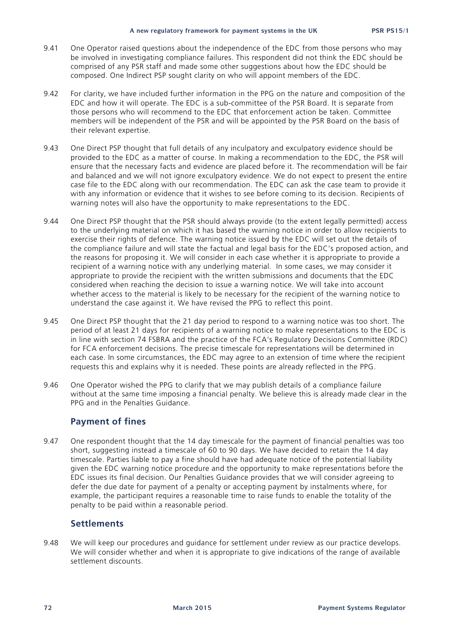- 9.41 One Operator raised questions about the independence of the EDC from those persons who may be involved in investigating compliance failures. This respondent did not think the EDC should be comprised of any PSR staff and made some other suggestions about how the EDC should be composed. One Indirect PSP sought clarity on who will appoint members of the EDC.
- 9.42 For clarity, we have included further information in the PPG on the nature and composition of the EDC and how it will operate. The EDC is a sub-committee of the PSR Board. It is separate from those persons who will recommend to the EDC that enforcement action be taken. Committee members will be independent of the PSR and will be appointed by the PSR Board on the basis of their relevant expertise.
- 9.43 One Direct PSP thought that full details of any inculpatory and exculpatory evidence should be provided to the EDC as a matter of course. In making a recommendation to the EDC, the PSR will ensure that the necessary facts and evidence are placed before it. The recommendation will be fair and balanced and we will not ignore exculpatory evidence. We do not expect to present the entire case file to the EDC along with our recommendation. The EDC can ask the case team to provide it with any information or evidence that it wishes to see before coming to its decision. Recipients of warning notes will also have the opportunity to make representations to the EDC.
- 9.44 One Direct PSP thought that the PSR should always provide (to the extent legally permitted) access to the underlying material on which it has based the warning notice in order to allow recipients to exercise their rights of defence. The warning notice issued by the EDC will set out the details of the compliance failure and will state the factual and legal basis for the EDC's proposed action, and the reasons for proposing it. We will consider in each case whether it is appropriate to provide a recipient of a warning notice with any underlying material. In some cases, we may consider it appropriate to provide the recipient with the written submissions and documents that the EDC considered when reaching the decision to issue a warning notice. We will take into account whether access to the material is likely to be necessary for the recipient of the warning notice to understand the case against it. We have revised the PPG to reflect this point.
- 9.45 One Direct PSP thought that the 21 day period to respond to a warning notice was too short. The period of at least 21 days for recipients of a warning notice to make representations to the EDC is in line with section 74 FSBRA and the practice of the FCA's Regulatory Decisions Committee (RDC) for FCA enforcement decisions. The precise timescale for representations will be determined in each case. In some circumstances, the EDC may agree to an extension of time where the recipient requests this and explains why it is needed. These points are already reflected in the PPG.
- 9.46 One Operator wished the PPG to clarify that we may publish details of a compliance failure without at the same time imposing a financial penalty. We believe this is already made clear in the PPG and in the Penalties Guidance.

# **Payment of fines**

9.47 One respondent thought that the 14 day timescale for the payment of financial penalties was too short, suggesting instead a timescale of 60 to 90 days. We have decided to retain the 14 day timescale. Parties liable to pay a fine should have had adequate notice of the potential liability given the EDC warning notice procedure and the opportunity to make representations before the EDC issues its final decision. Our Penalties Guidance provides that we will consider agreeing to defer the due date for payment of a penalty or accepting payment by instalments where, for example, the participant requires a reasonable time to raise funds to enable the totality of the penalty to be paid within a reasonable period.

## **Settlements**

9.48 We will keep our procedures and guidance for settlement under review as our practice develops. We will consider whether and when it is appropriate to give indications of the range of available settlement discounts.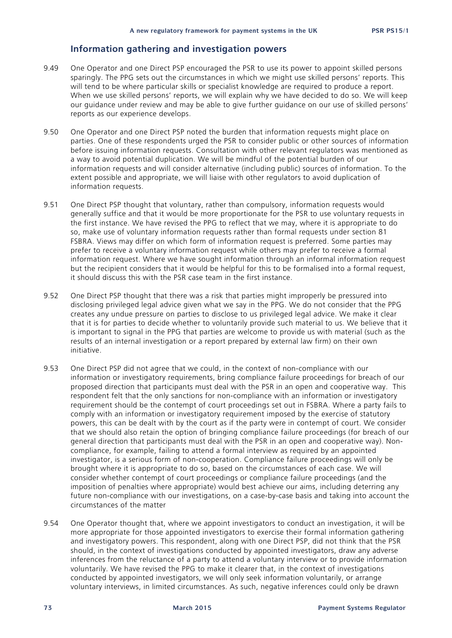# **Information gathering and investigation powers**

- 9.49 One Operator and one Direct PSP encouraged the PSR to use its power to appoint skilled persons sparingly. The PPG sets out the circumstances in which we might use skilled persons' reports. This will tend to be where particular skills or specialist knowledge are required to produce a report. When we use skilled persons' reports, we will explain why we have decided to do so. We will keep our guidance under review and may be able to give further guidance on our use of skilled persons' reports as our experience develops.
- 9.50 One Operator and one Direct PSP noted the burden that information requests might place on parties. One of these respondents urged the PSR to consider public or other sources of information before issuing information requests. Consultation with other relevant regulators was mentioned as a way to avoid potential duplication. We will be mindful of the potential burden of our information requests and will consider alternative (including public) sources of information. To the extent possible and appropriate, we will liaise with other regulators to avoid duplication of information requests.
- 9.51 One Direct PSP thought that voluntary, rather than compulsory, information requests would generally suffice and that it would be more proportionate for the PSR to use voluntary requests in the first instance. We have revised the PPG to reflect that we may, where it is appropriate to do so, make use of voluntary information requests rather than formal requests under section 81 FSBRA. Views may differ on which form of information request is preferred. Some parties may prefer to receive a voluntary information request while others may prefer to receive a formal information request. Where we have sought information through an informal information request but the recipient considers that it would be helpful for this to be formalised into a formal request, it should discuss this with the PSR case team in the first instance.
- 9.52 One Direct PSP thought that there was a risk that parties might improperly be pressured into disclosing privileged legal advice given what we say in the PPG. We do not consider that the PPG creates any undue pressure on parties to disclose to us privileged legal advice. We make it clear that it is for parties to decide whether to voluntarily provide such material to us. We believe that it is important to signal in the PPG that parties are welcome to provide us with material (such as the results of an internal investigation or a report prepared by external law firm) on their own initiative.
- 9.53 One Direct PSP did not agree that we could, in the context of non-compliance with our information or investigatory requirements, bring compliance failure proceedings for breach of our proposed direction that participants must deal with the PSR in an open and cooperative way. This respondent felt that the only sanctions for non-compliance with an information or investigatory requirement should be the contempt of court proceedings set out in FSBRA. Where a party fails to comply with an information or investigatory requirement imposed by the exercise of statutory powers, this can be dealt with by the court as if the party were in contempt of court. We consider that we should also retain the option of bringing compliance failure proceedings (for breach of our general direction that participants must deal with the PSR in an open and cooperative way). Noncompliance, for example, failing to attend a formal interview as required by an appointed investigator, is a serious form of non-cooperation. Compliance failure proceedings will only be brought where it is appropriate to do so, based on the circumstances of each case. We will consider whether contempt of court proceedings or compliance failure proceedings (and the imposition of penalties where appropriate) would best achieve our aims, including deterring any future non-compliance with our investigations, on a case-by-case basis and taking into account the circumstances of the matter
- 9.54 One Operator thought that, where we appoint investigators to conduct an investigation, it will be more appropriate for those appointed investigators to exercise their formal information gathering and investigatory powers. This respondent, along with one Direct PSP, did not think that the PSR should, in the context of investigations conducted by appointed investigators, draw any adverse inferences from the reluctance of a party to attend a voluntary interview or to provide information voluntarily. We have revised the PPG to make it clearer that, in the context of investigations conducted by appointed investigators, we will only seek information voluntarily, or arrange voluntary interviews, in limited circumstances. As such, negative inferences could only be drawn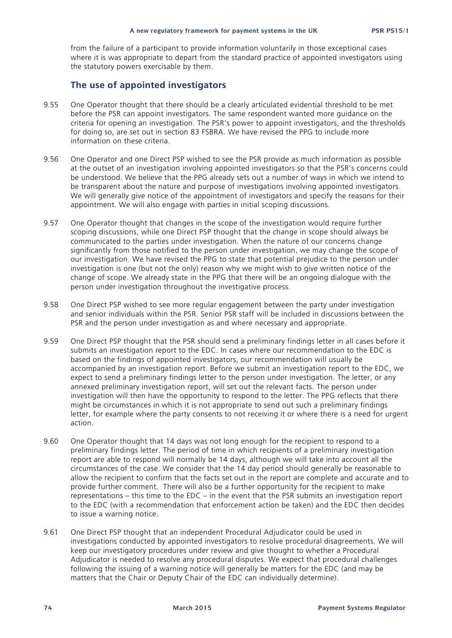from the failure of a participant to provide information voluntarily in those exceptional cases where it is was appropriate to depart from the standard practice of appointed investigators using the statutory powers exercisable by them.

# **The use of appointed investigators**

- 9.55 One Operator thought that there should be a clearly articulated evidential threshold to be met before the PSR can appoint investigators. The same respondent wanted more guidance on the criteria for opening an investigation. The PSR's power to appoint investigators, and the thresholds for doing so, are set out in section 83 FSBRA. We have revised the PPG to include more information on these criteria.
- 9.56 One Operator and one Direct PSP wished to see the PSR provide as much information as possible at the outset of an investigation involving appointed investigators so that the PSR's concerns could be understood. We believe that the PPG already sets out a number of ways in which we intend to be transparent about the nature and purpose of investigations involving appointed investigators. We will generally give notice of the appointment of investigators and specify the reasons for their appointment. We will also engage with parties in initial scoping discussions.
- 9.57 One Operator thought that changes in the scope of the investigation would require further scoping discussions, while one Direct PSP thought that the change in scope should always be communicated to the parties under investigation. When the nature of our concerns change significantly from those notified to the person under investigation, we may change the scope of our investigation. We have revised the PPG to state that potential prejudice to the person under investigation is one (but not the only) reason why we might wish to give written notice of the change of scope. We already state in the PPG that there will be an ongoing dialogue with the person under investigation throughout the investigative process.
- 9.58 One Direct PSP wished to see more regular engagement between the party under investigation and senior individuals within the PSR. Senior PSR staff will be included in discussions between the PSR and the person under investigation as and where necessary and appropriate.
- 9.59 One Direct PSP thought that the PSR should send a preliminary findings letter in all cases before it submits an investigation report to the EDC. In cases where our recommendation to the EDC is based on the findings of appointed investigators, our recommendation will usually be accompanied by an investigation report. Before we submit an investigation report to the EDC, we expect to send a preliminary findings letter to the person under investigation. The letter, or any annexed preliminary investigation report, will set out the relevant facts. The person under investigation will then have the opportunity to respond to the letter. The PPG reflects that there might be circumstances in which it is not appropriate to send out such a preliminary findings letter, for example where the party consents to not receiving it or where there is a need for urgent action.
- 9.60 One Operator thought that 14 days was not long enough for the recipient to respond to a preliminary findings letter. The period of time in which recipients of a preliminary investigation report are able to respond will normally be 14 days, although we will take into account all the circumstances of the case. We consider that the 14 day period should generally be reasonable to allow the recipient to confirm that the facts set out in the report are complete and accurate and to provide further comment. There will also be a further opportunity for the recipient to make representations – this time to the EDC – in the event that the PSR submits an investigation report to the EDC (with a recommendation that enforcement action be taken) and the EDC then decides to issue a warning notice.
- 9.61 One Direct PSP thought that an independent Procedural Adjudicator could be used in investigations conducted by appointed investigators to resolve procedural disagreements. We will keep our investigatory procedures under review and give thought to whether a Procedural Adjudicator is needed to resolve any procedural disputes. We expect that procedural challenges following the issuing of a warning notice will generally be matters for the EDC (and may be matters that the Chair or Deputy Chair of the EDC can individually determine).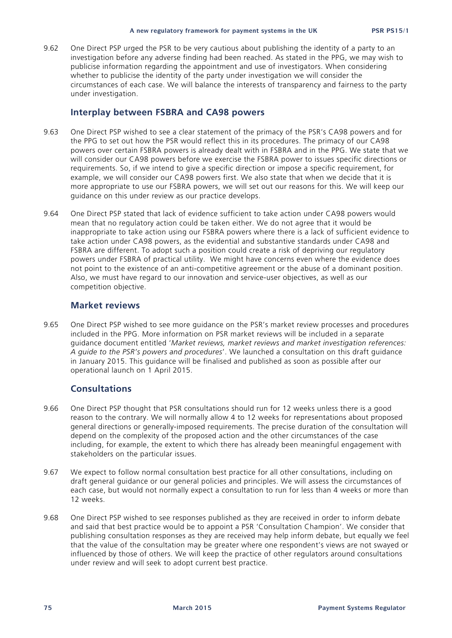9.62 One Direct PSP urged the PSR to be very cautious about publishing the identity of a party to an investigation before any adverse finding had been reached. As stated in the PPG, we may wish to publicise information regarding the appointment and use of investigators. When considering whether to publicise the identity of the party under investigation we will consider the circumstances of each case. We will balance the interests of transparency and fairness to the party under investigation.

## **Interplay between FSBRA and CA98 powers**

- 9.63 One Direct PSP wished to see a clear statement of the primacy of the PSR's CA98 powers and for the PPG to set out how the PSR would reflect this in its procedures. The primacy of our CA98 powers over certain FSBRA powers is already dealt with in FSBRA and in the PPG. We state that we will consider our CA98 powers before we exercise the FSBRA power to issues specific directions or requirements. So, if we intend to give a specific direction or impose a specific requirement, for example, we will consider our CA98 powers first. We also state that when we decide that it is more appropriate to use our FSBRA powers, we will set out our reasons for this. We will keep our guidance on this under review as our practice develops.
- 9.64 One Direct PSP stated that lack of evidence sufficient to take action under CA98 powers would mean that no regulatory action could be taken either. We do not agree that it would be inappropriate to take action using our FSBRA powers where there is a lack of sufficient evidence to take action under CA98 powers, as the evidential and substantive standards under CA98 and FSBRA are different. To adopt such a position could create a risk of depriving our regulatory powers under FSBRA of practical utility. We might have concerns even where the evidence does not point to the existence of an anti-competitive agreement or the abuse of a dominant position. Also, we must have regard to our innovation and service-user objectives, as well as our competition objective.

### **Market reviews**

9.65 One Direct PSP wished to see more guidance on the PSR's market review processes and procedures included in the PPG. More information on PSR market reviews will be included in a separate guidance document entitled '*Market reviews, market reviews and market investigation references: A guide to the PSR's powers and procedures*'. We launched a consultation on this draft guidance in January 2015. This guidance will be finalised and published as soon as possible after our operational launch on 1 April 2015.

## **Consultations**

- 9.66 One Direct PSP thought that PSR consultations should run for 12 weeks unless there is a good reason to the contrary. We will normally allow 4 to 12 weeks for representations about proposed general directions or generally-imposed requirements. The precise duration of the consultation will depend on the complexity of the proposed action and the other circumstances of the case including, for example, the extent to which there has already been meaningful engagement with stakeholders on the particular issues.
- 9.67 We expect to follow normal consultation best practice for all other consultations, including on draft general guidance or our general policies and principles. We will assess the circumstances of each case, but would not normally expect a consultation to run for less than 4 weeks or more than 12 weeks.
- 9.68 One Direct PSP wished to see responses published as they are received in order to inform debate and said that best practice would be to appoint a PSR 'Consultation Champion'. We consider that publishing consultation responses as they are received may help inform debate, but equally we feel that the value of the consultation may be greater where one respondent's views are not swayed or influenced by those of others. We will keep the practice of other regulators around consultations under review and will seek to adopt current best practice.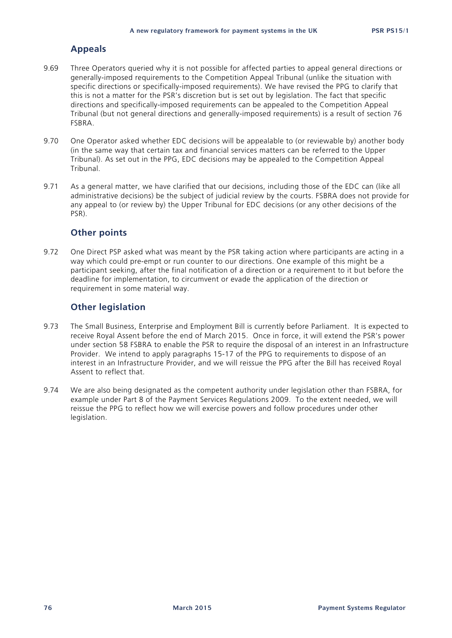## **Appeals**

- 9.69 Three Operators queried why it is not possible for affected parties to appeal general directions or generally-imposed requirements to the Competition Appeal Tribunal (unlike the situation with specific directions or specifically-imposed requirements). We have revised the PPG to clarify that this is not a matter for the PSR's discretion but is set out by legislation. The fact that specific directions and specifically-imposed requirements can be appealed to the Competition Appeal Tribunal (but not general directions and generally-imposed requirements) is a result of section 76 FSBRA.
- 9.70 One Operator asked whether EDC decisions will be appealable to (or reviewable by) another body (in the same way that certain tax and financial services matters can be referred to the Upper Tribunal). As set out in the PPG, EDC decisions may be appealed to the Competition Appeal Tribunal.
- 9.71 As a general matter, we have clarified that our decisions, including those of the EDC can (like all administrative decisions) be the subject of judicial review by the courts. FSBRA does not provide for any appeal to (or review by) the Upper Tribunal for EDC decisions (or any other decisions of the PSR).

## **Other points**

9.72 One Direct PSP asked what was meant by the PSR taking action where participants are acting in a way which could pre-empt or run counter to our directions. One example of this might be a participant seeking, after the final notification of a direction or a requirement to it but before the deadline for implementation, to circumvent or evade the application of the direction or requirement in some material way.

# **Other legislation**

- 9.73 The Small Business, Enterprise and Employment Bill is currently before Parliament. It is expected to receive Royal Assent before the end of March 2015. Once in force, it will extend the PSR's power under section 58 FSBRA to enable the PSR to require the disposal of an interest in an Infrastructure Provider. We intend to apply paragraphs 15-17 of the PPG to requirements to dispose of an interest in an Infrastructure Provider, and we will reissue the PPG after the Bill has received Royal Assent to reflect that.
- 9.74 We are also being designated as the competent authority under legislation other than FSBRA, for example under Part 8 of the Payment Services Regulations 2009. To the extent needed, we will reissue the PPG to reflect how we will exercise powers and follow procedures under other legislation.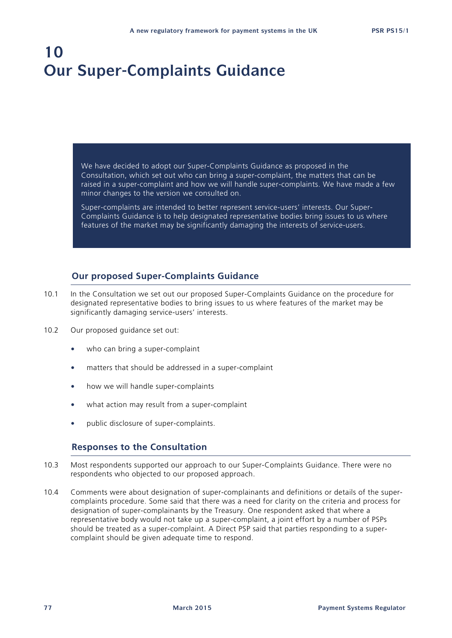# **10 Our Super-Complaints Guidance**

We have decided to adopt our Super-Complaints Guidance as proposed in the Consultation, which set out who can bring a super-complaint, the matters that can be raised in a super-complaint and how we will handle super-complaints. We have made a few minor changes to the version we consulted on.

Super-complaints are intended to better represent service-users' interests. Our Super-Complaints Guidance is to help designated representative bodies bring issues to us where features of the market may be significantly damaging the interests of service-users.

# **Our proposed Super-Complaints Guidance**

- 10.1 In the Consultation we set out our proposed Super-Complaints Guidance on the procedure for designated representative bodies to bring issues to us where features of the market may be significantly damaging service-users' interests.
- 10.2 Our proposed guidance set out:
	- who can bring a super-complaint
	- matters that should be addressed in a super-complaint
	- how we will handle super-complaints
	- what action may result from a super-complaint
	- public disclosure of super-complaints.

## **Responses to the Consultation**

- 10.3 Most respondents supported our approach to our Super-Complaints Guidance. There were no respondents who objected to our proposed approach.
- 10.4 Comments were about designation of super-complainants and definitions or details of the supercomplaints procedure. Some said that there was a need for clarity on the criteria and process for designation of super-complainants by the Treasury. One respondent asked that where a representative body would not take up a super-complaint, a joint effort by a number of PSPs should be treated as a super-complaint. A Direct PSP said that parties responding to a supercomplaint should be given adequate time to respond.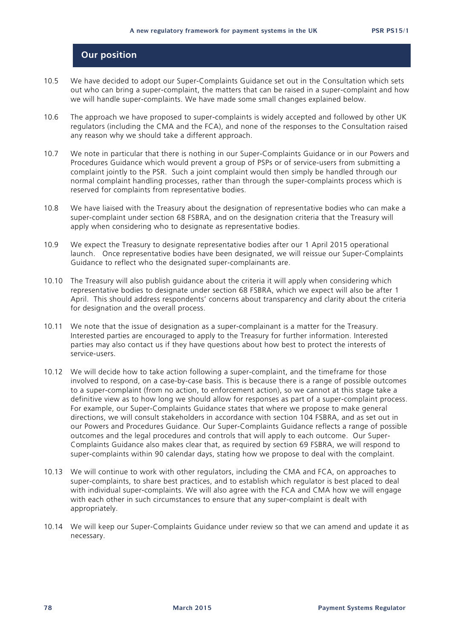# **Our position**

- 10.5 We have decided to adopt our Super-Complaints Guidance set out in the Consultation which sets out who can bring a super-complaint, the matters that can be raised in a super-complaint and how we will handle super-complaints. We have made some small changes explained below.
- 10.6 The approach we have proposed to super-complaints is widely accepted and followed by other UK regulators (including the CMA and the FCA), and none of the responses to the Consultation raised any reason why we should take a different approach.
- 10.7 We note in particular that there is nothing in our Super-Complaints Guidance or in our Powers and Procedures Guidance which would prevent a group of PSPs or of service-users from submitting a complaint jointly to the PSR. Such a joint complaint would then simply be handled through our normal complaint handling processes, rather than through the super-complaints process which is reserved for complaints from representative bodies.
- 10.8 We have liaised with the Treasury about the designation of representative bodies who can make a super-complaint under section 68 FSBRA, and on the designation criteria that the Treasury will apply when considering who to designate as representative bodies.
- 10.9 We expect the Treasury to designate representative bodies after our 1 April 2015 operational launch. Once representative bodies have been designated, we will reissue our Super-Complaints Guidance to reflect who the designated super-complainants are.
- 10.10 The Treasury will also publish guidance about the criteria it will apply when considering which representative bodies to designate under section 68 FSBRA, which we expect will also be after 1 April. This should address respondents' concerns about transparency and clarity about the criteria for designation and the overall process.
- 10.11 We note that the issue of designation as a super-complainant is a matter for the Treasury. Interested parties are encouraged to apply to the Treasury for further information. Interested parties may also contact us if they have questions about how best to protect the interests of service-users.
- 10.12 We will decide how to take action following a super-complaint, and the timeframe for those involved to respond, on a case-by-case basis. This is because there is a range of possible outcomes to a super-complaint (from no action, to enforcement action), so we cannot at this stage take a definitive view as to how long we should allow for responses as part of a super-complaint process. For example, our Super-Complaints Guidance states that where we propose to make general directions, we will consult stakeholders in accordance with section 104 FSBRA, and as set out in our Powers and Procedures Guidance. Our Super-Complaints Guidance reflects a range of possible outcomes and the legal procedures and controls that will apply to each outcome. Our Super-Complaints Guidance also makes clear that, as required by section 69 FSBRA, we will respond to super-complaints within 90 calendar days, stating how we propose to deal with the complaint.
- 10.13 We will continue to work with other regulators, including the CMA and FCA, on approaches to super-complaints, to share best practices, and to establish which regulator is best placed to deal with individual super-complaints. We will also agree with the FCA and CMA how we will engage with each other in such circumstances to ensure that any super-complaint is dealt with appropriately.
- 10.14 We will keep our Super-Complaints Guidance under review so that we can amend and update it as necessary.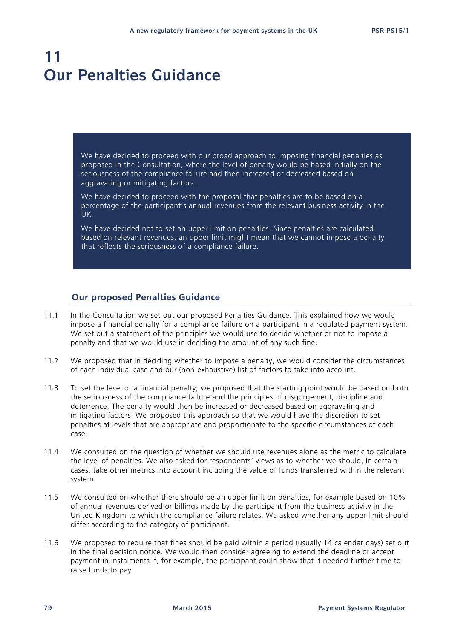# **11 Our Penalties Guidance**

We have decided to proceed with our broad approach to imposing financial penalties as proposed in the Consultation, where the level of penalty would be based initially on the seriousness of the compliance failure and then increased or decreased based on aggravating or mitigating factors.

We have decided to proceed with the proposal that penalties are to be based on a percentage of the participant's annual revenues from the relevant business activity in the UK.

We have decided not to set an upper limit on penalties. Since penalties are calculated based on relevant revenues, an upper limit might mean that we cannot impose a penalty that reflects the seriousness of a compliance failure.

## **Our proposed Penalties Guidance**

- 11.1 In the Consultation we set out our proposed Penalties Guidance. This explained how we would impose a financial penalty for a compliance failure on a participant in a regulated payment system. We set out a statement of the principles we would use to decide whether or not to impose a penalty and that we would use in deciding the amount of any such fine.
- 11.2 We proposed that in deciding whether to impose a penalty, we would consider the circumstances of each individual case and our (non-exhaustive) list of factors to take into account.
- 11.3 To set the level of a financial penalty, we proposed that the starting point would be based on both the seriousness of the compliance failure and the principles of disgorgement, discipline and deterrence. The penalty would then be increased or decreased based on aggravating and mitigating factors. We proposed this approach so that we would have the discretion to set penalties at levels that are appropriate and proportionate to the specific circumstances of each case.
- 11.4 We consulted on the question of whether we should use revenues alone as the metric to calculate the level of penalties. We also asked for respondents' views as to whether we should, in certain cases, take other metrics into account including the value of funds transferred within the relevant system.
- 11.5 We consulted on whether there should be an upper limit on penalties, for example based on 10% of annual revenues derived or billings made by the participant from the business activity in the United Kingdom to which the compliance failure relates. We asked whether any upper limit should differ according to the category of participant.
- 11.6 We proposed to require that fines should be paid within a period (usually 14 calendar days) set out in the final decision notice. We would then consider agreeing to extend the deadline or accept payment in instalments if, for example, the participant could show that it needed further time to raise funds to pay.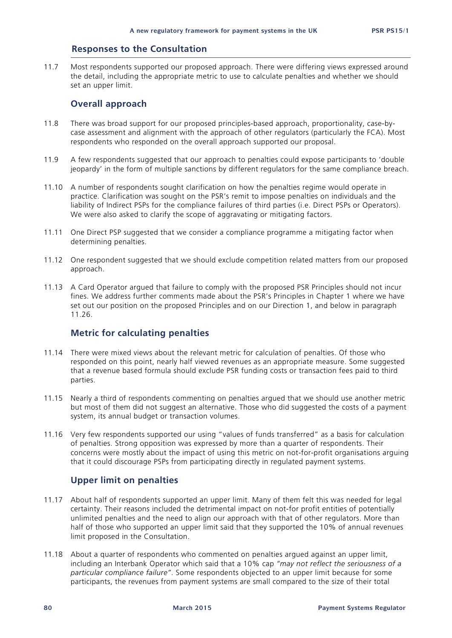# **Responses to the Consultation**

11.7 Most respondents supported our proposed approach. There were differing views expressed around the detail, including the appropriate metric to use to calculate penalties and whether we should set an upper limit.

## **Overall approach**

- 11.8 There was broad support for our proposed principles-based approach, proportionality, case-bycase assessment and alignment with the approach of other regulators (particularly the FCA). Most respondents who responded on the overall approach supported our proposal.
- 11.9 A few respondents suggested that our approach to penalties could expose participants to 'double jeopardy' in the form of multiple sanctions by different regulators for the same compliance breach.
- 11.10 A number of respondents sought clarification on how the penalties regime would operate in practice. Clarification was sought on the PSR's remit to impose penalties on individuals and the liability of Indirect PSPs for the compliance failures of third parties (i.e. Direct PSPs or Operators). We were also asked to clarify the scope of aggravating or mitigating factors.
- 11.11 One Direct PSP suggested that we consider a compliance programme a mitigating factor when determining penalties.
- 11.12 One respondent suggested that we should exclude competition related matters from our proposed approach.
- 11.13 A Card Operator argued that failure to comply with the proposed PSR Principles should not incur fines. We address further comments made about the PSR's Principles in Chapter 1 where we have set out our position on the proposed Principles and on our Direction 1, and below in paragraph 11.26.

# **Metric for calculating penalties**

- 11.14 There were mixed views about the relevant metric for calculation of penalties. Of those who responded on this point, nearly half viewed revenues as an appropriate measure. Some suggested that a revenue based formula should exclude PSR funding costs or transaction fees paid to third parties.
- 11.15 Nearly a third of respondents commenting on penalties argued that we should use another metric but most of them did not suggest an alternative. Those who did suggested the costs of a payment system, its annual budget or transaction volumes.
- 11.16 Very few respondents supported our using "values of funds transferred" as a basis for calculation of penalties. Strong opposition was expressed by more than a quarter of respondents. Their concerns were mostly about the impact of using this metric on not-for-profit organisations arguing that it could discourage PSPs from participating directly in regulated payment systems.

# **Upper limit on penalties**

- 11.17 About half of respondents supported an upper limit. Many of them felt this was needed for legal certainty. Their reasons included the detrimental impact on not-for profit entities of potentially unlimited penalties and the need to align our approach with that of other regulators. More than half of those who supported an upper limit said that they supported the 10% of annual revenues limit proposed in the Consultation.
- 11.18 About a quarter of respondents who commented on penalties argued against an upper limit, including an Interbank Operator which said that a 10% cap *"may not reflect the seriousness of a particular compliance failure"*. Some respondents objected to an upper limit because for some participants, the revenues from payment systems are small compared to the size of their total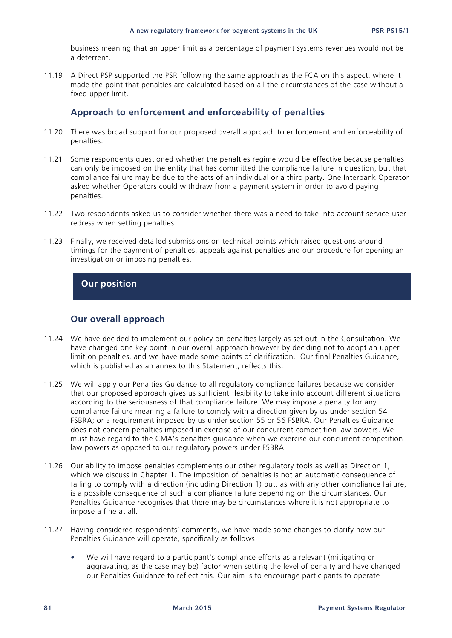business meaning that an upper limit as a percentage of payment systems revenues would not be a deterrent.

11.19 A Direct PSP supported the PSR following the same approach as the FCA on this aspect, where it made the point that penalties are calculated based on all the circumstances of the case without a fixed upper limit.

# **Approach to enforcement and enforceability of penalties**

- 11.20 There was broad support for our proposed overall approach to enforcement and enforceability of penalties.
- 11.21 Some respondents questioned whether the penalties regime would be effective because penalties can only be imposed on the entity that has committed the compliance failure in question, but that compliance failure may be due to the acts of an individual or a third party. One Interbank Operator asked whether Operators could withdraw from a payment system in order to avoid paying penalties.
- 11.22 Two respondents asked us to consider whether there was a need to take into account service-user redress when setting penalties.
- 11.23 Finally, we received detailed submissions on technical points which raised questions around timings for the payment of penalties, appeals against penalties and our procedure for opening an investigation or imposing penalties.

# **Our position**

## **Our overall approach**

- 11.24 We have decided to implement our policy on penalties largely as set out in the Consultation. We have changed one key point in our overall approach however by deciding not to adopt an upper limit on penalties, and we have made some points of clarification. Our final Penalties Guidance, which is published as an annex to this Statement, reflects this.
- 11.25 We will apply our Penalties Guidance to all regulatory compliance failures because we consider that our proposed approach gives us sufficient flexibility to take into account different situations according to the seriousness of that compliance failure. We may impose a penalty for any compliance failure meaning a failure to comply with a direction given by us under section 54 FSBRA; or a requirement imposed by us under section 55 or 56 FSBRA. Our Penalties Guidance does not concern penalties imposed in exercise of our concurrent competition law powers. We must have regard to the CMA's penalties guidance when we exercise our concurrent competition law powers as opposed to our regulatory powers under FSBRA.
- 11.26 Our ability to impose penalties complements our other regulatory tools as well as Direction 1, which we discuss in Chapter 1. The imposition of penalties is not an automatic consequence of failing to comply with a direction (including Direction 1) but, as with any other compliance failure, is a possible consequence of such a compliance failure depending on the circumstances. Our Penalties Guidance recognises that there may be circumstances where it is not appropriate to impose a fine at all.
- 11.27 Having considered respondents' comments, we have made some changes to clarify how our Penalties Guidance will operate, specifically as follows.
	- We will have regard to a participant's compliance efforts as a relevant (mitigating or aggravating, as the case may be) factor when setting the level of penalty and have changed our Penalties Guidance to reflect this. Our aim is to encourage participants to operate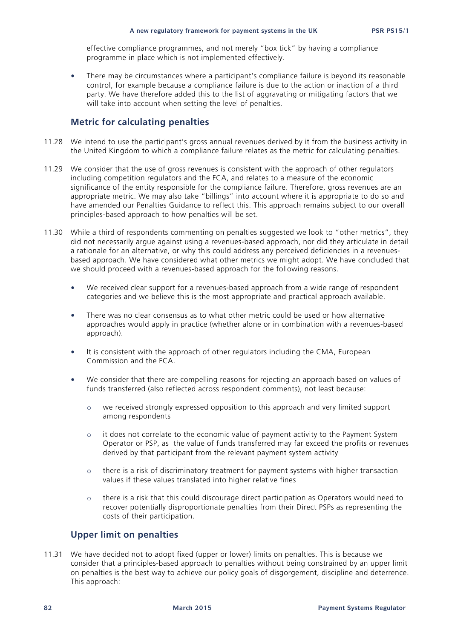effective compliance programmes, and not merely "box tick" by having a compliance programme in place which is not implemented effectively.

There may be circumstances where a participant's compliance failure is beyond its reasonable control, for example because a compliance failure is due to the action or inaction of a third party. We have therefore added this to the list of aggravating or mitigating factors that we will take into account when setting the level of penalties.

## **Metric for calculating penalties**

- 11.28 We intend to use the participant's gross annual revenues derived by it from the business activity in the United Kingdom to which a compliance failure relates as the metric for calculating penalties.
- 11.29 We consider that the use of gross revenues is consistent with the approach of other regulators including competition regulators and the FCA, and relates to a measure of the economic significance of the entity responsible for the compliance failure. Therefore, gross revenues are an appropriate metric. We may also take "billings" into account where it is appropriate to do so and have amended our Penalties Guidance to reflect this. This approach remains subject to our overall principles-based approach to how penalties will be set.
- 11.30 While a third of respondents commenting on penalties suggested we look to "other metrics", they did not necessarily argue against using a revenues-based approach, nor did they articulate in detail a rationale for an alternative, or why this could address any perceived deficiencies in a revenuesbased approach. We have considered what other metrics we might adopt. We have concluded that we should proceed with a revenues-based approach for the following reasons.
	- We received clear support for a revenues-based approach from a wide range of respondent categories and we believe this is the most appropriate and practical approach available.
	- There was no clear consensus as to what other metric could be used or how alternative approaches would apply in practice (whether alone or in combination with a revenues-based approach).
	- It is consistent with the approach of other regulators including the CMA, European Commission and the FCA.
	- We consider that there are compelling reasons for rejecting an approach based on values of funds transferred (also reflected across respondent comments), not least because:
		- o we received strongly expressed opposition to this approach and very limited support among respondents
		- $\circ$  it does not correlate to the economic value of payment activity to the Payment System Operator or PSP, as the value of funds transferred may far exceed the profits or revenues derived by that participant from the relevant payment system activity
		- o there is a risk of discriminatory treatment for payment systems with higher transaction values if these values translated into higher relative fines
		- o there is a risk that this could discourage direct participation as Operators would need to recover potentially disproportionate penalties from their Direct PSPs as representing the costs of their participation.

# **Upper limit on penalties**

11.31 We have decided not to adopt fixed (upper or lower) limits on penalties. This is because we consider that a principles-based approach to penalties without being constrained by an upper limit on penalties is the best way to achieve our policy goals of disgorgement, discipline and deterrence. This approach: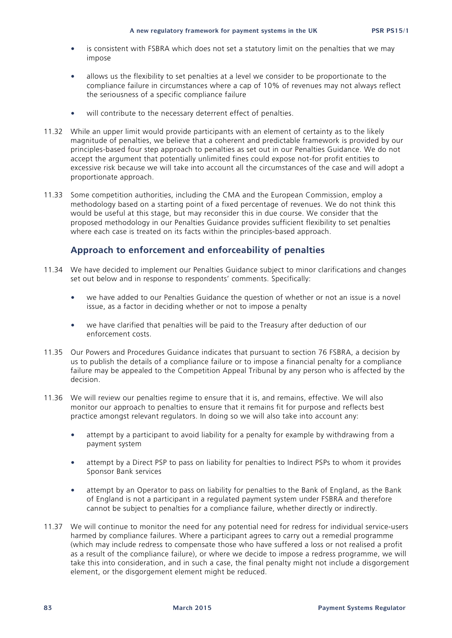- is consistent with FSBRA which does not set a statutory limit on the penalties that we may impose
- allows us the flexibility to set penalties at a level we consider to be proportionate to the compliance failure in circumstances where a cap of 10% of revenues may not always reflect the seriousness of a specific compliance failure
- will contribute to the necessary deterrent effect of penalties.
- 11.32 While an upper limit would provide participants with an element of certainty as to the likely magnitude of penalties, we believe that a coherent and predictable framework is provided by our principles-based four step approach to penalties as set out in our Penalties Guidance. We do not accept the argument that potentially unlimited fines could expose not-for profit entities to excessive risk because we will take into account all the circumstances of the case and will adopt a proportionate approach.
- 11.33 Some competition authorities, including the CMA and the European Commission, employ a methodology based on a starting point of a fixed percentage of revenues. We do not think this would be useful at this stage, but may reconsider this in due course. We consider that the proposed methodology in our Penalties Guidance provides sufficient flexibility to set penalties where each case is treated on its facts within the principles-based approach.

## **Approach to enforcement and enforceability of penalties**

- 11.34 We have decided to implement our Penalties Guidance subject to minor clarifications and changes set out below and in response to respondents' comments. Specifically:
	- we have added to our Penalties Guidance the question of whether or not an issue is a novel issue, as a factor in deciding whether or not to impose a penalty
	- we have clarified that penalties will be paid to the Treasury after deduction of our enforcement costs.
- 11.35 Our Powers and Procedures Guidance indicates that pursuant to section 76 FSBRA, a decision by us to publish the details of a compliance failure or to impose a financial penalty for a compliance failure may be appealed to the Competition Appeal Tribunal by any person who is affected by the decision.
- 11.36 We will review our penalties regime to ensure that it is, and remains, effective. We will also monitor our approach to penalties to ensure that it remains fit for purpose and reflects best practice amongst relevant regulators. In doing so we will also take into account any:
	- attempt by a participant to avoid liability for a penalty for example by withdrawing from a payment system
	- attempt by a Direct PSP to pass on liability for penalties to Indirect PSPs to whom it provides Sponsor Bank services
	- attempt by an Operator to pass on liability for penalties to the Bank of England, as the Bank of England is not a participant in a regulated payment system under FSBRA and therefore cannot be subject to penalties for a compliance failure, whether directly or indirectly.
- 11.37 We will continue to monitor the need for any potential need for redress for individual service-users harmed by compliance failures. Where a participant agrees to carry out a remedial programme (which may include redress to compensate those who have suffered a loss or not realised a profit as a result of the compliance failure), or where we decide to impose a redress programme, we will take this into consideration, and in such a case, the final penalty might not include a disgorgement element, or the disgorgement element might be reduced.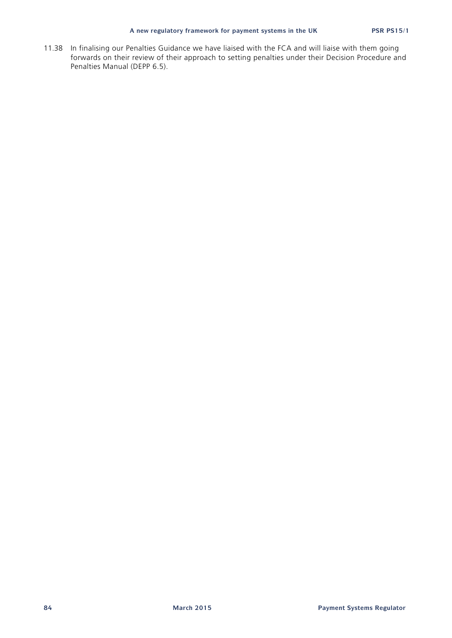11.38 In finalising our Penalties Guidance we have liaised with the FCA and will liaise with them going forwards on their review of their approach to setting penalties under their Decision Procedure and Penalties Manual (DEPP 6.5).